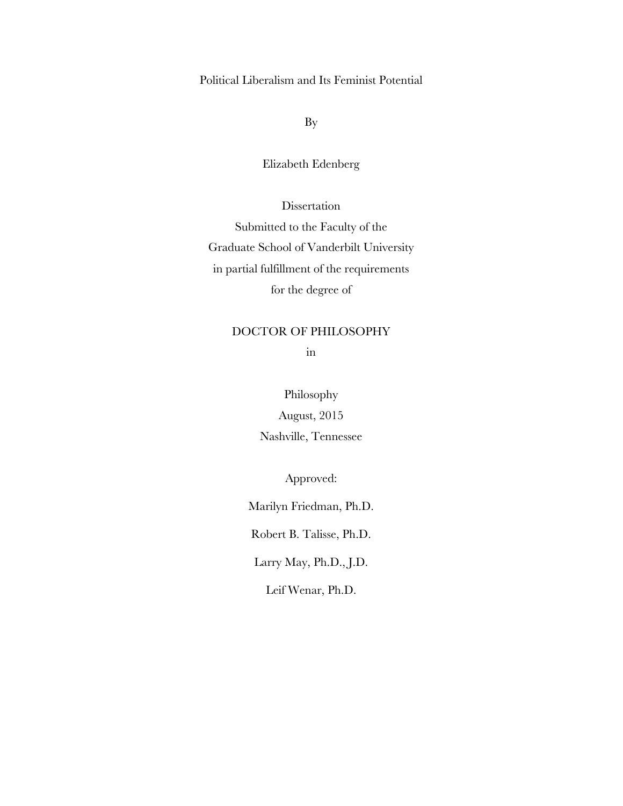Political Liberalism and Its Feminist Potential

By

Elizabeth Edenberg

Dissertation Submitted to the Faculty of the Graduate School of Vanderbilt University in partial fulfillment of the requirements for the degree of

# DOCTOR OF PHILOSOPHY

in

Philosophy August, 2015 Nashville, Tennessee

Approved:

Marilyn Friedman, Ph.D.

Robert B. Talisse, Ph.D.

Larry May, Ph.D., J.D.

Leif Wenar, Ph.D.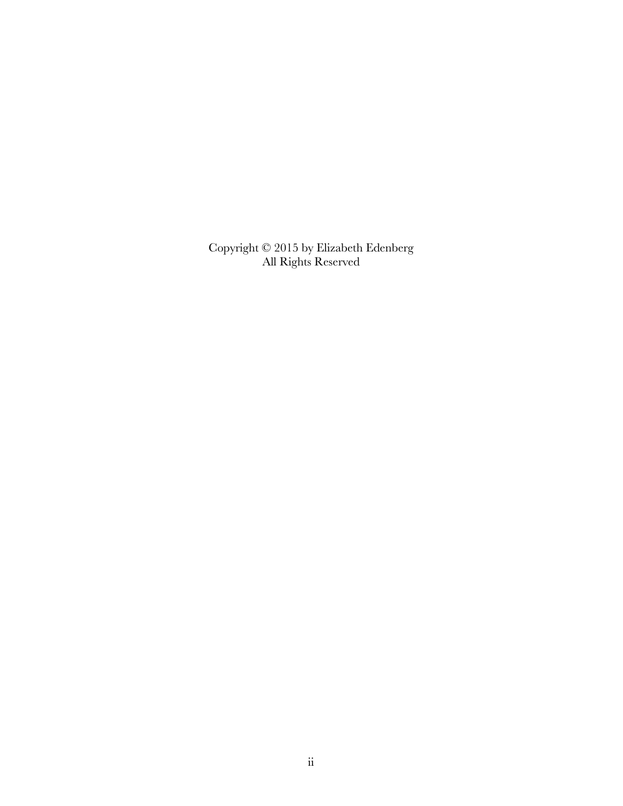Copyright © 2015 by Elizabeth Edenberg All Rights Reserved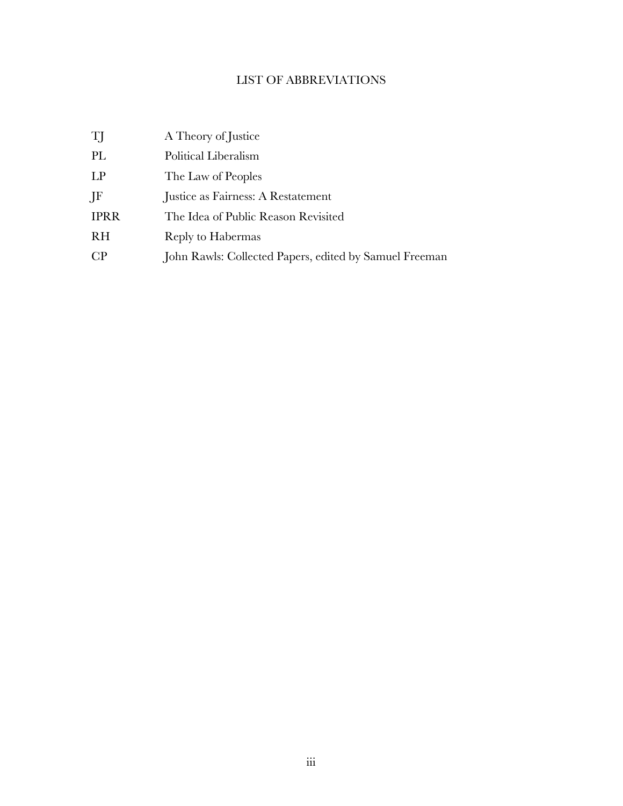# LIST OF ABBREVIATIONS

| TI          | A Theory of Justice                                    |
|-------------|--------------------------------------------------------|
| PL          | Political Liberalism                                   |
| LP          | The Law of Peoples                                     |
| JF          | Justice as Fairness: A Restatement                     |
| <b>IPRR</b> | The Idea of Public Reason Revisited                    |
| <b>RH</b>   | Reply to Habermas                                      |
| CP          | John Rawls: Collected Papers, edited by Samuel Freeman |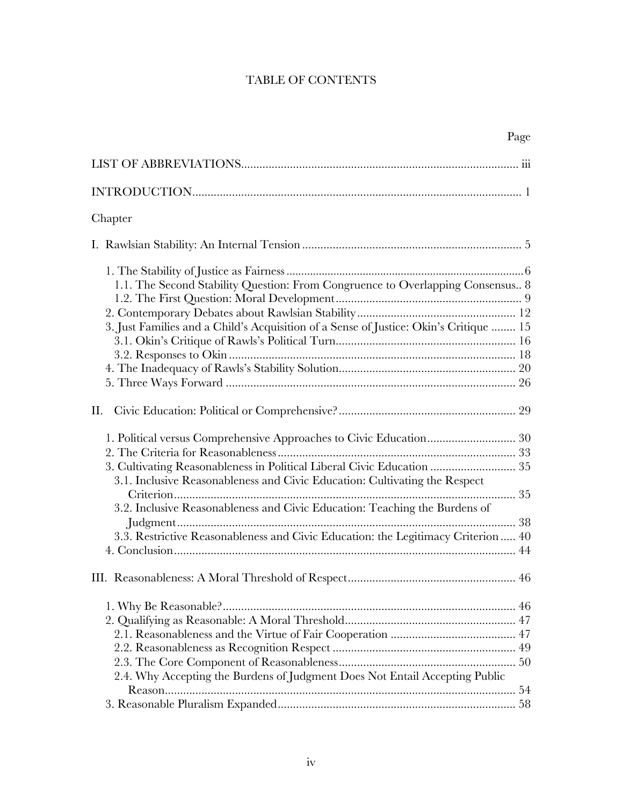# TABLE OF CONTENTS

|                                                                                                                                                                                                                            | Page |
|----------------------------------------------------------------------------------------------------------------------------------------------------------------------------------------------------------------------------|------|
|                                                                                                                                                                                                                            |      |
|                                                                                                                                                                                                                            |      |
| Chapter                                                                                                                                                                                                                    |      |
|                                                                                                                                                                                                                            |      |
| 1.1. The Second Stability Question: From Congruence to Overlapping Consensus 8<br>3. Just Families and a Child's Acquisition of a Sense of Justice: Okin's Critique  15                                                    |      |
| П.                                                                                                                                                                                                                         |      |
| 1. Political versus Comprehensive Approaches to Civic Education 30<br>3. Cultivating Reasonableness in Political Liberal Civic Education  35<br>3.1. Inclusive Reasonableness and Civic Education: Cultivating the Respect |      |
| 3.2. Inclusive Reasonableness and Civic Education: Teaching the Burdens of<br>3.3. Restrictive Reasonableness and Civic Education: the Legitimacy Criterion  40                                                            |      |
|                                                                                                                                                                                                                            |      |
| 2.4. Why Accepting the Burdens of Judgment Does Not Entail Accepting Public                                                                                                                                                |      |
|                                                                                                                                                                                                                            | 54   |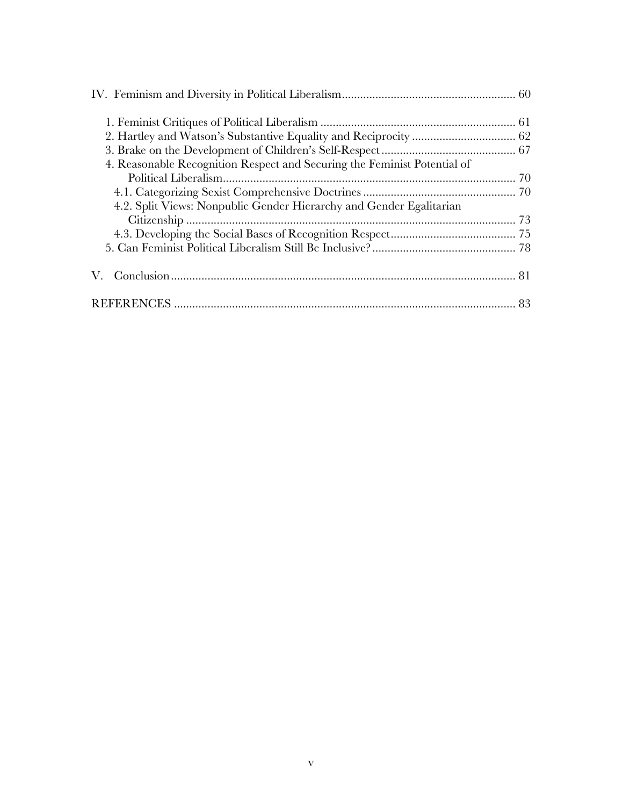| 4. Reasonable Recognition Respect and Securing the Feminist Potential of |  |
|--------------------------------------------------------------------------|--|
|                                                                          |  |
|                                                                          |  |
| 4.2. Split Views: Nonpublic Gender Hierarchy and Gender Egalitarian      |  |
|                                                                          |  |
|                                                                          |  |
|                                                                          |  |
|                                                                          |  |
|                                                                          |  |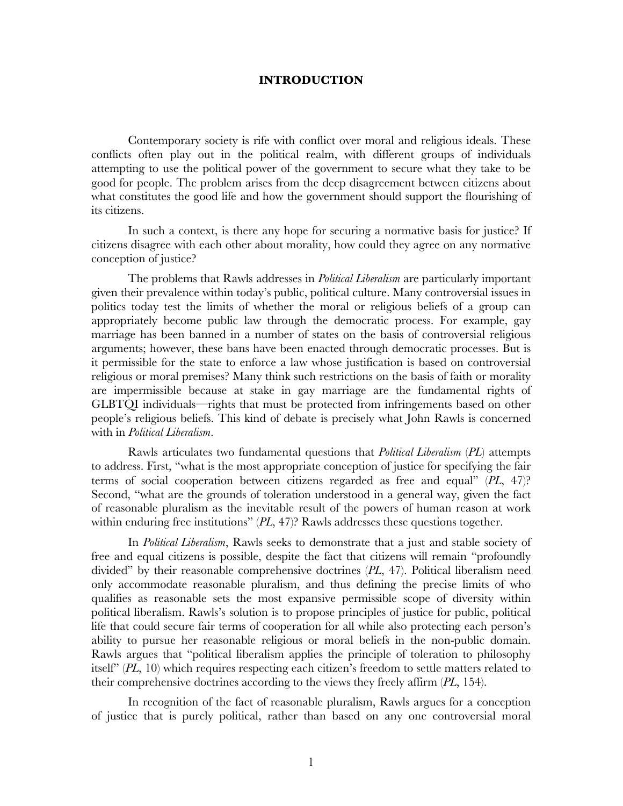#### **INTRODUCTION**

Contemporary society is rife with conflict over moral and religious ideals. These conflicts often play out in the political realm, with different groups of individuals attempting to use the political power of the government to secure what they take to be good for people. The problem arises from the deep disagreement between citizens about what constitutes the good life and how the government should support the flourishing of its citizens.

In such a context, is there any hope for securing a normative basis for justice? If citizens disagree with each other about morality, how could they agree on any normative conception of justice?

The problems that Rawls addresses in *Political Liberalism* are particularly important given their prevalence within today's public, political culture. Many controversial issues in politics today test the limits of whether the moral or religious beliefs of a group can appropriately become public law through the democratic process. For example, gay marriage has been banned in a number of states on the basis of controversial religious arguments; however, these bans have been enacted through democratic processes. But is it permissible for the state to enforce a law whose justification is based on controversial religious or moral premises? Many think such restrictions on the basis of faith or morality are impermissible because at stake in gay marriage are the fundamental rights of GLBTQI individuals—rights that must be protected from infringements based on other people's religious beliefs. This kind of debate is precisely what John Rawls is concerned with in *Political Liberalism*.

Rawls articulates two fundamental questions that *Political Liberalism* (*PL*) attempts to address. First, "what is the most appropriate conception of justice for specifying the fair terms of social cooperation between citizens regarded as free and equal" (*PL*, 47)? Second, "what are the grounds of toleration understood in a general way, given the fact of reasonable pluralism as the inevitable result of the powers of human reason at work within enduring free institutions" (*PL*, 47)? Rawls addresses these questions together.

In *Political Liberalism*, Rawls seeks to demonstrate that a just and stable society of free and equal citizens is possible, despite the fact that citizens will remain "profoundly divided" by their reasonable comprehensive doctrines (*PL*, 47). Political liberalism need only accommodate reasonable pluralism, and thus defining the precise limits of who qualifies as reasonable sets the most expansive permissible scope of diversity within political liberalism. Rawls's solution is to propose principles of justice for public, political life that could secure fair terms of cooperation for all while also protecting each person's ability to pursue her reasonable religious or moral beliefs in the non-public domain. Rawls argues that "political liberalism applies the principle of toleration to philosophy itself" (*PL*, 10) which requires respecting each citizen's freedom to settle matters related to their comprehensive doctrines according to the views they freely affirm (*PL*, 154).

In recognition of the fact of reasonable pluralism, Rawls argues for a conception of justice that is purely political, rather than based on any one controversial moral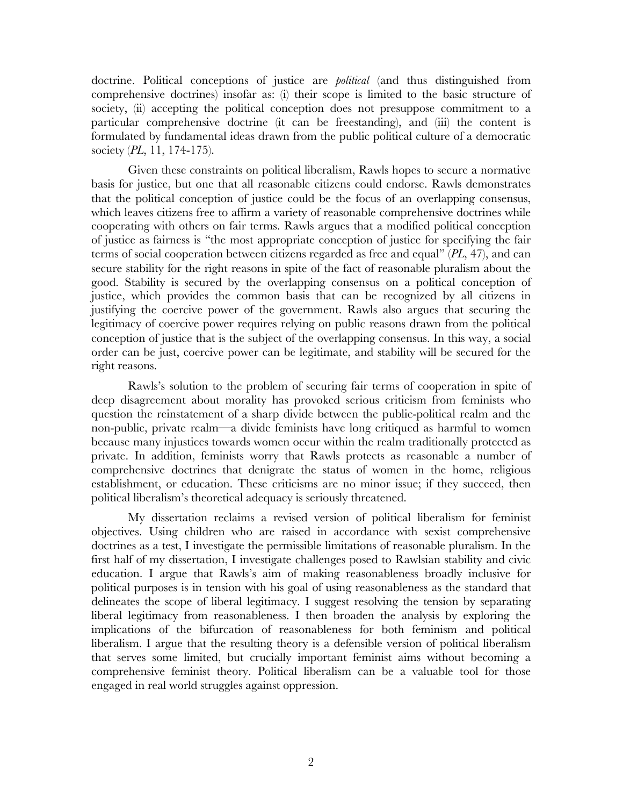doctrine. Political conceptions of justice are *political* (and thus distinguished from comprehensive doctrines) insofar as: (i) their scope is limited to the basic structure of society, (ii) accepting the political conception does not presuppose commitment to a particular comprehensive doctrine (it can be freestanding), and (iii) the content is formulated by fundamental ideas drawn from the public political culture of a democratic society (*PL*, 11, 174-175).

Given these constraints on political liberalism, Rawls hopes to secure a normative basis for justice, but one that all reasonable citizens could endorse. Rawls demonstrates that the political conception of justice could be the focus of an overlapping consensus, which leaves citizens free to affirm a variety of reasonable comprehensive doctrines while cooperating with others on fair terms. Rawls argues that a modified political conception of justice as fairness is "the most appropriate conception of justice for specifying the fair terms of social cooperation between citizens regarded as free and equal" (*PL*, 47), and can secure stability for the right reasons in spite of the fact of reasonable pluralism about the good. Stability is secured by the overlapping consensus on a political conception of justice, which provides the common basis that can be recognized by all citizens in justifying the coercive power of the government. Rawls also argues that securing the legitimacy of coercive power requires relying on public reasons drawn from the political conception of justice that is the subject of the overlapping consensus. In this way, a social order can be just, coercive power can be legitimate, and stability will be secured for the right reasons.

Rawls's solution to the problem of securing fair terms of cooperation in spite of deep disagreement about morality has provoked serious criticism from feminists who question the reinstatement of a sharp divide between the public-political realm and the non-public, private realm—a divide feminists have long critiqued as harmful to women because many injustices towards women occur within the realm traditionally protected as private. In addition, feminists worry that Rawls protects as reasonable a number of comprehensive doctrines that denigrate the status of women in the home, religious establishment, or education. These criticisms are no minor issue; if they succeed, then political liberalism's theoretical adequacy is seriously threatened.

My dissertation reclaims a revised version of political liberalism for feminist objectives. Using children who are raised in accordance with sexist comprehensive doctrines as a test, I investigate the permissible limitations of reasonable pluralism. In the first half of my dissertation, I investigate challenges posed to Rawlsian stability and civic education. I argue that Rawls's aim of making reasonableness broadly inclusive for political purposes is in tension with his goal of using reasonableness as the standard that delineates the scope of liberal legitimacy. I suggest resolving the tension by separating liberal legitimacy from reasonableness. I then broaden the analysis by exploring the implications of the bifurcation of reasonableness for both feminism and political liberalism. I argue that the resulting theory is a defensible version of political liberalism that serves some limited, but crucially important feminist aims without becoming a comprehensive feminist theory. Political liberalism can be a valuable tool for those engaged in real world struggles against oppression.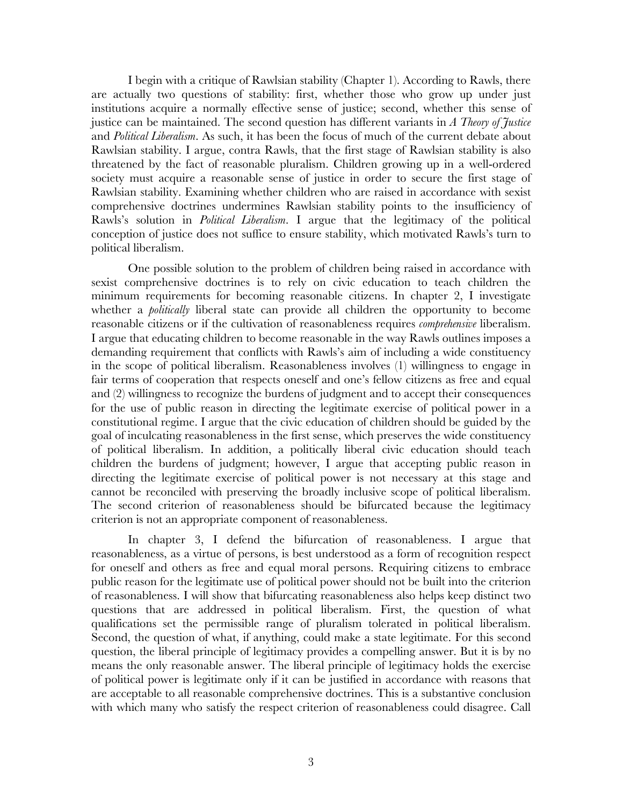I begin with a critique of Rawlsian stability (Chapter 1). According to Rawls, there are actually two questions of stability: first, whether those who grow up under just institutions acquire a normally effective sense of justice; second, whether this sense of justice can be maintained. The second question has different variants in *A Theory of Justice* and *Political Liberalism*. As such, it has been the focus of much of the current debate about Rawlsian stability. I argue, contra Rawls, that the first stage of Rawlsian stability is also threatened by the fact of reasonable pluralism. Children growing up in a well-ordered society must acquire a reasonable sense of justice in order to secure the first stage of Rawlsian stability. Examining whether children who are raised in accordance with sexist comprehensive doctrines undermines Rawlsian stability points to the insufficiency of Rawls's solution in *Political Liberalism*. I argue that the legitimacy of the political conception of justice does not suffice to ensure stability, which motivated Rawls's turn to political liberalism.

One possible solution to the problem of children being raised in accordance with sexist comprehensive doctrines is to rely on civic education to teach children the minimum requirements for becoming reasonable citizens. In chapter 2, I investigate whether a *politically* liberal state can provide all children the opportunity to become reasonable citizens or if the cultivation of reasonableness requires *comprehensive* liberalism. I argue that educating children to become reasonable in the way Rawls outlines imposes a demanding requirement that conflicts with Rawls's aim of including a wide constituency in the scope of political liberalism. Reasonableness involves (1) willingness to engage in fair terms of cooperation that respects oneself and one's fellow citizens as free and equal and (2) willingness to recognize the burdens of judgment and to accept their consequences for the use of public reason in directing the legitimate exercise of political power in a constitutional regime. I argue that the civic education of children should be guided by the goal of inculcating reasonableness in the first sense, which preserves the wide constituency of political liberalism. In addition, a politically liberal civic education should teach children the burdens of judgment; however, I argue that accepting public reason in directing the legitimate exercise of political power is not necessary at this stage and cannot be reconciled with preserving the broadly inclusive scope of political liberalism. The second criterion of reasonableness should be bifurcated because the legitimacy criterion is not an appropriate component of reasonableness.

In chapter 3, I defend the bifurcation of reasonableness. I argue that reasonableness, as a virtue of persons, is best understood as a form of recognition respect for oneself and others as free and equal moral persons. Requiring citizens to embrace public reason for the legitimate use of political power should not be built into the criterion of reasonableness. I will show that bifurcating reasonableness also helps keep distinct two questions that are addressed in political liberalism. First, the question of what qualifications set the permissible range of pluralism tolerated in political liberalism. Second, the question of what, if anything, could make a state legitimate. For this second question, the liberal principle of legitimacy provides a compelling answer. But it is by no means the only reasonable answer. The liberal principle of legitimacy holds the exercise of political power is legitimate only if it can be justified in accordance with reasons that are acceptable to all reasonable comprehensive doctrines. This is a substantive conclusion with which many who satisfy the respect criterion of reasonableness could disagree. Call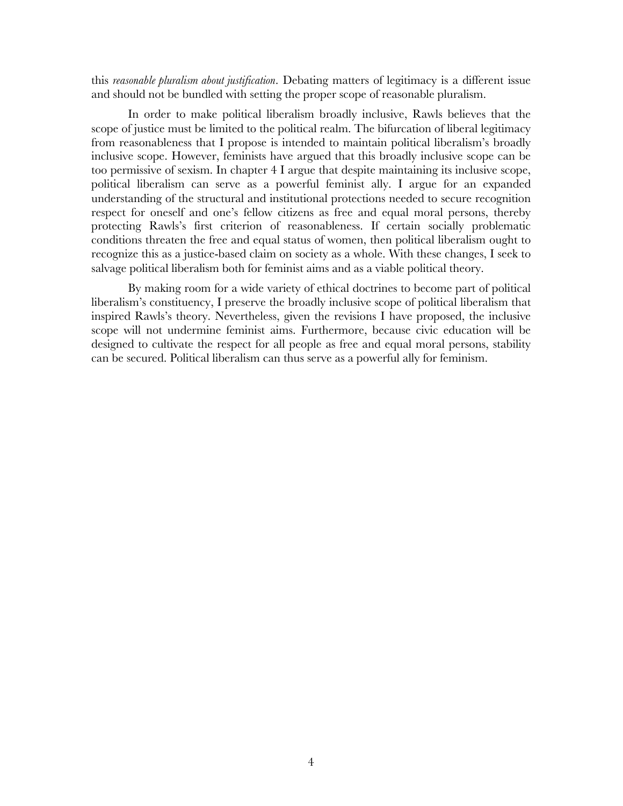this *reasonable pluralism about justification*. Debating matters of legitimacy is a different issue and should not be bundled with setting the proper scope of reasonable pluralism.

In order to make political liberalism broadly inclusive, Rawls believes that the scope of justice must be limited to the political realm. The bifurcation of liberal legitimacy from reasonableness that I propose is intended to maintain political liberalism's broadly inclusive scope. However, feminists have argued that this broadly inclusive scope can be too permissive of sexism. In chapter 4 I argue that despite maintaining its inclusive scope, political liberalism can serve as a powerful feminist ally. I argue for an expanded understanding of the structural and institutional protections needed to secure recognition respect for oneself and one's fellow citizens as free and equal moral persons, thereby protecting Rawls's first criterion of reasonableness. If certain socially problematic conditions threaten the free and equal status of women, then political liberalism ought to recognize this as a justice-based claim on society as a whole. With these changes, I seek to salvage political liberalism both for feminist aims and as a viable political theory.

By making room for a wide variety of ethical doctrines to become part of political liberalism's constituency, I preserve the broadly inclusive scope of political liberalism that inspired Rawls's theory. Nevertheless, given the revisions I have proposed, the inclusive scope will not undermine feminist aims. Furthermore, because civic education will be designed to cultivate the respect for all people as free and equal moral persons, stability can be secured. Political liberalism can thus serve as a powerful ally for feminism.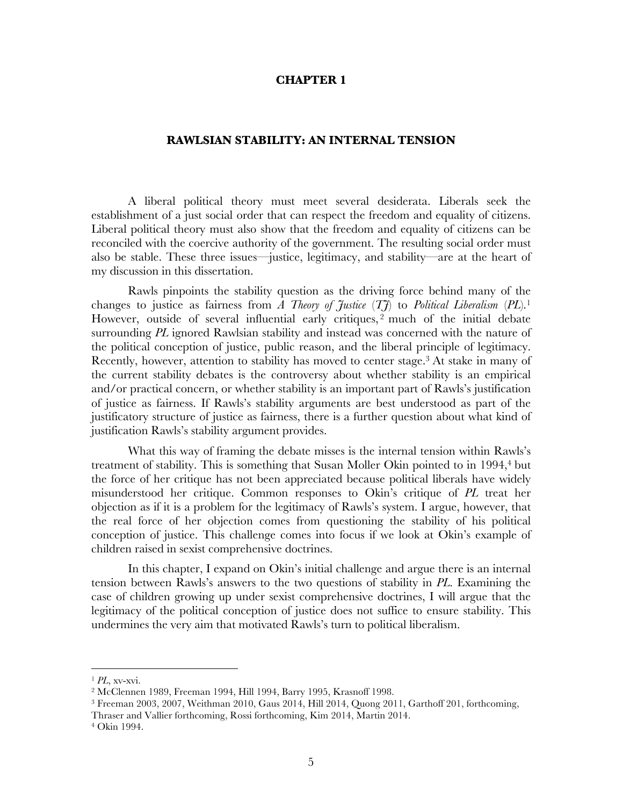## **CHAPTER 1**

## **RAWLSIAN STABILITY: AN INTERNAL TENSION**

A liberal political theory must meet several desiderata. Liberals seek the establishment of a just social order that can respect the freedom and equality of citizens. Liberal political theory must also show that the freedom and equality of citizens can be reconciled with the coercive authority of the government. The resulting social order must also be stable. These three issues—justice, legitimacy, and stability—are at the heart of my discussion in this dissertation.

Rawls pinpoints the stability question as the driving force behind many of the changes to justice as fairness from *A Theory of Justice* (*TJ*) to *Political Liberalism* (*PL*).1 However, outside of several influential early critiques,<sup>2</sup> much of the initial debate surrounding *PL* ignored Rawlsian stability and instead was concerned with the nature of the political conception of justice, public reason, and the liberal principle of legitimacy. Recently, however, attention to stability has moved to center stage.3 At stake in many of the current stability debates is the controversy about whether stability is an empirical and/or practical concern, or whether stability is an important part of Rawls's justification of justice as fairness. If Rawls's stability arguments are best understood as part of the justificatory structure of justice as fairness, there is a further question about what kind of justification Rawls's stability argument provides.

What this way of framing the debate misses is the internal tension within Rawls's treatment of stability. This is something that Susan Moller Okin pointed to in 1994,<sup>4</sup> but the force of her critique has not been appreciated because political liberals have widely misunderstood her critique. Common responses to Okin's critique of *PL* treat her objection as if it is a problem for the legitimacy of Rawls's system. I argue, however, that the real force of her objection comes from questioning the stability of his political conception of justice. This challenge comes into focus if we look at Okin's example of children raised in sexist comprehensive doctrines.

In this chapter, I expand on Okin's initial challenge and argue there is an internal tension between Rawls's answers to the two questions of stability in *PL*. Examining the case of children growing up under sexist comprehensive doctrines, I will argue that the legitimacy of the political conception of justice does not suffice to ensure stability. This undermines the very aim that motivated Rawls's turn to political liberalism.

<sup>1</sup> *PL*, xv-xvi.

<sup>2</sup> McClennen 1989, Freeman 1994, Hill 1994, Barry 1995, Krasnoff 1998.

<sup>3</sup> Freeman 2003, 2007, Weithman 2010, Gaus 2014, Hill 2014, Quong 2011, Garthoff 201, forthcoming, Thraser and Vallier forthcoming, Rossi forthcoming, Kim 2014, Martin 2014.

<sup>4</sup> Okin 1994.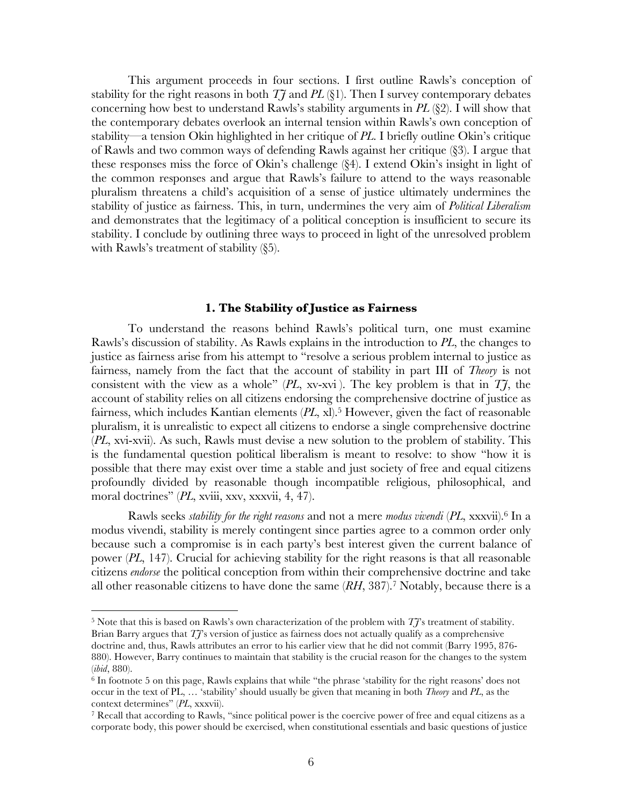This argument proceeds in four sections. I first outline Rawls's conception of stability for the right reasons in both  $T\tilde{\jmath}$  and  $PL(\S1)$ . Then I survey contemporary debates concerning how best to understand Rawls's stability arguments in *PL* (§2). I will show that the contemporary debates overlook an internal tension within Rawls's own conception of stability—a tension Okin highlighted in her critique of *PL*. I briefly outline Okin's critique of Rawls and two common ways of defending Rawls against her critique (§3). I argue that these responses miss the force of Okin's challenge (§4). I extend Okin's insight in light of the common responses and argue that Rawls's failure to attend to the ways reasonable pluralism threatens a child's acquisition of a sense of justice ultimately undermines the stability of justice as fairness. This, in turn, undermines the very aim of *Political Liberalism* and demonstrates that the legitimacy of a political conception is insufficient to secure its stability. I conclude by outlining three ways to proceed in light of the unresolved problem with Rawls's treatment of stability (§5).

# **1. The Stability of Justice as Fairness**

To understand the reasons behind Rawls's political turn, one must examine Rawls's discussion of stability. As Rawls explains in the introduction to *PL*, the changes to justice as fairness arise from his attempt to "resolve a serious problem internal to justice as fairness, namely from the fact that the account of stability in part III of *Theory* is not consistent with the view as a whole" (*PL*, xv-xvi ). The key problem is that in *TJ*, the account of stability relies on all citizens endorsing the comprehensive doctrine of justice as fairness, which includes Kantian elements (*PL*, xl). <sup>5</sup> However, given the fact of reasonable pluralism, it is unrealistic to expect all citizens to endorse a single comprehensive doctrine (*PL*, xvi-xvii). As such, Rawls must devise a new solution to the problem of stability. This is the fundamental question political liberalism is meant to resolve: to show "how it is possible that there may exist over time a stable and just society of free and equal citizens profoundly divided by reasonable though incompatible religious, philosophical, and moral doctrines" (*PL*, xviii, xxv, xxxvii, 4, 47).

Rawls seeks *stability for the right reasons* and not a mere *modus vivendi* (*PL*, xxxvii). <sup>6</sup> In a modus vivendi, stability is merely contingent since parties agree to a common order only because such a compromise is in each party's best interest given the current balance of power (*PL*, 147). Crucial for achieving stability for the right reasons is that all reasonable citizens *endorse* the political conception from within their comprehensive doctrine and take all other reasonable citizens to have done the same (*RH*, 387).7 Notably, because there is a

<sup>&</sup>lt;sup>5</sup> Note that this is based on Rawls's own characterization of the problem with  $T_f^s$ s treatment of stability. Brian Barry argues that *TJ*'s version of justice as fairness does not actually qualify as a comprehensive doctrine and, thus, Rawls attributes an error to his earlier view that he did not commit (Barry 1995, 876- 880). However, Barry continues to maintain that stability is the crucial reason for the changes to the system

<sup>(</sup>*ibid*, 880).<br><sup>6</sup> In footnote 5 on this page, Rawls explains that while "the phrase 'stability for the right reasons' does not occur in the text of PL, … 'stability' should usually be given that meaning in both *Theory* and *PL*, as the context determines" (*PL*, xxxvii).

<sup>7</sup> Recall that according to Rawls, "since political power is the coercive power of free and equal citizens as a corporate body, this power should be exercised, when constitutional essentials and basic questions of justice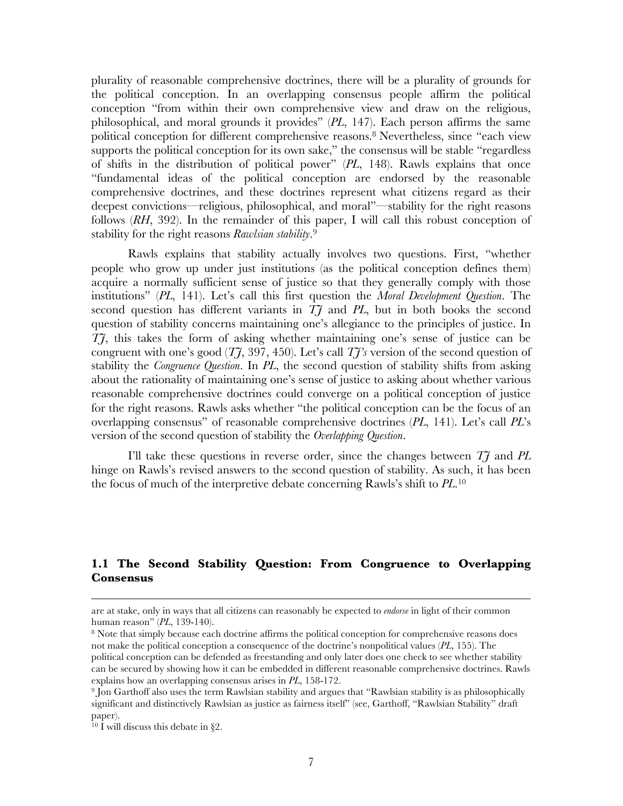plurality of reasonable comprehensive doctrines, there will be a plurality of grounds for the political conception. In an overlapping consensus people affirm the political conception "from within their own comprehensive view and draw on the religious, philosophical, and moral grounds it provides" (*PL*, 147). Each person affirms the same political conception for different comprehensive reasons.8 Nevertheless, since "each view supports the political conception for its own sake," the consensus will be stable "regardless of shifts in the distribution of political power" (*PL*, 148). Rawls explains that once "fundamental ideas of the political conception are endorsed by the reasonable comprehensive doctrines, and these doctrines represent what citizens regard as their deepest convictions—religious, philosophical, and moral"—stability for the right reasons follows (*RH*, 392). In the remainder of this paper, I will call this robust conception of stability for the right reasons *Rawlsian stability*. 9

Rawls explains that stability actually involves two questions. First, "whether people who grow up under just institutions (as the political conception defines them) acquire a normally sufficient sense of justice so that they generally comply with those institutions" (*PL*, 141). Let's call this first question the *Moral Development Question*. The second question has different variants in *TJ* and *PL*, but in both books the second question of stability concerns maintaining one's allegiance to the principles of justice. In *TJ*, this takes the form of asking whether maintaining one's sense of justice can be congruent with one's good (*TJ*, 397, 450). Let's call *TJ's* version of the second question of stability the *Congruence Question*. In *PL*, the second question of stability shifts from asking about the rationality of maintaining one's sense of justice to asking about whether various reasonable comprehensive doctrines could converge on a political conception of justice for the right reasons. Rawls asks whether "the political conception can be the focus of an overlapping consensus" of reasonable comprehensive doctrines (*PL*, 141). Let's call *PL*'s version of the second question of stability the *Overlapping Question*.

I'll take these questions in reverse order, since the changes between *TJ* and *PL* hinge on Rawls's revised answers to the second question of stability. As such, it has been the focus of much of the interpretive debate concerning Rawls's shift to *PL*. 10

# **1.1 The Second Stability Question: From Congruence to Overlapping Consensus**

<u> 1989 - Johann Barn, mars ar breithinn ar chuid ann an t-Alban ann an t-Alban ann an t-Alban ann an t-Alban a</u>

are at stake, only in ways that all citizens can reasonably be expected to *endorse* in light of their common human reason" (*PL*, 139-140).

<sup>&</sup>lt;sup>8</sup> Note that simply because each doctrine affirms the political conception for comprehensive reasons does not make the political conception a consequence of the doctrine's nonpolitical values (*PL*, 155). The political conception can be defended as freestanding and only later does one check to see whether stability can be secured by showing how it can be embedded in different reasonable comprehensive doctrines. Rawls explains how an overlapping consensus arises in *PL*, 158-172.

<sup>9</sup> Jon Garthoff also uses the term Rawlsian stability and argues that "Rawlsian stability is as philosophically significant and distinctively Rawlsian as justice as fairness itself" (see, Garthoff, "Rawlsian Stability" draft paper).

 $10 \text{ I}$  will discuss this debate in §2.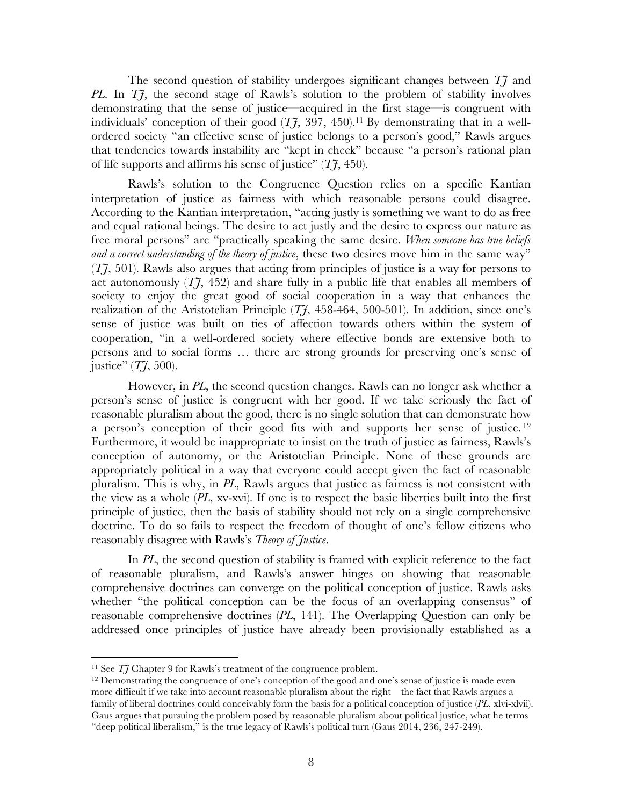The second question of stability undergoes significant changes between *TJ* and *PL*. In *T* $\tilde{\tau}$ , the second stage of Rawls's solution to the problem of stability involves demonstrating that the sense of justice—acquired in the first stage—is congruent with individuals' conception of their good (*TJ*, 397, 450). <sup>11</sup> By demonstrating that in a wellordered society "an effective sense of justice belongs to a person's good," Rawls argues that tendencies towards instability are "kept in check" because "a person's rational plan of life supports and affirms his sense of justice" (*TJ*, 450).

Rawls's solution to the Congruence Question relies on a specific Kantian interpretation of justice as fairness with which reasonable persons could disagree. According to the Kantian interpretation, "acting justly is something we want to do as free and equal rational beings. The desire to act justly and the desire to express our nature as free moral persons" are "practically speaking the same desire. *When someone has true beliefs and a correct understanding of the theory of justice*, these two desires move him in the same way"  $(T<sub>1</sub>, 501)$ . Rawls also argues that acting from principles of justice is a way for persons to act autonomously  $(T<sub>1</sub>, 452)$  and share fully in a public life that enables all members of society to enjoy the great good of social cooperation in a way that enhances the realization of the Aristotelian Principle (*TJ*, 458-464, 500-501). In addition, since one's sense of justice was built on ties of affection towards others within the system of cooperation, "in a well-ordered society where effective bonds are extensive both to persons and to social forms … there are strong grounds for preserving one's sense of justice" (*TJ*, 500).

However, in *PL*, the second question changes. Rawls can no longer ask whether a person's sense of justice is congruent with her good. If we take seriously the fact of reasonable pluralism about the good, there is no single solution that can demonstrate how a person's conception of their good fits with and supports her sense of justice. <sup>12</sup> Furthermore, it would be inappropriate to insist on the truth of justice as fairness, Rawls's conception of autonomy, or the Aristotelian Principle. None of these grounds are appropriately political in a way that everyone could accept given the fact of reasonable pluralism. This is why, in *PL*, Rawls argues that justice as fairness is not consistent with the view as a whole (*PL*, xv-xvi). If one is to respect the basic liberties built into the first principle of justice, then the basis of stability should not rely on a single comprehensive doctrine. To do so fails to respect the freedom of thought of one's fellow citizens who reasonably disagree with Rawls's *Theory of Justice*.

In *PL*, the second question of stability is framed with explicit reference to the fact of reasonable pluralism, and Rawls's answer hinges on showing that reasonable comprehensive doctrines can converge on the political conception of justice. Rawls asks whether "the political conception can be the focus of an overlapping consensus" of reasonable comprehensive doctrines (*PL*, 141). The Overlapping Question can only be addressed once principles of justice have already been provisionally established as a

<sup>11</sup> See *TJ* Chapter 9 for Rawls's treatment of the congruence problem.

<sup>&</sup>lt;sup>12</sup> Demonstrating the congruence of one's conception of the good and one's sense of justice is made even more difficult if we take into account reasonable pluralism about the right—the fact that Rawls argues a family of liberal doctrines could conceivably form the basis for a political conception of justice (*PL*, xlvi-xlvii). Gaus argues that pursuing the problem posed by reasonable pluralism about political justice, what he terms "deep political liberalism," is the true legacy of Rawls's political turn (Gaus 2014, 236, 247-249).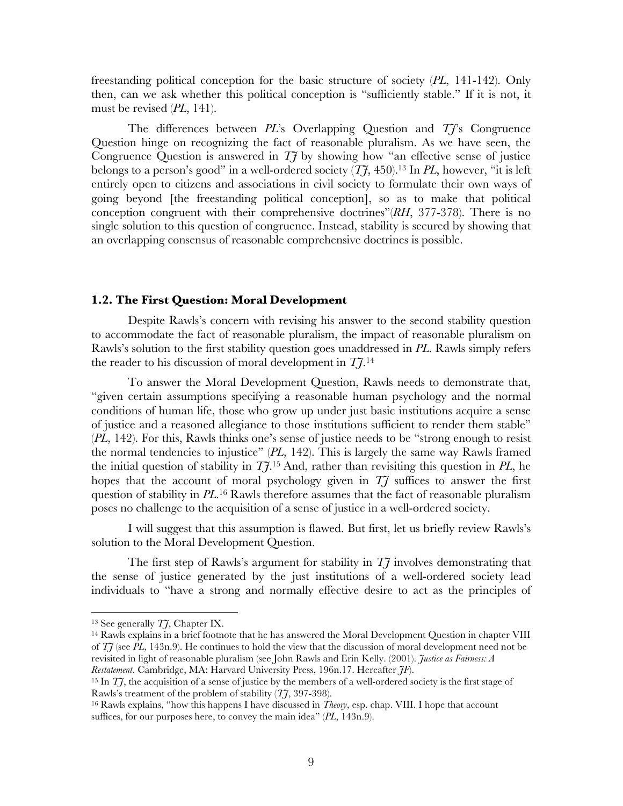freestanding political conception for the basic structure of society (*PL*, 141-142). Only then, can we ask whether this political conception is "sufficiently stable." If it is not, it must be revised (*PL*, 141).

The differences between *PL*'s Overlapping Question and *TJ*'s Congruence Question hinge on recognizing the fact of reasonable pluralism. As we have seen, the Congruence Question is answered in *TJ* by showing how "an effective sense of justice belongs to a person's good" in a well-ordered society (*TJ*, 450). <sup>13</sup> In *PL*, however, "it is left entirely open to citizens and associations in civil society to formulate their own ways of going beyond [the freestanding political conception], so as to make that political conception congruent with their comprehensive doctrines"(*RH*, 377-378). There is no single solution to this question of congruence. Instead, stability is secured by showing that an overlapping consensus of reasonable comprehensive doctrines is possible.

#### **1.2. The First Question: Moral Development**

Despite Rawls's concern with revising his answer to the second stability question to accommodate the fact of reasonable pluralism, the impact of reasonable pluralism on Rawls's solution to the first stability question goes unaddressed in *PL*. Rawls simply refers the reader to his discussion of moral development in *TJ*. 14

To answer the Moral Development Question, Rawls needs to demonstrate that, "given certain assumptions specifying a reasonable human psychology and the normal conditions of human life, those who grow up under just basic institutions acquire a sense of justice and a reasoned allegiance to those institutions sufficient to render them stable" (*PL*, 142). For this, Rawls thinks one's sense of justice needs to be "strong enough to resist the normal tendencies to injustice" (*PL*, 142). This is largely the same way Rawls framed the initial question of stability in *TJ*. <sup>15</sup> And, rather than revisiting this question in *PL*, he hopes that the account of moral psychology given in T<sub>*T*</sub> suffices to answer the first question of stability in *PL*. <sup>16</sup> Rawls therefore assumes that the fact of reasonable pluralism poses no challenge to the acquisition of a sense of justice in a well-ordered society.

I will suggest that this assumption is flawed. But first, let us briefly review Rawls's solution to the Moral Development Question.

The first step of Rawls's argument for stability in  $T\tilde{J}$  involves demonstrating that the sense of justice generated by the just institutions of a well-ordered society lead individuals to "have a strong and normally effective desire to act as the principles of

 

<sup>13</sup> See generally *TJ*, Chapter IX.<br><sup>14</sup> Rawls explains in a brief footnote that he has answered the Moral Development Question in chapter VIII of *TJ* (see *PL*, 143n.9). He continues to hold the view that the discussion of moral development need not be revisited in light of reasonable pluralism (see John Rawls and Erin Kelly. (2001). *Justice as Fairness: A Restatement*. Cambridge, MA: Harvard University Press, 196n.17. Hereafter *JF*).

<sup>15</sup> In *T*<sub>*T*</sub>, the acquisition of a sense of justice by the members of a well-ordered society is the first stage of Rawls's treatment of the problem of stability (*TJ*, 397-398).

<sup>16</sup> Rawls explains, "how this happens I have discussed in *Theory*, esp. chap. VIII. I hope that account suffices, for our purposes here, to convey the main idea" (*PL*, 143n.9).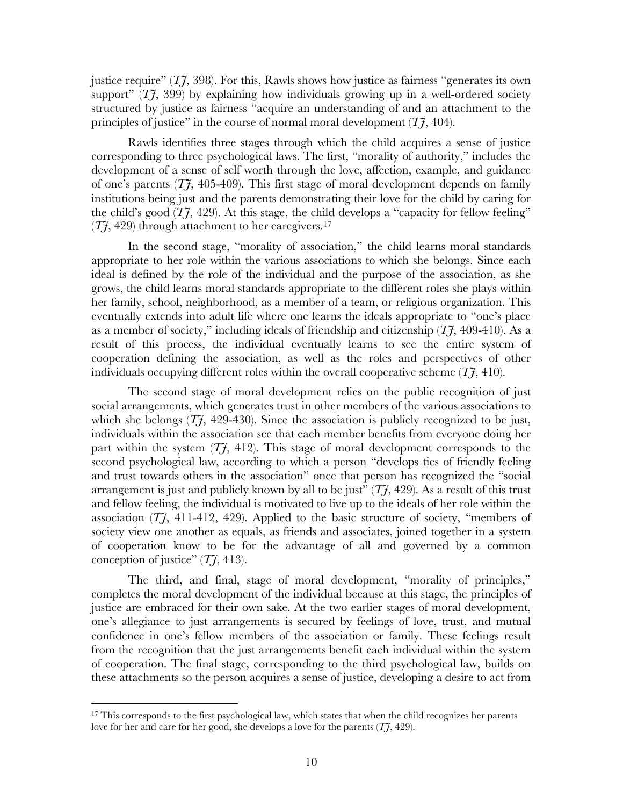justice require" (*TJ*, 398). For this, Rawls shows how justice as fairness "generates its own support"  $(T<sub>1</sub>, 399)$  by explaining how individuals growing up in a well-ordered society structured by justice as fairness "acquire an understanding of and an attachment to the principles of justice" in the course of normal moral development (*TJ*, 404).

Rawls identifies three stages through which the child acquires a sense of justice corresponding to three psychological laws. The first, "morality of authority," includes the development of a sense of self worth through the love, affection, example, and guidance of one's parents (*TJ*, 405-409). This first stage of moral development depends on family institutions being just and the parents demonstrating their love for the child by caring for the child's good (*TJ*, 429). At this stage, the child develops a "capacity for fellow feeling"  $(T<sub>1</sub>, 429)$  through attachment to her caregivers.<sup>17</sup>

In the second stage, "morality of association," the child learns moral standards appropriate to her role within the various associations to which she belongs. Since each ideal is defined by the role of the individual and the purpose of the association, as she grows, the child learns moral standards appropriate to the different roles she plays within her family, school, neighborhood, as a member of a team, or religious organization. This eventually extends into adult life where one learns the ideals appropriate to "one's place as a member of society," including ideals of friendship and citizenship (*TJ*, 409-410). As a result of this process, the individual eventually learns to see the entire system of cooperation defining the association, as well as the roles and perspectives of other individuals occupying different roles within the overall cooperative scheme (*TJ*, 410).

The second stage of moral development relies on the public recognition of just social arrangements, which generates trust in other members of the various associations to which she belongs  $(T<sub>1</sub>, 429-430)$ . Since the association is publicly recognized to be just, individuals within the association see that each member benefits from everyone doing her part within the system (*TJ*, 412). This stage of moral development corresponds to the second psychological law, according to which a person "develops ties of friendly feeling and trust towards others in the association" once that person has recognized the "social arrangement is just and publicly known by all to be just"  $(T<sub>I</sub>, 429)$ . As a result of this trust and fellow feeling, the individual is motivated to live up to the ideals of her role within the association  $(T<sub>1</sub>, 411-412, 429)$ . Applied to the basic structure of society, "members of society view one another as equals, as friends and associates, joined together in a system of cooperation know to be for the advantage of all and governed by a common conception of justice"  $(T<sub>1</sub>, 413)$ .

The third, and final, stage of moral development, "morality of principles," completes the moral development of the individual because at this stage, the principles of justice are embraced for their own sake. At the two earlier stages of moral development, one's allegiance to just arrangements is secured by feelings of love, trust, and mutual confidence in one's fellow members of the association or family. These feelings result from the recognition that the just arrangements benefit each individual within the system of cooperation. The final stage, corresponding to the third psychological law, builds on these attachments so the person acquires a sense of justice, developing a desire to act from

<sup>&</sup>lt;sup>17</sup> This corresponds to the first psychological law, which states that when the child recognizes her parents love for her and care for her good, she develops a love for the parents  $(T<sub>1</sub><sup>7</sup>, 429)$ .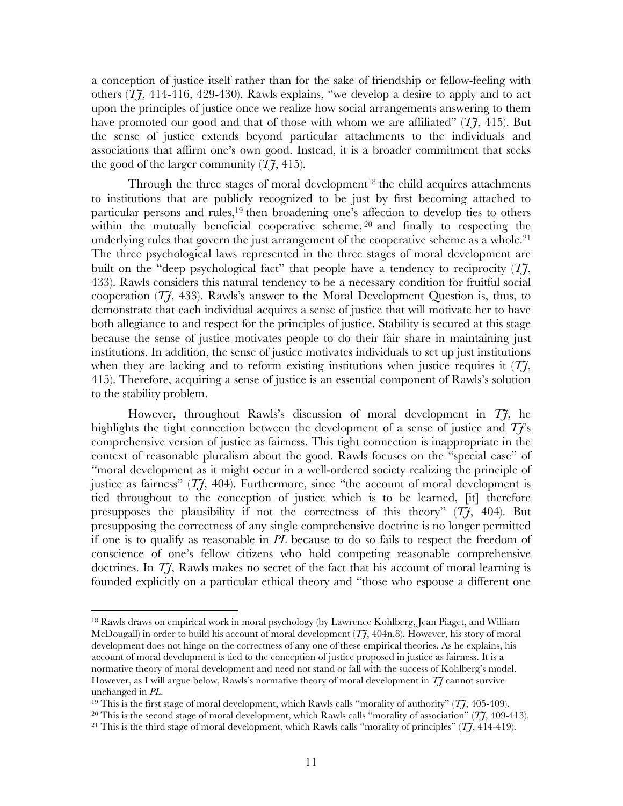a conception of justice itself rather than for the sake of friendship or fellow-feeling with others (*TJ*, 414-416, 429-430). Rawls explains, "we develop a desire to apply and to act upon the principles of justice once we realize how social arrangements answering to them have promoted our good and that of those with whom we are affiliated" (*TJ*, 415). But the sense of justice extends beyond particular attachments to the individuals and associations that affirm one's own good. Instead, it is a broader commitment that seeks the good of the larger community  $(T<sub>1</sub>, 415)$ .

Through the three stages of moral development<sup>18</sup> the child acquires attachments to institutions that are publicly recognized to be just by first becoming attached to particular persons and rules,19 then broadening one's affection to develop ties to others within the mutually beneficial cooperative scheme, <sup>20</sup> and finally to respecting the underlying rules that govern the just arrangement of the cooperative scheme as a whole.<sup>21</sup> The three psychological laws represented in the three stages of moral development are built on the "deep psychological fact" that people have a tendency to reciprocity (*TJ*, 433). Rawls considers this natural tendency to be a necessary condition for fruitful social cooperation (*TJ*, 433). Rawls's answer to the Moral Development Question is, thus, to demonstrate that each individual acquires a sense of justice that will motivate her to have both allegiance to and respect for the principles of justice. Stability is secured at this stage because the sense of justice motivates people to do their fair share in maintaining just institutions. In addition, the sense of justice motivates individuals to set up just institutions when they are lacking and to reform existing institutions when justice requires it (*TJ*, 415). Therefore, acquiring a sense of justice is an essential component of Rawls's solution to the stability problem.

However, throughout Rawls's discussion of moral development in *TJ*, he highlights the tight connection between the development of a sense of justice and  $T\tilde{T}$ 's comprehensive version of justice as fairness. This tight connection is inappropriate in the context of reasonable pluralism about the good. Rawls focuses on the "special case" of "moral development as it might occur in a well-ordered society realizing the principle of justice as fairness" (*TJ*, 404). Furthermore, since "the account of moral development is tied throughout to the conception of justice which is to be learned, [it] therefore presupposes the plausibility if not the correctness of this theory" (*TJ*, 404). But presupposing the correctness of any single comprehensive doctrine is no longer permitted if one is to qualify as reasonable in *PL* because to do so fails to respect the freedom of conscience of one's fellow citizens who hold competing reasonable comprehensive doctrines. In *TJ*, Rawls makes no secret of the fact that his account of moral learning is founded explicitly on a particular ethical theory and "those who espouse a different one

<sup>18</sup> Rawls draws on empirical work in moral psychology (by Lawrence Kohlberg, Jean Piaget, and William McDougall) in order to build his account of moral development (*TJ*, 404n.8). However, his story of moral development does not hinge on the correctness of any one of these empirical theories. As he explains, his account of moral development is tied to the conception of justice proposed in justice as fairness. It is a normative theory of moral development and need not stand or fall with the success of Kohlberg's model. However, as I will argue below, Rawls's normative theory of moral development in *TJ* cannot survive unchanged in *PL*. 19 This is the first stage of moral development, which Rawls calls "morality of authority" (*TJ*, 405-409).

<sup>20</sup> This is the second stage of moral development, which Rawls calls "morality of association" (*TJ*, 409-413).

<sup>21</sup> This is the third stage of moral development, which Rawls calls "morality of principles" (*TJ*, 414-419).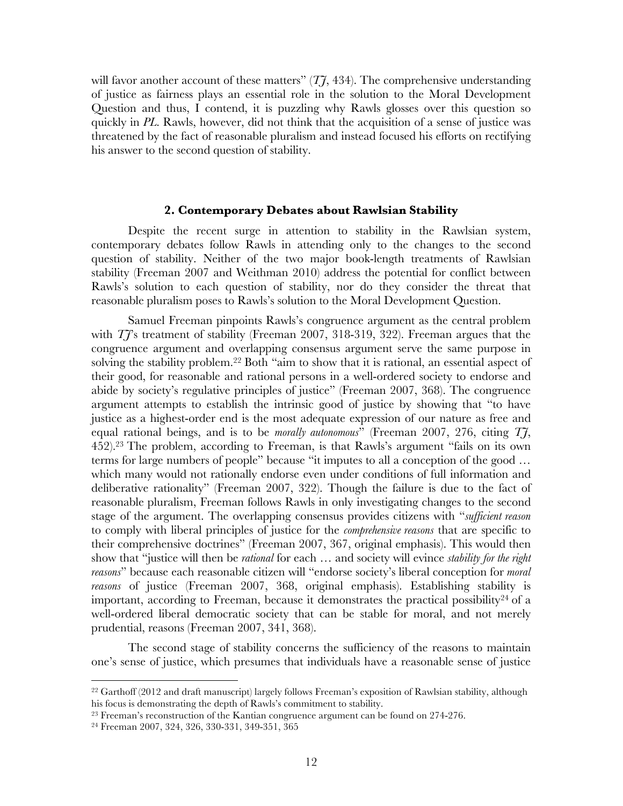will favor another account of these matters" (*TJ*, 434). The comprehensive understanding of justice as fairness plays an essential role in the solution to the Moral Development Question and thus, I contend, it is puzzling why Rawls glosses over this question so quickly in *PL*. Rawls, however, did not think that the acquisition of a sense of justice was threatened by the fact of reasonable pluralism and instead focused his efforts on rectifying his answer to the second question of stability.

#### **2. Contemporary Debates about Rawlsian Stability**

Despite the recent surge in attention to stability in the Rawlsian system, contemporary debates follow Rawls in attending only to the changes to the second question of stability. Neither of the two major book-length treatments of Rawlsian stability (Freeman 2007 and Weithman 2010) address the potential for conflict between Rawls's solution to each question of stability, nor do they consider the threat that reasonable pluralism poses to Rawls's solution to the Moral Development Question.

Samuel Freeman pinpoints Rawls's congruence argument as the central problem with *Tf*'s treatment of stability (Freeman 2007, 318-319, 322). Freeman argues that the congruence argument and overlapping consensus argument serve the same purpose in solving the stability problem.<sup>22</sup> Both "aim to show that it is rational, an essential aspect of their good, for reasonable and rational persons in a well-ordered society to endorse and abide by society's regulative principles of justice" (Freeman 2007, 368). The congruence argument attempts to establish the intrinsic good of justice by showing that "to have justice as a highest-order end is the most adequate expression of our nature as free and equal rational beings, and is to be *morally autonomous*" (Freeman 2007, 276, citing *TJ*, 452).23 The problem, according to Freeman, is that Rawls's argument "fails on its own terms for large numbers of people" because "it imputes to all a conception of the good … which many would not rationally endorse even under conditions of full information and deliberative rationality" (Freeman 2007, 322). Though the failure is due to the fact of reasonable pluralism, Freeman follows Rawls in only investigating changes to the second stage of the argument. The overlapping consensus provides citizens with "*sufficient reason* to comply with liberal principles of justice for the *comprehensive reasons* that are specific to their comprehensive doctrines" (Freeman 2007, 367, original emphasis). This would then show that "justice will then be *rational* for each … and society will evince *stability for the right reasons*" because each reasonable citizen will "endorse society's liberal conception for *moral reasons* of justice (Freeman 2007, 368, original emphasis). Establishing stability is important, according to Freeman, because it demonstrates the practical possibility<sup>24</sup> of a well-ordered liberal democratic society that can be stable for moral, and not merely prudential, reasons (Freeman 2007, 341, 368).

The second stage of stability concerns the sufficiency of the reasons to maintain one's sense of justice, which presumes that individuals have a reasonable sense of justice

<sup>22</sup> Garthoff (2012 and draft manuscript) largely follows Freeman's exposition of Rawlsian stability, although his focus is demonstrating the depth of Rawls's commitment to stability.

 $^{23}$  Freeman's reconstruction of the Kantian congruence argument can be found on  $274-276$ .

<sup>24</sup> Freeman 2007, 324, 326, 330-331, 349-351, 365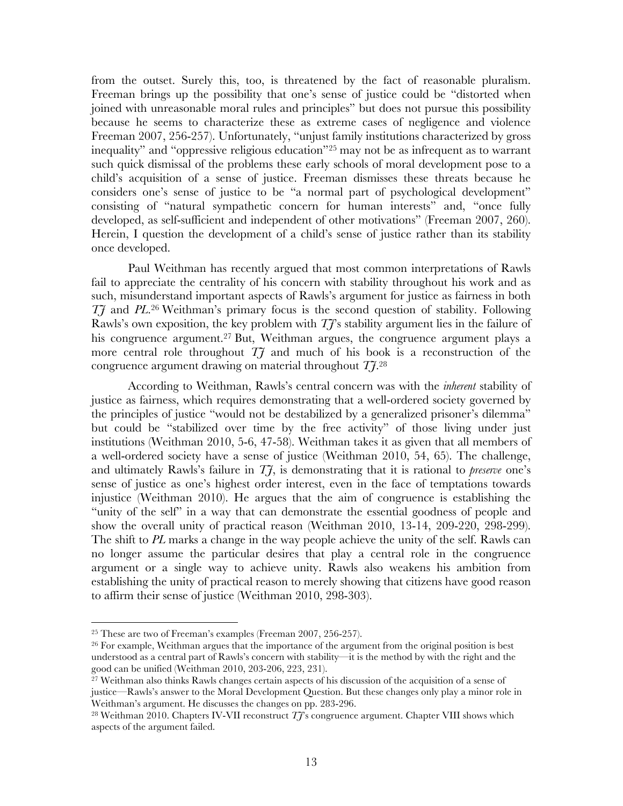from the outset. Surely this, too, is threatened by the fact of reasonable pluralism. Freeman brings up the possibility that one's sense of justice could be "distorted when joined with unreasonable moral rules and principles" but does not pursue this possibility because he seems to characterize these as extreme cases of negligence and violence Freeman 2007, 256-257). Unfortunately, "unjust family institutions characterized by gross inequality" and "oppressive religious education"25 may not be as infrequent as to warrant such quick dismissal of the problems these early schools of moral development pose to a child's acquisition of a sense of justice. Freeman dismisses these threats because he considers one's sense of justice to be "a normal part of psychological development" consisting of "natural sympathetic concern for human interests" and, "once fully developed, as self-sufficient and independent of other motivations" (Freeman 2007, 260). Herein, I question the development of a child's sense of justice rather than its stability once developed.

Paul Weithman has recently argued that most common interpretations of Rawls fail to appreciate the centrality of his concern with stability throughout his work and as such, misunderstand important aspects of Rawls's argument for justice as fairness in both *TJ* and *PL*. <sup>26</sup> Weithman's primary focus is the second question of stability. Following Rawls's own exposition, the key problem with *Tf*'s stability argument lies in the failure of his congruence argument.<sup>27</sup> But, Weithman argues, the congruence argument plays a more central role throughout *TJ* and much of his book is a reconstruction of the congruence argument drawing on material throughout *TJ*. 28

According to Weithman, Rawls's central concern was with the *inherent* stability of justice as fairness, which requires demonstrating that a well-ordered society governed by the principles of justice "would not be destabilized by a generalized prisoner's dilemma" but could be "stabilized over time by the free activity" of those living under just institutions (Weithman 2010, 5-6, 47-58). Weithman takes it as given that all members of a well-ordered society have a sense of justice (Weithman 2010, 54, 65). The challenge, and ultimately Rawls's failure in *TJ*, is demonstrating that it is rational to *preserve* one's sense of justice as one's highest order interest, even in the face of temptations towards injustice (Weithman 2010). He argues that the aim of congruence is establishing the "unity of the self" in a way that can demonstrate the essential goodness of people and show the overall unity of practical reason (Weithman 2010, 13-14, 209-220, 298-299). The shift to *PL* marks a change in the way people achieve the unity of the self. Rawls can no longer assume the particular desires that play a central role in the congruence argument or a single way to achieve unity. Rawls also weakens his ambition from establishing the unity of practical reason to merely showing that citizens have good reason to affirm their sense of justice (Weithman 2010, 298-303).

<sup>25</sup> These are two of Freeman's examples (Freeman 2007, 256-257).

 $26$  For example, Weithman argues that the importance of the argument from the original position is best understood as a central part of Rawls's concern with stability—it is the method by with the right and the good can be unified (Weithman 2010, 203-206, 223, 231).

<sup>27</sup> Weithman also thinks Rawls changes certain aspects of his discussion of the acquisition of a sense of justice—Rawls's answer to the Moral Development Question. But these changes only play a minor role in Weithman's argument. He discusses the changes on pp. 283-296.

<sup>&</sup>lt;sup>28</sup> Weithman 2010. Chapters IV-VII reconstruct  $T\tilde{f}$ 's congruence argument. Chapter VIII shows which aspects of the argument failed.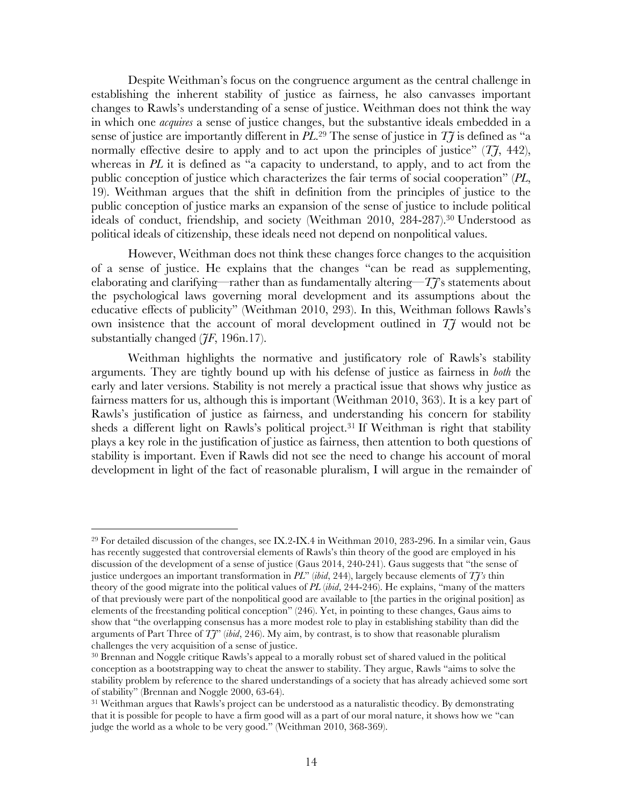Despite Weithman's focus on the congruence argument as the central challenge in establishing the inherent stability of justice as fairness, he also canvasses important changes to Rawls's understanding of a sense of justice. Weithman does not think the way in which one *acquires* a sense of justice changes, but the substantive ideals embedded in a sense of justice are importantly different in *PL*. <sup>29</sup> The sense of justice in *TJ* is defined as "a normally effective desire to apply and to act upon the principles of justice" (*TJ*, 442), whereas in *PL* it is defined as "a capacity to understand, to apply, and to act from the public conception of justice which characterizes the fair terms of social cooperation" (*PL*, 19). Weithman argues that the shift in definition from the principles of justice to the public conception of justice marks an expansion of the sense of justice to include political ideals of conduct, friendship, and society (Weithman 2010, 284-287). <sup>30</sup> Understood as political ideals of citizenship, these ideals need not depend on nonpolitical values.

However, Weithman does not think these changes force changes to the acquisition of a sense of justice. He explains that the changes "can be read as supplementing, elaborating and clarifying—rather than as fundamentally altering— $T\ddot{\tau}$ 's statements about the psychological laws governing moral development and its assumptions about the educative effects of publicity" (Weithman 2010, 293). In this, Weithman follows Rawls's own insistence that the account of moral development outlined in *TJ* would not be substantially changed (*JF*, 196n.17).

Weithman highlights the normative and justificatory role of Rawls's stability arguments. They are tightly bound up with his defense of justice as fairness in *both* the early and later versions. Stability is not merely a practical issue that shows why justice as fairness matters for us, although this is important (Weithman 2010, 363). It is a key part of Rawls's justification of justice as fairness, and understanding his concern for stability sheds a different light on Rawls's political project.<sup>31</sup> If Weithman is right that stability plays a key role in the justification of justice as fairness, then attention to both questions of stability is important. Even if Rawls did not see the need to change his account of moral development in light of the fact of reasonable pluralism, I will argue in the remainder of

<sup>29</sup> For detailed discussion of the changes, see IX.2-IX.4 in Weithman 2010, 283-296. In a similar vein, Gaus has recently suggested that controversial elements of Rawls's thin theory of the good are employed in his discussion of the development of a sense of justice (Gaus 2014, 240-241). Gaus suggests that "the sense of justice undergoes an important transformation in *PL*" (*ibid*, 244), largely because elements of *TJ's* thin theory of the good migrate into the political values of *PL* (*ibid*, 244-246). He explains, "many of the matters of that previously were part of the nonpolitical good are available to [the parties in the original position] as elements of the freestanding political conception" (246). Yet, in pointing to these changes, Gaus aims to show that "the overlapping consensus has a more modest role to play in establishing stability than did the arguments of Part Three of *TJ*" (*ibid*, 246). My aim, by contrast, is to show that reasonable pluralism challenges the very acquisition of a sense of justice.

<sup>30</sup> Brennan and Noggle critique Rawls's appeal to a morally robust set of shared valued in the political conception as a bootstrapping way to cheat the answer to stability. They argue, Rawls "aims to solve the stability problem by reference to the shared understandings of a society that has already achieved some sort of stability" (Brennan and Noggle 2000, 63-64).

<sup>&</sup>lt;sup>31</sup> Weithman argues that Rawls's project can be understood as a naturalistic theodicy. By demonstrating that it is possible for people to have a firm good will as a part of our moral nature, it shows how we "can judge the world as a whole to be very good." (Weithman 2010, 368-369).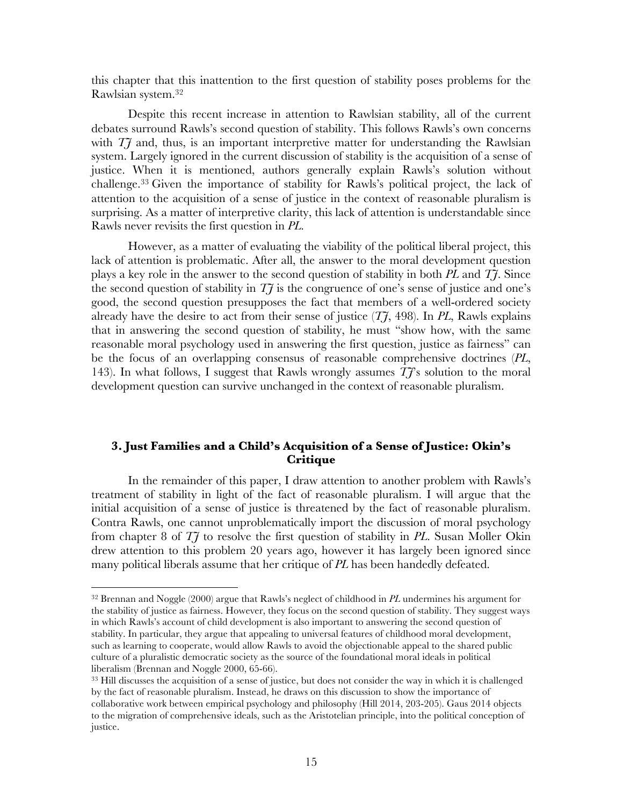this chapter that this inattention to the first question of stability poses problems for the Rawlsian system.32

Despite this recent increase in attention to Rawlsian stability, all of the current debates surround Rawls's second question of stability. This follows Rawls's own concerns with  $T\tilde{\jmath}$  and, thus, is an important interpretive matter for understanding the Rawlsian system. Largely ignored in the current discussion of stability is the acquisition of a sense of justice. When it is mentioned, authors generally explain Rawls's solution without challenge.33 Given the importance of stability for Rawls's political project, the lack of attention to the acquisition of a sense of justice in the context of reasonable pluralism is surprising. As a matter of interpretive clarity, this lack of attention is understandable since Rawls never revisits the first question in *PL*.

However, as a matter of evaluating the viability of the political liberal project, this lack of attention is problematic. After all, the answer to the moral development question plays a key role in the answer to the second question of stability in both *PL* and *TJ*. Since the second question of stability in  $T\tilde{\jmath}$  is the congruence of one's sense of justice and one's good, the second question presupposes the fact that members of a well-ordered society already have the desire to act from their sense of justice  $(T<sub>I</sub>, 498)$ . In *PL*, Rawls explains that in answering the second question of stability, he must "show how, with the same reasonable moral psychology used in answering the first question, justice as fairness" can be the focus of an overlapping consensus of reasonable comprehensive doctrines (*PL*, 143). In what follows, I suggest that Rawls wrongly assumes *Tf*'s solution to the moral development question can survive unchanged in the context of reasonable pluralism.

# **3. Just Families and a Child's Acquisition of a Sense of Justice: Okin's Critique**

In the remainder of this paper, I draw attention to another problem with Rawls's treatment of stability in light of the fact of reasonable pluralism. I will argue that the initial acquisition of a sense of justice is threatened by the fact of reasonable pluralism. Contra Rawls, one cannot unproblematically import the discussion of moral psychology from chapter 8 of *TJ* to resolve the first question of stability in *PL*. Susan Moller Okin drew attention to this problem 20 years ago, however it has largely been ignored since many political liberals assume that her critique of *PL* has been handedly defeated.

<sup>32</sup> Brennan and Noggle (2000) argue that Rawls's neglect of childhood in *PL* undermines his argument for the stability of justice as fairness. However, they focus on the second question of stability. They suggest ways in which Rawls's account of child development is also important to answering the second question of stability. In particular, they argue that appealing to universal features of childhood moral development, such as learning to cooperate, would allow Rawls to avoid the objectionable appeal to the shared public culture of a pluralistic democratic society as the source of the foundational moral ideals in political liberalism (Brennan and Noggle 2000, 65-66).<br><sup>33</sup> Hill discusses the acquisition of a sense of justice, but does not consider the way in which it is challenged

by the fact of reasonable pluralism. Instead, he draws on this discussion to show the importance of collaborative work between empirical psychology and philosophy (Hill 2014, 203-205). Gaus 2014 objects to the migration of comprehensive ideals, such as the Aristotelian principle, into the political conception of justice.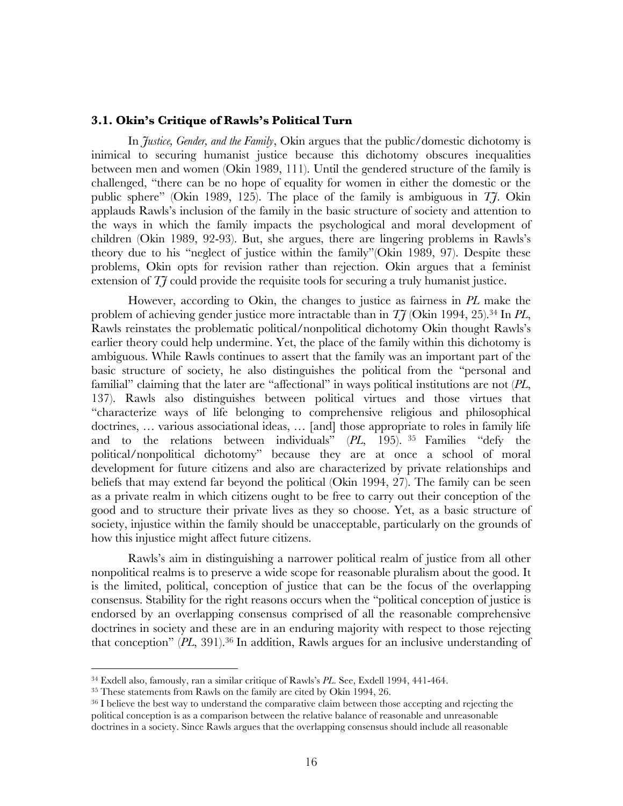### **3.1. Okin's Critique of Rawls's Political Turn**

In *Justice, Gender, and the Family*, Okin argues that the public/domestic dichotomy is inimical to securing humanist justice because this dichotomy obscures inequalities between men and women (Okin 1989, 111). Until the gendered structure of the family is challenged, "there can be no hope of equality for women in either the domestic or the public sphere" (Okin 1989, 125). The place of the family is ambiguous in *TJ*. Okin applauds Rawls's inclusion of the family in the basic structure of society and attention to the ways in which the family impacts the psychological and moral development of children (Okin 1989, 92-93). But, she argues, there are lingering problems in Rawls's theory due to his "neglect of justice within the family"(Okin 1989, 97). Despite these problems, Okin opts for revision rather than rejection. Okin argues that a feminist extension of *TJ* could provide the requisite tools for securing a truly humanist justice.

However, according to Okin, the changes to justice as fairness in *PL* make the problem of achieving gender justice more intractable than in *TJ* (Okin 1994, 25).34 In *PL*, Rawls reinstates the problematic political/nonpolitical dichotomy Okin thought Rawls's earlier theory could help undermine. Yet, the place of the family within this dichotomy is ambiguous. While Rawls continues to assert that the family was an important part of the basic structure of society, he also distinguishes the political from the "personal and familial" claiming that the later are "affectional" in ways political institutions are not (*PL*, 137). Rawls also distinguishes between political virtues and those virtues that "characterize ways of life belonging to comprehensive religious and philosophical doctrines, … various associational ideas, … [and] those appropriate to roles in family life and to the relations between individuals" (*PL*, 195). <sup>35</sup> Families "defy the political/nonpolitical dichotomy" because they are at once a school of moral development for future citizens and also are characterized by private relationships and beliefs that may extend far beyond the political (Okin 1994, 27). The family can be seen as a private realm in which citizens ought to be free to carry out their conception of the good and to structure their private lives as they so choose. Yet, as a basic structure of society, injustice within the family should be unacceptable, particularly on the grounds of how this injustice might affect future citizens.

Rawls's aim in distinguishing a narrower political realm of justice from all other nonpolitical realms is to preserve a wide scope for reasonable pluralism about the good. It is the limited, political, conception of justice that can be the focus of the overlapping consensus. Stability for the right reasons occurs when the "political conception of justice is endorsed by an overlapping consensus comprised of all the reasonable comprehensive doctrines in society and these are in an enduring majority with respect to those rejecting that conception" (*PL*, 391).36 In addition, Rawls argues for an inclusive understanding of

<sup>34</sup> Exdell also, famously, ran a similar critique of Rawls's *PL*. See, Exdell 1994, 441-464. 35 These statements from Rawls on the family are cited by Okin 1994, 26.

<sup>&</sup>lt;sup>36</sup> I believe the best way to understand the comparative claim between those accepting and rejecting the political conception is as a comparison between the relative balance of reasonable and unreasonable doctrines in a society. Since Rawls argues that the overlapping consensus should include all reasonable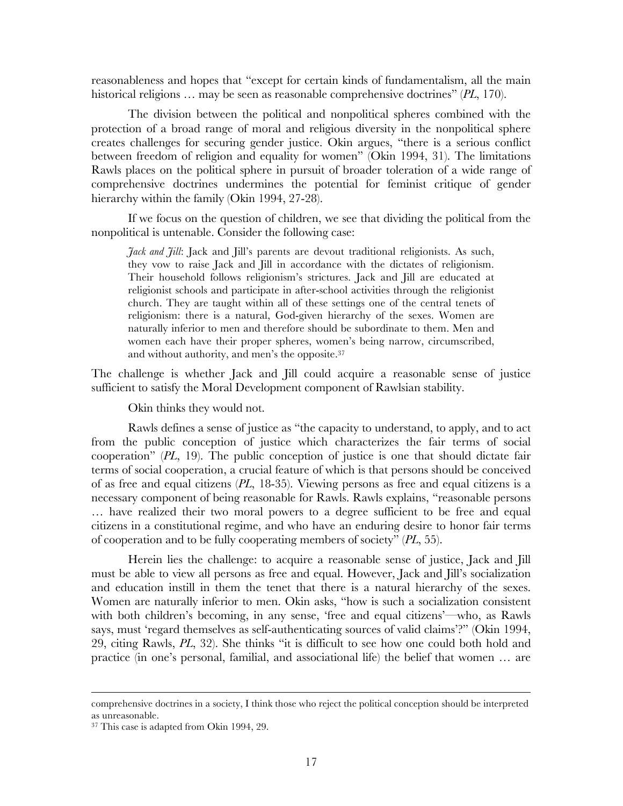reasonableness and hopes that "except for certain kinds of fundamentalism, all the main historical religions … may be seen as reasonable comprehensive doctrines" (*PL*, 170).

The division between the political and nonpolitical spheres combined with the protection of a broad range of moral and religious diversity in the nonpolitical sphere creates challenges for securing gender justice. Okin argues, "there is a serious conflict between freedom of religion and equality for women" (Okin 1994, 31). The limitations Rawls places on the political sphere in pursuit of broader toleration of a wide range of comprehensive doctrines undermines the potential for feminist critique of gender hierarchy within the family (Okin 1994, 27-28).

If we focus on the question of children, we see that dividing the political from the nonpolitical is untenable. Consider the following case:

*Jack and Jill*: Jack and Jill's parents are devout traditional religionists. As such, they vow to raise Jack and Jill in accordance with the dictates of religionism. Their household follows religionism's strictures. Jack and Jill are educated at religionist schools and participate in after-school activities through the religionist church. They are taught within all of these settings one of the central tenets of religionism: there is a natural, God-given hierarchy of the sexes. Women are naturally inferior to men and therefore should be subordinate to them. Men and women each have their proper spheres, women's being narrow, circumscribed, and without authority, and men's the opposite.37

The challenge is whether Jack and Jill could acquire a reasonable sense of justice sufficient to satisfy the Moral Development component of Rawlsian stability.

Okin thinks they would not.

Rawls defines a sense of justice as "the capacity to understand, to apply, and to act from the public conception of justice which characterizes the fair terms of social cooperation" (*PL*, 19). The public conception of justice is one that should dictate fair terms of social cooperation, a crucial feature of which is that persons should be conceived of as free and equal citizens (*PL*, 18-35). Viewing persons as free and equal citizens is a necessary component of being reasonable for Rawls. Rawls explains, "reasonable persons … have realized their two moral powers to a degree sufficient to be free and equal citizens in a constitutional regime, and who have an enduring desire to honor fair terms of cooperation and to be fully cooperating members of society" (*PL*, 55).

Herein lies the challenge: to acquire a reasonable sense of justice, Jack and Jill must be able to view all persons as free and equal. However, Jack and Jill's socialization and education instill in them the tenet that there is a natural hierarchy of the sexes. Women are naturally inferior to men. Okin asks, "how is such a socialization consistent with both children's becoming, in any sense, 'free and equal citizens'—who, as Rawls says, must 'regard themselves as self-authenticating sources of valid claims'?" (Okin 1994, 29, citing Rawls, *PL*, 32). She thinks "it is difficult to see how one could both hold and practice (in one's personal, familial, and associational life) the belief that women … are

<sup>&</sup>lt;u> 2002 - Andrea San Andrea San Andrea San Andrea San Andrea San Andrea San Andrea San Andrea San Andrea San An</u> comprehensive doctrines in a society, I think those who reject the political conception should be interpreted as unreasonable.

<sup>37</sup> This case is adapted from Okin 1994, 29.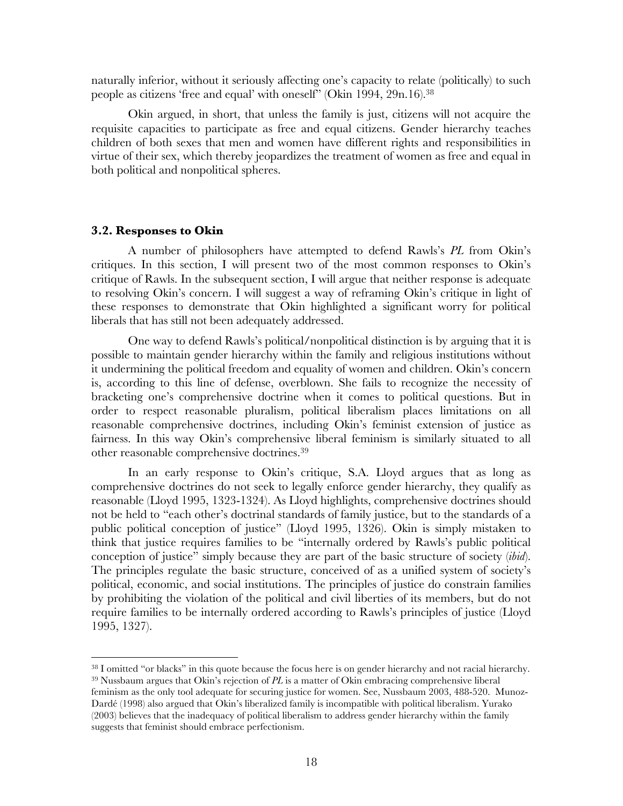naturally inferior, without it seriously affecting one's capacity to relate (politically) to such people as citizens 'free and equal' with oneself" (Okin 1994, 29n.16).38

Okin argued, in short, that unless the family is just, citizens will not acquire the requisite capacities to participate as free and equal citizens. Gender hierarchy teaches children of both sexes that men and women have different rights and responsibilities in virtue of their sex, which thereby jeopardizes the treatment of women as free and equal in both political and nonpolitical spheres.

#### **3.2. Responses to Okin**

A number of philosophers have attempted to defend Rawls's *PL* from Okin's critiques. In this section, I will present two of the most common responses to Okin's critique of Rawls. In the subsequent section, I will argue that neither response is adequate to resolving Okin's concern. I will suggest a way of reframing Okin's critique in light of these responses to demonstrate that Okin highlighted a significant worry for political liberals that has still not been adequately addressed.

One way to defend Rawls's political/nonpolitical distinction is by arguing that it is possible to maintain gender hierarchy within the family and religious institutions without it undermining the political freedom and equality of women and children. Okin's concern is, according to this line of defense, overblown. She fails to recognize the necessity of bracketing one's comprehensive doctrine when it comes to political questions. But in order to respect reasonable pluralism, political liberalism places limitations on all reasonable comprehensive doctrines, including Okin's feminist extension of justice as fairness. In this way Okin's comprehensive liberal feminism is similarly situated to all other reasonable comprehensive doctrines.39

In an early response to Okin's critique, S.A. Lloyd argues that as long as comprehensive doctrines do not seek to legally enforce gender hierarchy, they qualify as reasonable (Lloyd 1995, 1323-1324). As Lloyd highlights, comprehensive doctrines should not be held to "each other's doctrinal standards of family justice, but to the standards of a public political conception of justice" (Lloyd 1995, 1326). Okin is simply mistaken to think that justice requires families to be "internally ordered by Rawls's public political conception of justice" simply because they are part of the basic structure of society (*ibid*). The principles regulate the basic structure, conceived of as a unified system of society's political, economic, and social institutions. The principles of justice do constrain families by prohibiting the violation of the political and civil liberties of its members, but do not require families to be internally ordered according to Rawls's principles of justice (Lloyd 1995, 1327).

<sup>38</sup> I omitted "or blacks" in this quote because the focus here is on gender hierarchy and not racial hierarchy. <sup>39</sup> Nussbaum argues that Okin's rejection of *PL* is a matter of Okin embracing comprehensive liberal feminism as the only tool adequate for securing justice for women. See, Nussbaum 2003, 488-520. Munoz-Dardé (1998) also argued that Okin's liberalized family is incompatible with political liberalism. Yurako (2003) believes that the inadequacy of political liberalism to address gender hierarchy within the family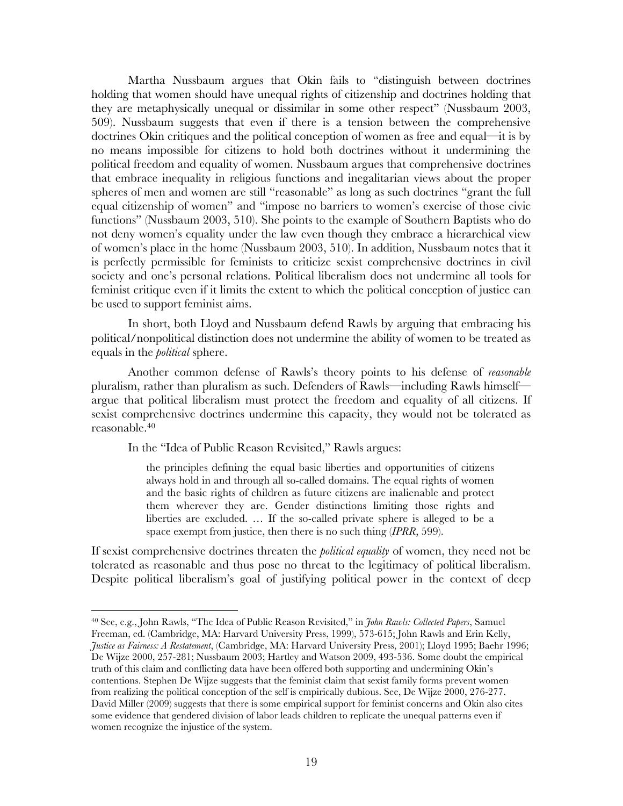Martha Nussbaum argues that Okin fails to "distinguish between doctrines holding that women should have unequal rights of citizenship and doctrines holding that they are metaphysically unequal or dissimilar in some other respect" (Nussbaum 2003, 509). Nussbaum suggests that even if there is a tension between the comprehensive doctrines Okin critiques and the political conception of women as free and equal—it is by no means impossible for citizens to hold both doctrines without it undermining the political freedom and equality of women. Nussbaum argues that comprehensive doctrines that embrace inequality in religious functions and inegalitarian views about the proper spheres of men and women are still "reasonable" as long as such doctrines "grant the full equal citizenship of women" and "impose no barriers to women's exercise of those civic functions" (Nussbaum 2003, 510). She points to the example of Southern Baptists who do not deny women's equality under the law even though they embrace a hierarchical view of women's place in the home (Nussbaum 2003, 510). In addition, Nussbaum notes that it is perfectly permissible for feminists to criticize sexist comprehensive doctrines in civil society and one's personal relations. Political liberalism does not undermine all tools for feminist critique even if it limits the extent to which the political conception of justice can be used to support feminist aims.

In short, both Lloyd and Nussbaum defend Rawls by arguing that embracing his political/nonpolitical distinction does not undermine the ability of women to be treated as equals in the *political* sphere.

Another common defense of Rawls's theory points to his defense of *reasonable* pluralism, rather than pluralism as such. Defenders of Rawls—including Rawls himself argue that political liberalism must protect the freedom and equality of all citizens. If sexist comprehensive doctrines undermine this capacity, they would not be tolerated as reasonable.40

In the "Idea of Public Reason Revisited," Rawls argues:

 

the principles defining the equal basic liberties and opportunities of citizens always hold in and through all so-called domains. The equal rights of women and the basic rights of children as future citizens are inalienable and protect them wherever they are. Gender distinctions limiting those rights and liberties are excluded. … If the so-called private sphere is alleged to be a space exempt from justice, then there is no such thing (*IPRR*, 599).

If sexist comprehensive doctrines threaten the *political equality* of women, they need not be tolerated as reasonable and thus pose no threat to the legitimacy of political liberalism. Despite political liberalism's goal of justifying political power in the context of deep

<sup>40</sup> See, e.g., John Rawls, "The Idea of Public Reason Revisited," in *John Rawls: Collected Papers*, Samuel Freeman, ed. (Cambridge, MA: Harvard University Press, 1999), 573-615; John Rawls and Erin Kelly, *Justice as Fairness: A Restatement*, (Cambridge, MA: Harvard University Press, 2001); Lloyd 1995; Baehr 1996; De Wijze 2000, 257-281; Nussbaum 2003; Hartley and Watson 2009, 493-536. Some doubt the empirical truth of this claim and conflicting data have been offered both supporting and undermining Okin's contentions. Stephen De Wijze suggests that the feminist claim that sexist family forms prevent women from realizing the political conception of the self is empirically dubious. See, De Wijze 2000, 276-277. David Miller (2009) suggests that there is some empirical support for feminist concerns and Okin also cites some evidence that gendered division of labor leads children to replicate the unequal patterns even if women recognize the injustice of the system.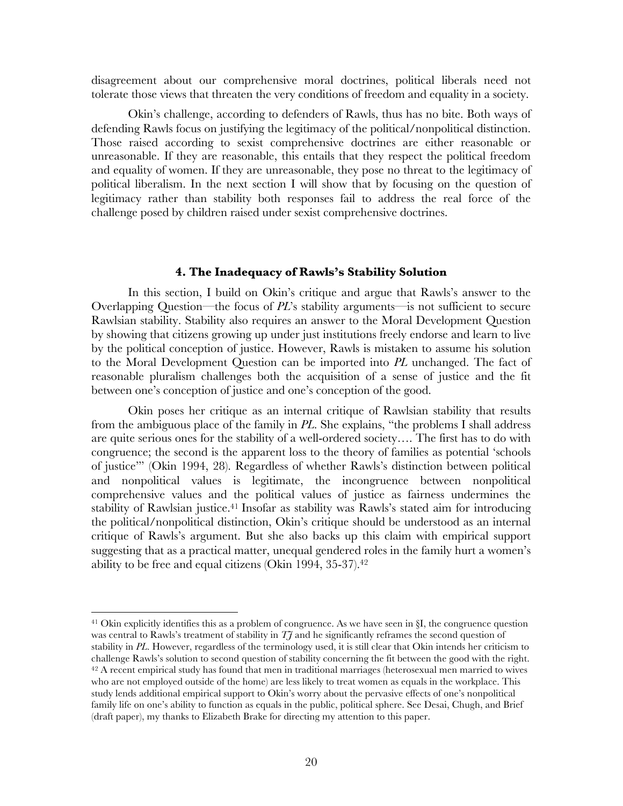disagreement about our comprehensive moral doctrines, political liberals need not tolerate those views that threaten the very conditions of freedom and equality in a society.

Okin's challenge, according to defenders of Rawls, thus has no bite. Both ways of defending Rawls focus on justifying the legitimacy of the political/nonpolitical distinction. Those raised according to sexist comprehensive doctrines are either reasonable or unreasonable. If they are reasonable, this entails that they respect the political freedom and equality of women. If they are unreasonable, they pose no threat to the legitimacy of political liberalism. In the next section I will show that by focusing on the question of legitimacy rather than stability both responses fail to address the real force of the challenge posed by children raised under sexist comprehensive doctrines.

#### **4. The Inadequacy of Rawls's Stability Solution**

In this section, I build on Okin's critique and argue that Rawls's answer to the Overlapping Question—the focus of *PL*'s stability arguments—is not sufficient to secure Rawlsian stability. Stability also requires an answer to the Moral Development Question by showing that citizens growing up under just institutions freely endorse and learn to live by the political conception of justice. However, Rawls is mistaken to assume his solution to the Moral Development Question can be imported into *PL* unchanged. The fact of reasonable pluralism challenges both the acquisition of a sense of justice and the fit between one's conception of justice and one's conception of the good.

Okin poses her critique as an internal critique of Rawlsian stability that results from the ambiguous place of the family in *PL*. She explains, "the problems I shall address are quite serious ones for the stability of a well-ordered society…. The first has to do with congruence; the second is the apparent loss to the theory of families as potential 'schools of justice'" (Okin 1994, 28). Regardless of whether Rawls's distinction between political and nonpolitical values is legitimate, the incongruence between nonpolitical comprehensive values and the political values of justice as fairness undermines the stability of Rawlsian justice.<sup>41</sup> Insofar as stability was Rawls's stated aim for introducing the political/nonpolitical distinction, Okin's critique should be understood as an internal critique of Rawls's argument. But she also backs up this claim with empirical support suggesting that as a practical matter, unequal gendered roles in the family hurt a women's ability to be free and equal citizens (Okin 1994, 35-37).42

<sup>&</sup>lt;sup>41</sup> Okin explicitly identifies this as a problem of congruence. As we have seen in  $\Sigma$ , the congruence question was central to Rawls's treatment of stability in *TJ* and he significantly reframes the second question of stability in *PL*. However, regardless of the terminology used, it is still clear that Okin intends her criticism to challenge Rawls's solution to second question of stability concerning the fit between the good with the right.  $42$  A recent empirical study has found that men in traditional marriages (heterosexual men married to wives who are not employed outside of the home) are less likely to treat women as equals in the workplace. This study lends additional empirical support to Okin's worry about the pervasive effects of one's nonpolitical family life on one's ability to function as equals in the public, political sphere. See Desai, Chugh, and Brief

<sup>(</sup>draft paper), my thanks to Elizabeth Brake for directing my attention to this paper.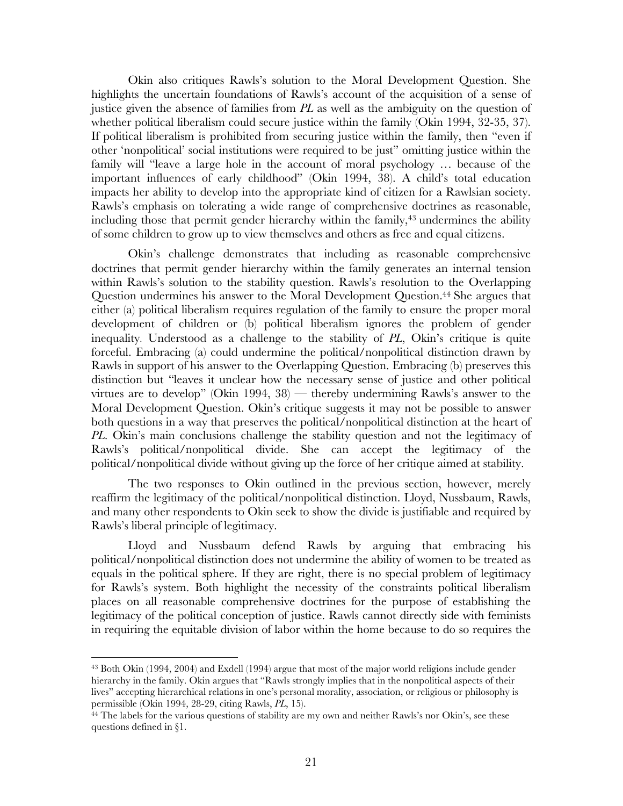Okin also critiques Rawls's solution to the Moral Development Question. She highlights the uncertain foundations of Rawls's account of the acquisition of a sense of justice given the absence of families from *PL* as well as the ambiguity on the question of whether political liberalism could secure justice within the family (Okin 1994, 32-35, 37). If political liberalism is prohibited from securing justice within the family, then "even if other 'nonpolitical' social institutions were required to be just" omitting justice within the family will "leave a large hole in the account of moral psychology … because of the important influences of early childhood" (Okin 1994, 38). A child's total education impacts her ability to develop into the appropriate kind of citizen for a Rawlsian society. Rawls's emphasis on tolerating a wide range of comprehensive doctrines as reasonable, including those that permit gender hierarchy within the family, $43$  undermines the ability of some children to grow up to view themselves and others as free and equal citizens.

Okin's challenge demonstrates that including as reasonable comprehensive doctrines that permit gender hierarchy within the family generates an internal tension within Rawls's solution to the stability question. Rawls's resolution to the Overlapping Question undermines his answer to the Moral Development Question.<sup>44</sup> She argues that either (a) political liberalism requires regulation of the family to ensure the proper moral development of children or (b) political liberalism ignores the problem of gender inequality. Understood as a challenge to the stability of *PL*, Okin's critique is quite forceful. Embracing (a) could undermine the political/nonpolitical distinction drawn by Rawls in support of his answer to the Overlapping Question. Embracing (b) preserves this distinction but "leaves it unclear how the necessary sense of justice and other political virtues are to develop" (Okin 1994, 38) — thereby undermining Rawls's answer to the Moral Development Question. Okin's critique suggests it may not be possible to answer both questions in a way that preserves the political/nonpolitical distinction at the heart of *PL*. Okin's main conclusions challenge the stability question and not the legitimacy of Rawls's political/nonpolitical divide. She can accept the legitimacy of the political/nonpolitical divide without giving up the force of her critique aimed at stability.

The two responses to Okin outlined in the previous section, however, merely reaffirm the legitimacy of the political/nonpolitical distinction. Lloyd, Nussbaum, Rawls, and many other respondents to Okin seek to show the divide is justifiable and required by Rawls's liberal principle of legitimacy.

Lloyd and Nussbaum defend Rawls by arguing that embracing his political/nonpolitical distinction does not undermine the ability of women to be treated as equals in the political sphere. If they are right, there is no special problem of legitimacy for Rawls's system. Both highlight the necessity of the constraints political liberalism places on all reasonable comprehensive doctrines for the purpose of establishing the legitimacy of the political conception of justice. Rawls cannot directly side with feminists in requiring the equitable division of labor within the home because to do so requires the

<sup>43</sup> Both Okin (1994, 2004) and Exdell (1994) argue that most of the major world religions include gender hierarchy in the family. Okin argues that "Rawls strongly implies that in the nonpolitical aspects of their lives" accepting hierarchical relations in one's personal morality, association, or religious or philosophy is permissible (Okin 1994, 28-29, citing Rawls, *PL*, 15).<br><sup>44</sup> The labels for the various questions of stability are my own and neither Rawls's nor Okin's, see these

questions defined in §1.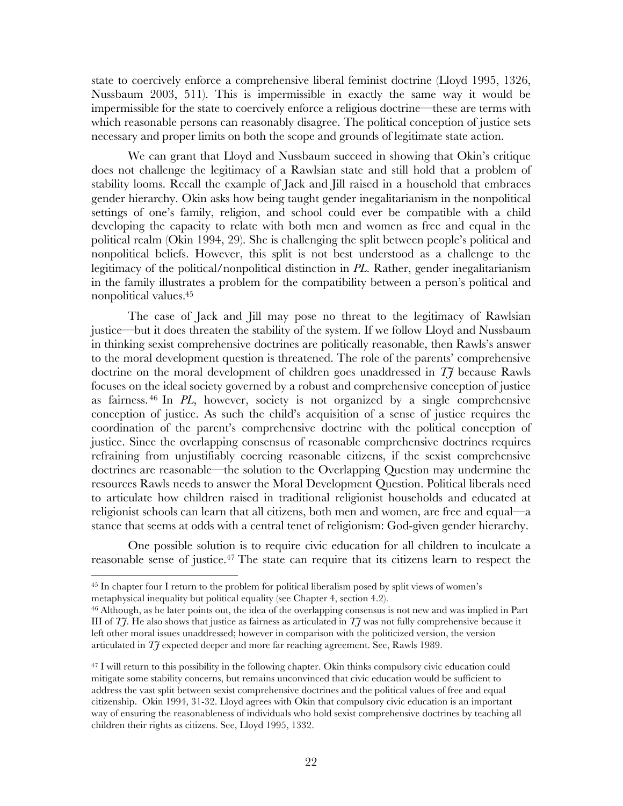state to coercively enforce a comprehensive liberal feminist doctrine (Lloyd 1995, 1326, Nussbaum 2003, 511). This is impermissible in exactly the same way it would be impermissible for the state to coercively enforce a religious doctrine—these are terms with which reasonable persons can reasonably disagree. The political conception of justice sets necessary and proper limits on both the scope and grounds of legitimate state action.

We can grant that Lloyd and Nussbaum succeed in showing that Okin's critique does not challenge the legitimacy of a Rawlsian state and still hold that a problem of stability looms. Recall the example of Jack and Jill raised in a household that embraces gender hierarchy. Okin asks how being taught gender inegalitarianism in the nonpolitical settings of one's family, religion, and school could ever be compatible with a child developing the capacity to relate with both men and women as free and equal in the political realm (Okin 1994, 29). She is challenging the split between people's political and nonpolitical beliefs. However, this split is not best understood as a challenge to the legitimacy of the political/nonpolitical distinction in *PL*. Rather, gender inegalitarianism in the family illustrates a problem for the compatibility between a person's political and nonpolitical values.45

The case of Jack and Jill may pose no threat to the legitimacy of Rawlsian justice—but it does threaten the stability of the system. If we follow Lloyd and Nussbaum in thinking sexist comprehensive doctrines are politically reasonable, then Rawls's answer to the moral development question is threatened. The role of the parents' comprehensive doctrine on the moral development of children goes unaddressed in *TJ* because Rawls focuses on the ideal society governed by a robust and comprehensive conception of justice as fairness. <sup>46</sup> In *PL*, however, society is not organized by a single comprehensive conception of justice. As such the child's acquisition of a sense of justice requires the coordination of the parent's comprehensive doctrine with the political conception of justice. Since the overlapping consensus of reasonable comprehensive doctrines requires refraining from unjustifiably coercing reasonable citizens, if the sexist comprehensive doctrines are reasonable—the solution to the Overlapping Question may undermine the resources Rawls needs to answer the Moral Development Question. Political liberals need to articulate how children raised in traditional religionist households and educated at religionist schools can learn that all citizens, both men and women, are free and equal—a stance that seems at odds with a central tenet of religionism: God-given gender hierarchy.

One possible solution is to require civic education for all children to inculcate a reasonable sense of justice.47 The state can require that its citizens learn to respect the

<sup>45</sup> In chapter four I return to the problem for political liberalism posed by split views of women's metaphysical inequality but political equality (see Chapter 4, section 4.2).

<sup>46</sup> Although, as he later points out, the idea of the overlapping consensus is not new and was implied in Part III of *TJ*. He also shows that justice as fairness as articulated in *TJ* was not fully comprehensive because it left other moral issues unaddressed; however in comparison with the politicized version, the version articulated in *TJ* expected deeper and more far reaching agreement. See, Rawls 1989.

<sup>47</sup> I will return to this possibility in the following chapter. Okin thinks compulsory civic education could mitigate some stability concerns, but remains unconvinced that civic education would be sufficient to address the vast split between sexist comprehensive doctrines and the political values of free and equal citizenship. Okin 1994, 31-32. Lloyd agrees with Okin that compulsory civic education is an important way of ensuring the reasonableness of individuals who hold sexist comprehensive doctrines by teaching all children their rights as citizens. See, Lloyd 1995, 1332.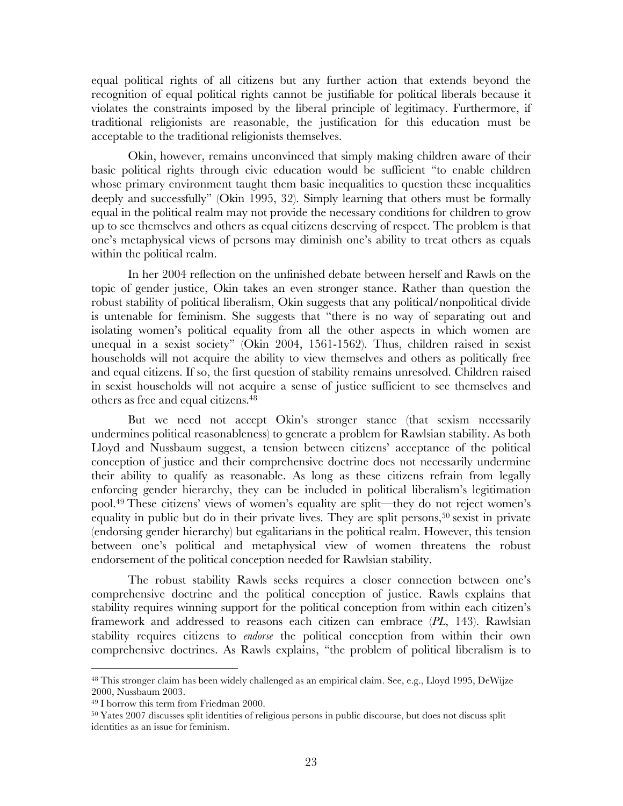equal political rights of all citizens but any further action that extends beyond the recognition of equal political rights cannot be justifiable for political liberals because it violates the constraints imposed by the liberal principle of legitimacy. Furthermore, if traditional religionists are reasonable, the justification for this education must be acceptable to the traditional religionists themselves.

Okin, however, remains unconvinced that simply making children aware of their basic political rights through civic education would be sufficient "to enable children whose primary environment taught them basic inequalities to question these inequalities deeply and successfully" (Okin 1995, 32). Simply learning that others must be formally equal in the political realm may not provide the necessary conditions for children to grow up to see themselves and others as equal citizens deserving of respect. The problem is that one's metaphysical views of persons may diminish one's ability to treat others as equals within the political realm.

In her 2004 reflection on the unfinished debate between herself and Rawls on the topic of gender justice, Okin takes an even stronger stance. Rather than question the robust stability of political liberalism, Okin suggests that any political/nonpolitical divide is untenable for feminism. She suggests that "there is no way of separating out and isolating women's political equality from all the other aspects in which women are unequal in a sexist society" (Okin 2004, 1561-1562). Thus, children raised in sexist households will not acquire the ability to view themselves and others as politically free and equal citizens. If so, the first question of stability remains unresolved. Children raised in sexist households will not acquire a sense of justice sufficient to see themselves and others as free and equal citizens.48

But we need not accept Okin's stronger stance (that sexism necessarily undermines political reasonableness) to generate a problem for Rawlsian stability. As both Lloyd and Nussbaum suggest, a tension between citizens' acceptance of the political conception of justice and their comprehensive doctrine does not necessarily undermine their ability to qualify as reasonable. As long as these citizens refrain from legally enforcing gender hierarchy, they can be included in political liberalism's legitimation pool.49 These citizens' views of women's equality are split—they do not reject women's equality in public but do in their private lives. They are split persons,<sup>50</sup> sexist in private (endorsing gender hierarchy) but egalitarians in the political realm. However, this tension between one's political and metaphysical view of women threatens the robust endorsement of the political conception needed for Rawlsian stability.

The robust stability Rawls seeks requires a closer connection between one's comprehensive doctrine and the political conception of justice. Rawls explains that stability requires winning support for the political conception from within each citizen's framework and addressed to reasons each citizen can embrace (*PL*, 143). Rawlsian stability requires citizens to *endorse* the political conception from within their own comprehensive doctrines. As Rawls explains, "the problem of political liberalism is to

<sup>&</sup>lt;sup>48</sup> This stronger claim has been widely challenged as an empirical claim. See, e.g., Lloyd 1995, DeWijze 2000, Nussbaum 2003.

<sup>49</sup> I borrow this term from Friedman 2000.

<sup>50</sup> Yates 2007 discusses split identities of religious persons in public discourse, but does not discuss split identities as an issue for feminism.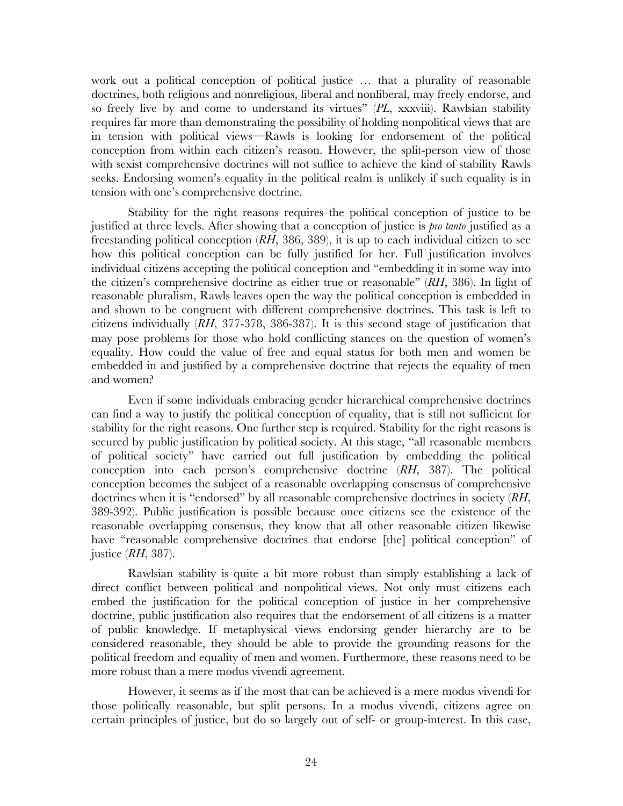work out a political conception of political justice … that a plurality of reasonable doctrines, both religious and nonreligious, liberal and nonliberal, may freely endorse, and so freely live by and come to understand its virtues" (*PL*, xxxviii). Rawlsian stability requires far more than demonstrating the possibility of holding nonpolitical views that are in tension with political views—Rawls is looking for endorsement of the political conception from within each citizen's reason. However, the split-person view of those with sexist comprehensive doctrines will not suffice to achieve the kind of stability Rawls seeks. Endorsing women's equality in the political realm is unlikely if such equality is in tension with one's comprehensive doctrine.

Stability for the right reasons requires the political conception of justice to be justified at three levels. After showing that a conception of justice is *pro tanto* justified as a freestanding political conception (*RH*, 386, 389), it is up to each individual citizen to see how this political conception can be fully justified for her. Full justification involves individual citizens accepting the political conception and "embedding it in some way into the citizen's comprehensive doctrine as either true or reasonable" (*RH*, 386). In light of reasonable pluralism, Rawls leaves open the way the political conception is embedded in and shown to be congruent with different comprehensive doctrines. This task is left to citizens individually (*RH*, 377-378, 386-387). It is this second stage of justification that may pose problems for those who hold conflicting stances on the question of women's equality. How could the value of free and equal status for both men and women be embedded in and justified by a comprehensive doctrine that rejects the equality of men and women?

Even if some individuals embracing gender hierarchical comprehensive doctrines can find a way to justify the political conception of equality, that is still not sufficient for stability for the right reasons. One further step is required. Stability for the right reasons is secured by public justification by political society. At this stage, "all reasonable members of political society" have carried out full justification by embedding the political conception into each person's comprehensive doctrine (*RH*, 387). The political conception becomes the subject of a reasonable overlapping consensus of comprehensive doctrines when it is "endorsed" by all reasonable comprehensive doctrines in society (*RH*, 389-392). Public justification is possible because once citizens see the existence of the reasonable overlapping consensus, they know that all other reasonable citizen likewise have "reasonable comprehensive doctrines that endorse [the] political conception" of justice (*RH*, 387).

Rawlsian stability is quite a bit more robust than simply establishing a lack of direct conflict between political and nonpolitical views. Not only must citizens each embed the justification for the political conception of justice in her comprehensive doctrine, public justification also requires that the endorsement of all citizens is a matter of public knowledge. If metaphysical views endorsing gender hierarchy are to be considered reasonable, they should be able to provide the grounding reasons for the political freedom and equality of men and women. Furthermore, these reasons need to be more robust than a mere modus vivendi agreement.

However, it seems as if the most that can be achieved is a mere modus vivendi for those politically reasonable, but split persons. In a modus vivendi, citizens agree on certain principles of justice, but do so largely out of self- or group-interest. In this case,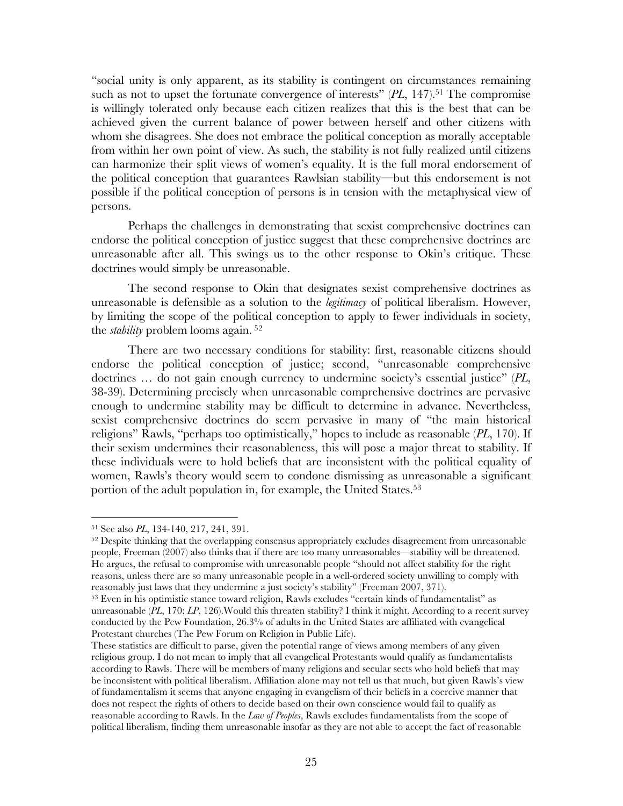"social unity is only apparent, as its stability is contingent on circumstances remaining such as not to upset the fortunate convergence of interests" (*PL*, 147).<sup>51</sup> The compromise is willingly tolerated only because each citizen realizes that this is the best that can be achieved given the current balance of power between herself and other citizens with whom she disagrees. She does not embrace the political conception as morally acceptable from within her own point of view. As such, the stability is not fully realized until citizens can harmonize their split views of women's equality. It is the full moral endorsement of the political conception that guarantees Rawlsian stability—but this endorsement is not possible if the political conception of persons is in tension with the metaphysical view of persons.

Perhaps the challenges in demonstrating that sexist comprehensive doctrines can endorse the political conception of justice suggest that these comprehensive doctrines are unreasonable after all. This swings us to the other response to Okin's critique. These doctrines would simply be unreasonable.

The second response to Okin that designates sexist comprehensive doctrines as unreasonable is defensible as a solution to the *legitimacy* of political liberalism. However, by limiting the scope of the political conception to apply to fewer individuals in society, the *stability* problem looms again. <sup>52</sup>

There are two necessary conditions for stability: first, reasonable citizens should endorse the political conception of justice; second, "unreasonable comprehensive doctrines … do not gain enough currency to undermine society's essential justice" (*PL*, 38-39). Determining precisely when unreasonable comprehensive doctrines are pervasive enough to undermine stability may be difficult to determine in advance. Nevertheless, sexist comprehensive doctrines do seem pervasive in many of "the main historical religions" Rawls, "perhaps too optimistically," hopes to include as reasonable (*PL*, 170). If their sexism undermines their reasonableness, this will pose a major threat to stability. If these individuals were to hold beliefs that are inconsistent with the political equality of women, Rawls's theory would seem to condone dismissing as unreasonable a significant portion of the adult population in, for example, the United States.<sup>53</sup>

 <sup>51</sup> See also *PL*, 134-140, 217, 241, 391.

 $52$  Despite thinking that the overlapping consensus appropriately excludes disagreement from unreasonable people, Freeman (2007) also thinks that if there are too many unreasonables—stability will be threatened. He argues, the refusal to compromise with unreasonable people "should not affect stability for the right reasons, unless there are so many unreasonable people in a well-ordered society unwilling to comply with reasonably just laws that they undermine a just society's stability" (Freeman 2007, 371).

<sup>53</sup> Even in his optimistic stance toward religion, Rawls excludes "certain kinds of fundamentalist" as unreasonable (*PL*, 170; *LP*, 126).Would this threaten stability? I think it might. According to a recent survey conducted by the Pew Foundation, 26.3% of adults in the United States are affiliated with evangelical Protestant churches (The Pew Forum on Religion in Public Life).

These statistics are difficult to parse, given the potential range of views among members of any given religious group. I do not mean to imply that all evangelical Protestants would qualify as fundamentalists according to Rawls. There will be members of many religions and secular sects who hold beliefs that may be inconsistent with political liberalism. Affiliation alone may not tell us that much, but given Rawls's view of fundamentalism it seems that anyone engaging in evangelism of their beliefs in a coercive manner that does not respect the rights of others to decide based on their own conscience would fail to qualify as reasonable according to Rawls. In the *Law of Peoples*, Rawls excludes fundamentalists from the scope of political liberalism, finding them unreasonable insofar as they are not able to accept the fact of reasonable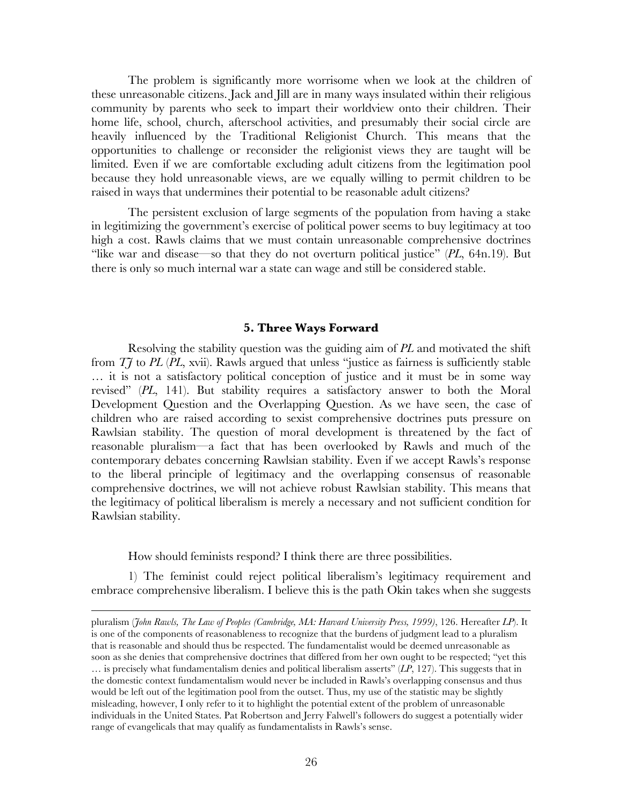The problem is significantly more worrisome when we look at the children of these unreasonable citizens. Jack and Jill are in many ways insulated within their religious community by parents who seek to impart their worldview onto their children. Their home life, school, church, afterschool activities, and presumably their social circle are heavily influenced by the Traditional Religionist Church. This means that the opportunities to challenge or reconsider the religionist views they are taught will be limited. Even if we are comfortable excluding adult citizens from the legitimation pool because they hold unreasonable views, are we equally willing to permit children to be raised in ways that undermines their potential to be reasonable adult citizens?

The persistent exclusion of large segments of the population from having a stake in legitimizing the government's exercise of political power seems to buy legitimacy at too high a cost. Rawls claims that we must contain unreasonable comprehensive doctrines "like war and disease—so that they do not overturn political justice" (*PL*, 64n.19). But there is only so much internal war a state can wage and still be considered stable.

#### **5. Three Ways Forward**

Resolving the stability question was the guiding aim of *PL* and motivated the shift from *TJ* to *PL* (*PL*, xvii). Rawls argued that unless "justice as fairness is sufficiently stable … it is not a satisfactory political conception of justice and it must be in some way revised" (*PL*, 141). But stability requires a satisfactory answer to both the Moral Development Question and the Overlapping Question. As we have seen, the case of children who are raised according to sexist comprehensive doctrines puts pressure on Rawlsian stability. The question of moral development is threatened by the fact of reasonable pluralism—a fact that has been overlooked by Rawls and much of the contemporary debates concerning Rawlsian stability. Even if we accept Rawls's response to the liberal principle of legitimacy and the overlapping consensus of reasonable comprehensive doctrines, we will not achieve robust Rawlsian stability. This means that the legitimacy of political liberalism is merely a necessary and not sufficient condition for Rawlsian stability.

How should feminists respond? I think there are three possibilities.

1) The feminist could reject political liberalism's legitimacy requirement and embrace comprehensive liberalism. I believe this is the path Okin takes when she suggests

<u> 2002 - Andrea San Andrea San Andrea San Andrea San Andrea San Andrea San Andrea San Andrea San Andrea San An</u>

pluralism (*John Rawls, The Law of Peoples (Cambridge, MA: Harvard University Press, 1999)*, 126. Hereafter *LP*). It is one of the components of reasonableness to recognize that the burdens of judgment lead to a pluralism that is reasonable and should thus be respected. The fundamentalist would be deemed unreasonable as soon as she denies that comprehensive doctrines that differed from her own ought to be respected; "yet this … is precisely what fundamentalism denies and political liberalism asserts" (*LP*, 127). This suggests that in the domestic context fundamentalism would never be included in Rawls's overlapping consensus and thus would be left out of the legitimation pool from the outset. Thus, my use of the statistic may be slightly misleading, however, I only refer to it to highlight the potential extent of the problem of unreasonable individuals in the United States. Pat Robertson and Jerry Falwell's followers do suggest a potentially wider range of evangelicals that may qualify as fundamentalists in Rawls's sense.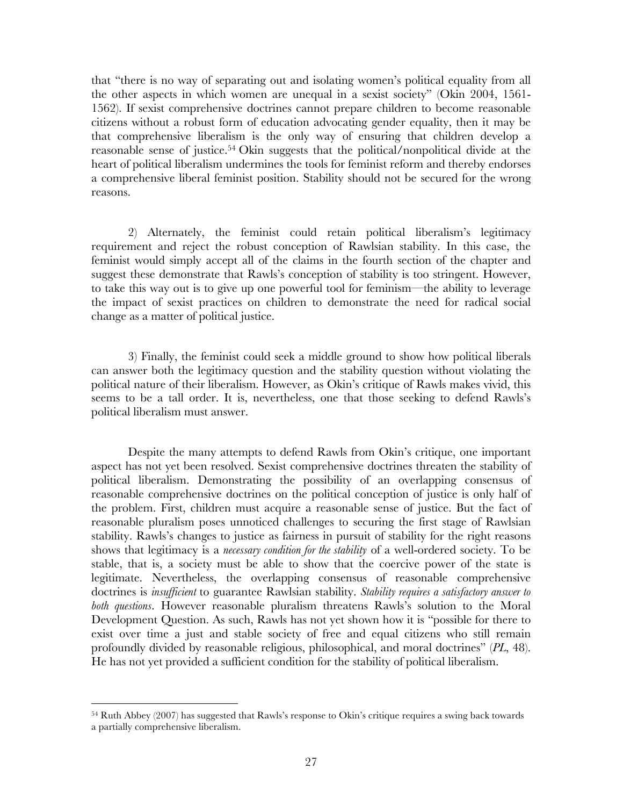that "there is no way of separating out and isolating women's political equality from all the other aspects in which women are unequal in a sexist society" (Okin 2004, 1561- 1562). If sexist comprehensive doctrines cannot prepare children to become reasonable citizens without a robust form of education advocating gender equality, then it may be that comprehensive liberalism is the only way of ensuring that children develop a reasonable sense of justice.<sup>54</sup> Okin suggests that the political/nonpolitical divide at the heart of political liberalism undermines the tools for feminist reform and thereby endorses a comprehensive liberal feminist position. Stability should not be secured for the wrong reasons.

2) Alternately, the feminist could retain political liberalism's legitimacy requirement and reject the robust conception of Rawlsian stability. In this case, the feminist would simply accept all of the claims in the fourth section of the chapter and suggest these demonstrate that Rawls's conception of stability is too stringent. However, to take this way out is to give up one powerful tool for feminism—the ability to leverage the impact of sexist practices on children to demonstrate the need for radical social change as a matter of political justice.

3) Finally, the feminist could seek a middle ground to show how political liberals can answer both the legitimacy question and the stability question without violating the political nature of their liberalism. However, as Okin's critique of Rawls makes vivid, this seems to be a tall order. It is, nevertheless, one that those seeking to defend Rawls's political liberalism must answer.

Despite the many attempts to defend Rawls from Okin's critique, one important aspect has not yet been resolved. Sexist comprehensive doctrines threaten the stability of political liberalism. Demonstrating the possibility of an overlapping consensus of reasonable comprehensive doctrines on the political conception of justice is only half of the problem. First, children must acquire a reasonable sense of justice. But the fact of reasonable pluralism poses unnoticed challenges to securing the first stage of Rawlsian stability. Rawls's changes to justice as fairness in pursuit of stability for the right reasons shows that legitimacy is a *necessary condition for the stability* of a well-ordered society. To be stable, that is, a society must be able to show that the coercive power of the state is legitimate. Nevertheless, the overlapping consensus of reasonable comprehensive doctrines is *insufficient* to guarantee Rawlsian stability. *Stability requires a satisfactory answer to both questions*. However reasonable pluralism threatens Rawls's solution to the Moral Development Question. As such, Rawls has not yet shown how it is "possible for there to exist over time a just and stable society of free and equal citizens who still remain profoundly divided by reasonable religious, philosophical, and moral doctrines" (*PL*, 48). He has not yet provided a sufficient condition for the stability of political liberalism.

<sup>54</sup> Ruth Abbey (2007) has suggested that Rawls's response to Okin's critique requires a swing back towards a partially comprehensive liberalism.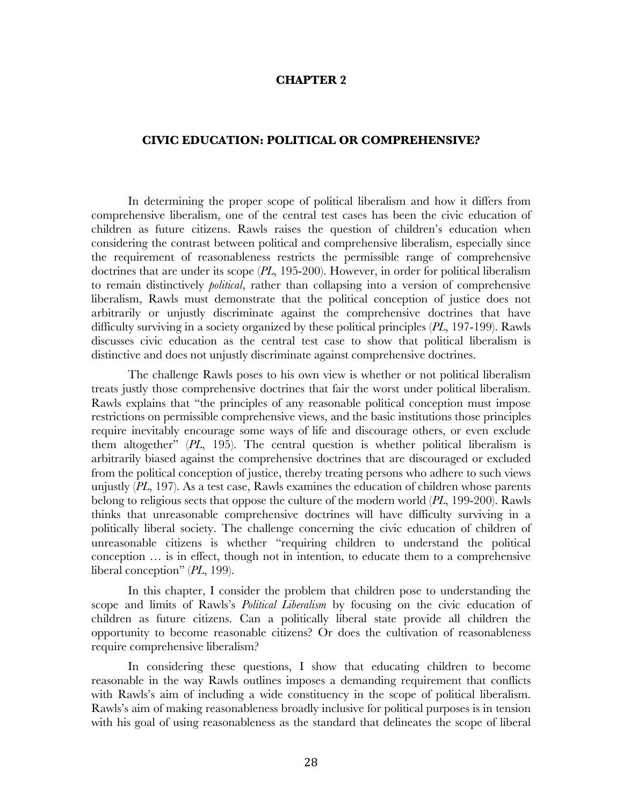### **CHAPTER 2**

## **CIVIC EDUCATION: POLITICAL OR COMPREHENSIVE?**

In determining the proper scope of political liberalism and how it differs from comprehensive liberalism, one of the central test cases has been the civic education of children as future citizens. Rawls raises the question of children's education when considering the contrast between political and comprehensive liberalism, especially since the requirement of reasonableness restricts the permissible range of comprehensive doctrines that are under its scope (*PL*, 195-200). However, in order for political liberalism to remain distinctively *political*, rather than collapsing into a version of comprehensive liberalism, Rawls must demonstrate that the political conception of justice does not arbitrarily or unjustly discriminate against the comprehensive doctrines that have difficulty surviving in a society organized by these political principles (*PL*, 197-199). Rawls discusses civic education as the central test case to show that political liberalism is distinctive and does not unjustly discriminate against comprehensive doctrines.

The challenge Rawls poses to his own view is whether or not political liberalism treats justly those comprehensive doctrines that fair the worst under political liberalism. Rawls explains that "the principles of any reasonable political conception must impose restrictions on permissible comprehensive views, and the basic institutions those principles require inevitably encourage some ways of life and discourage others, or even exclude them altogether" (*PL*, 195). The central question is whether political liberalism is arbitrarily biased against the comprehensive doctrines that are discouraged or excluded from the political conception of justice, thereby treating persons who adhere to such views unjustly (*PL*, 197). As a test case, Rawls examines the education of children whose parents belong to religious sects that oppose the culture of the modern world (*PL*, 199-200). Rawls thinks that unreasonable comprehensive doctrines will have difficulty surviving in a politically liberal society. The challenge concerning the civic education of children of unreasonable citizens is whether "requiring children to understand the political conception … is in effect, though not in intention, to educate them to a comprehensive liberal conception" (*PL*, 199).

In this chapter, I consider the problem that children pose to understanding the scope and limits of Rawls's *Political Liberalism* by focusing on the civic education of children as future citizens. Can a politically liberal state provide all children the opportunity to become reasonable citizens? Or does the cultivation of reasonableness require comprehensive liberalism?

In considering these questions, I show that educating children to become reasonable in the way Rawls outlines imposes a demanding requirement that conflicts with Rawls's aim of including a wide constituency in the scope of political liberalism. Rawls's aim of making reasonableness broadly inclusive for political purposes is in tension with his goal of using reasonableness as the standard that delineates the scope of liberal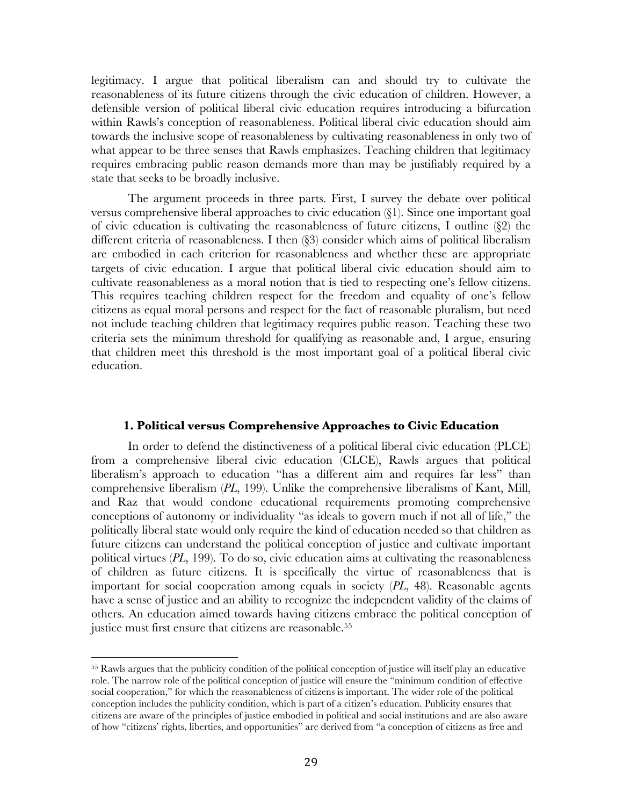legitimacy. I argue that political liberalism can and should try to cultivate the reasonableness of its future citizens through the civic education of children. However, a defensible version of political liberal civic education requires introducing a bifurcation within Rawls's conception of reasonableness. Political liberal civic education should aim towards the inclusive scope of reasonableness by cultivating reasonableness in only two of what appear to be three senses that Rawls emphasizes. Teaching children that legitimacy requires embracing public reason demands more than may be justifiably required by a state that seeks to be broadly inclusive.

The argument proceeds in three parts. First, I survey the debate over political versus comprehensive liberal approaches to civic education (§1). Since one important goal of civic education is cultivating the reasonableness of future citizens, I outline (§2) the different criteria of reasonableness. I then (§3) consider which aims of political liberalism are embodied in each criterion for reasonableness and whether these are appropriate targets of civic education. I argue that political liberal civic education should aim to cultivate reasonableness as a moral notion that is tied to respecting one's fellow citizens. This requires teaching children respect for the freedom and equality of one's fellow citizens as equal moral persons and respect for the fact of reasonable pluralism, but need not include teaching children that legitimacy requires public reason. Teaching these two criteria sets the minimum threshold for qualifying as reasonable and, I argue, ensuring that children meet this threshold is the most important goal of a political liberal civic education.

## **1. Political versus Comprehensive Approaches to Civic Education**

In order to defend the distinctiveness of a political liberal civic education (PLCE) from a comprehensive liberal civic education (CLCE), Rawls argues that political liberalism's approach to education "has a different aim and requires far less" than comprehensive liberalism (*PL*, 199). Unlike the comprehensive liberalisms of Kant, Mill, and Raz that would condone educational requirements promoting comprehensive conceptions of autonomy or individuality "as ideals to govern much if not all of life," the politically liberal state would only require the kind of education needed so that children as future citizens can understand the political conception of justice and cultivate important political virtues (*PL*, 199). To do so, civic education aims at cultivating the reasonableness of children as future citizens. It is specifically the virtue of reasonableness that is important for social cooperation among equals in society (*PL*, 48). Reasonable agents have a sense of justice and an ability to recognize the independent validity of the claims of others. An education aimed towards having citizens embrace the political conception of justice must first ensure that citizens are reasonable.<sup>55</sup>

<sup>55</sup> Rawls argues that the publicity condition of the political conception of justice will itself play an educative role. The narrow role of the political conception of justice will ensure the "minimum condition of effective social cooperation," for which the reasonableness of citizens is important. The wider role of the political conception includes the publicity condition, which is part of a citizen's education. Publicity ensures that citizens are aware of the principles of justice embodied in political and social institutions and are also aware of how "citizens' rights, liberties, and opportunities" are derived from "a conception of citizens as free and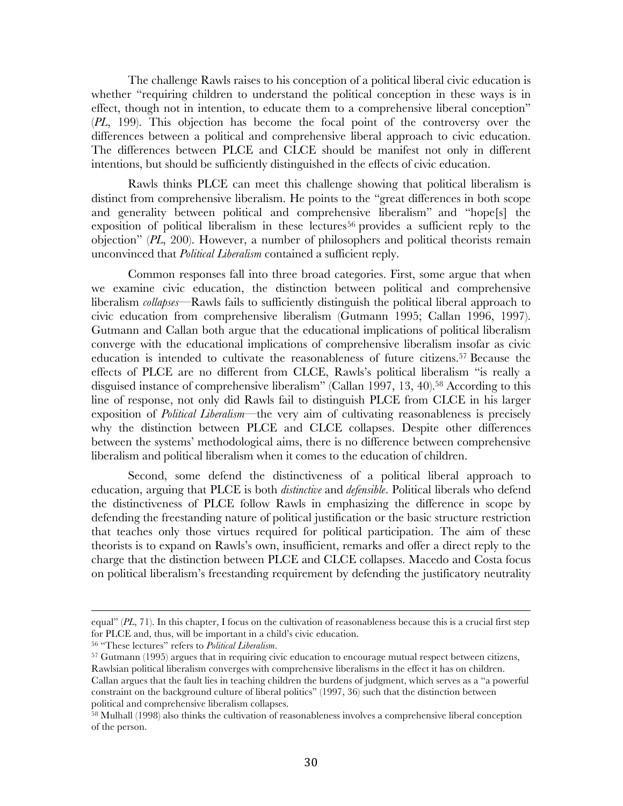The challenge Rawls raises to his conception of a political liberal civic education is whether "requiring children to understand the political conception in these ways is in effect, though not in intention, to educate them to a comprehensive liberal conception" (*PL*, 199). This objection has become the focal point of the controversy over the differences between a political and comprehensive liberal approach to civic education. The differences between PLCE and CLCE should be manifest not only in different intentions, but should be sufficiently distinguished in the effects of civic education.

Rawls thinks PLCE can meet this challenge showing that political liberalism is distinct from comprehensive liberalism. He points to the "great differences in both scope and generality between political and comprehensive liberalism" and "hope[s] the exposition of political liberalism in these lectures<sup>56</sup> provides a sufficient reply to the objection" (*PL*, 200). However, a number of philosophers and political theorists remain unconvinced that *Political Liberalism* contained a sufficient reply.

Common responses fall into three broad categories. First, some argue that when we examine civic education, the distinction between political and comprehensive liberalism *collapses*—Rawls fails to sufficiently distinguish the political liberal approach to civic education from comprehensive liberalism (Gutmann 1995; Callan 1996, 1997). Gutmann and Callan both argue that the educational implications of political liberalism converge with the educational implications of comprehensive liberalism insofar as civic education is intended to cultivate the reasonableness of future citizens.57 Because the effects of PLCE are no different from CLCE, Rawls's political liberalism "is really a disguised instance of comprehensive liberalism" (Callan 1997, 13, 40).<sup>58</sup> According to this line of response, not only did Rawls fail to distinguish PLCE from CLCE in his larger exposition of *Political Liberalism*—the very aim of cultivating reasonableness is precisely why the distinction between PLCE and CLCE collapses. Despite other differences between the systems' methodological aims, there is no difference between comprehensive liberalism and political liberalism when it comes to the education of children.

Second, some defend the distinctiveness of a political liberal approach to education, arguing that PLCE is both *distinctive* and *defensible*. Political liberals who defend the distinctiveness of PLCE follow Rawls in emphasizing the difference in scope by defending the freestanding nature of political justification or the basic structure restriction that teaches only those virtues required for political participation. The aim of these theorists is to expand on Rawls's own, insufficient, remarks and offer a direct reply to the charge that the distinction between PLCE and CLCE collapses. Macedo and Costa focus on political liberalism's freestanding requirement by defending the justificatory neutrality

<sup>&</sup>lt;u> 2002 - Andrea San Andrea San Andrea San Andrea San Andrea San Andrea San Andrea San Andrea San Andrea San An</u> equal" (*PL*, 71). In this chapter, I focus on the cultivation of reasonableness because this is a crucial first step for PLCE and, thus, will be important in a child's civic education.

<sup>56</sup> "These lectures" refers to *Political Liberalism*.

<sup>57</sup> Gutmann (1995) argues that in requiring civic education to encourage mutual respect between citizens, Rawlsian political liberalism converges with comprehensive liberalisms in the effect it has on children. Callan argues that the fault lies in teaching children the burdens of judgment, which serves as a "a powerful constraint on the background culture of liberal politics" (1997, 36) such that the distinction between political and comprehensive liberalism collapses.

<sup>58</sup> Mulhall (1998) also thinks the cultivation of reasonableness involves a comprehensive liberal conception of the person.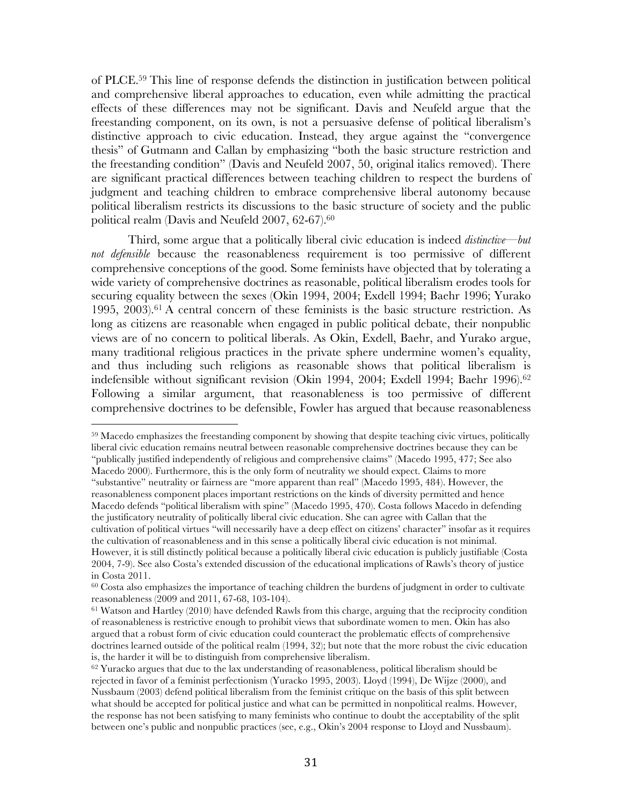of PLCE.59 This line of response defends the distinction in justification between political and comprehensive liberal approaches to education, even while admitting the practical effects of these differences may not be significant. Davis and Neufeld argue that the freestanding component, on its own, is not a persuasive defense of political liberalism's distinctive approach to civic education. Instead, they argue against the "convergence thesis" of Gutmann and Callan by emphasizing "both the basic structure restriction and the freestanding condition" (Davis and Neufeld 2007, 50, original italics removed). There are significant practical differences between teaching children to respect the burdens of judgment and teaching children to embrace comprehensive liberal autonomy because political liberalism restricts its discussions to the basic structure of society and the public political realm (Davis and Neufeld 2007, 62-67). 60

Third, some argue that a politically liberal civic education is indeed *distinctive—but not defensible* because the reasonableness requirement is too permissive of different comprehensive conceptions of the good. Some feminists have objected that by tolerating a wide variety of comprehensive doctrines as reasonable, political liberalism erodes tools for securing equality between the sexes (Okin 1994, 2004; Exdell 1994; Baehr 1996; Yurako 1995, 2003). <sup>61</sup> A central concern of these feminists is the basic structure restriction. As long as citizens are reasonable when engaged in public political debate, their nonpublic views are of no concern to political liberals. As Okin, Exdell, Baehr, and Yurako argue, many traditional religious practices in the private sphere undermine women's equality, and thus including such religions as reasonable shows that political liberalism is indefensible without significant revision (Okin 1994, 2004; Exdell 1994; Baehr 1996). 62 Following a similar argument, that reasonableness is too permissive of different comprehensive doctrines to be defensible, Fowler has argued that because reasonableness

<sup>59</sup> Macedo emphasizes the freestanding component by showing that despite teaching civic virtues, politically liberal civic education remains neutral between reasonable comprehensive doctrines because they can be "publically justified independently of religious and comprehensive claims" (Macedo 1995, 477; See also Macedo 2000). Furthermore, this is the only form of neutrality we should expect. Claims to more "substantive" neutrality or fairness are "more apparent than real" (Macedo 1995, 484). However, the reasonableness component places important restrictions on the kinds of diversity permitted and hence Macedo defends "political liberalism with spine" (Macedo 1995, 470). Costa follows Macedo in defending the justificatory neutrality of politically liberal civic education. She can agree with Callan that the cultivation of political virtues "will necessarily have a deep effect on citizens' character" insofar as it requires the cultivation of reasonableness and in this sense a politically liberal civic education is not minimal. However, it is still distinctly political because a politically liberal civic education is publicly justifiable (Costa 2004, 7-9). See also Costa's extended discussion of the educational implications of Rawls's theory of justice in Costa 2011.

 $60$  Costa also emphasizes the importance of teaching children the burdens of judgment in order to cultivate

reasonableness (2009 and 2011, 67-68, 103-104). 61 Watson and Hartley (2010) have defended Rawls from this charge, arguing that the reciprocity condition of reasonableness is restrictive enough to prohibit views that subordinate women to men. Okin has also argued that a robust form of civic education could counteract the problematic effects of comprehensive doctrines learned outside of the political realm (1994, 32); but note that the more robust the civic education is, the harder it will be to distinguish from comprehensive liberalism.

<sup>&</sup>lt;sup>62</sup> Yuracko argues that due to the lax understanding of reasonableness, political liberalism should be rejected in favor of a feminist perfectionism (Yuracko 1995, 2003). Lloyd (1994), De Wijze (2000), and Nussbaum (2003) defend political liberalism from the feminist critique on the basis of this split between what should be accepted for political justice and what can be permitted in nonpolitical realms. However, the response has not been satisfying to many feminists who continue to doubt the acceptability of the split between one's public and nonpublic practices (see, e.g., Okin's 2004 response to Lloyd and Nussbaum).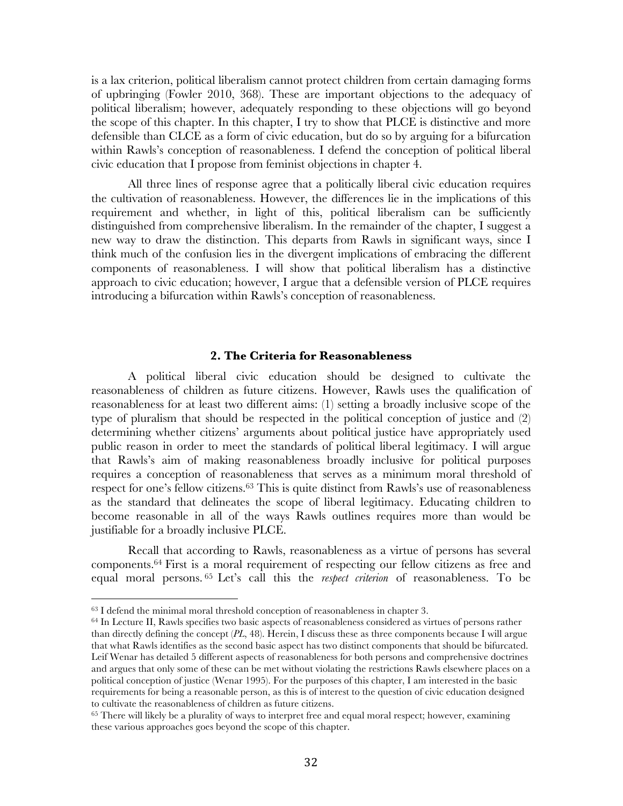is a lax criterion, political liberalism cannot protect children from certain damaging forms of upbringing (Fowler 2010, 368). These are important objections to the adequacy of political liberalism; however, adequately responding to these objections will go beyond the scope of this chapter. In this chapter, I try to show that PLCE is distinctive and more defensible than CLCE as a form of civic education, but do so by arguing for a bifurcation within Rawls's conception of reasonableness. I defend the conception of political liberal civic education that I propose from feminist objections in chapter 4.

All three lines of response agree that a politically liberal civic education requires the cultivation of reasonableness. However, the differences lie in the implications of this requirement and whether, in light of this, political liberalism can be sufficiently distinguished from comprehensive liberalism. In the remainder of the chapter, I suggest a new way to draw the distinction. This departs from Rawls in significant ways, since I think much of the confusion lies in the divergent implications of embracing the different components of reasonableness. I will show that political liberalism has a distinctive approach to civic education; however, I argue that a defensible version of PLCE requires introducing a bifurcation within Rawls's conception of reasonableness.

## **2. The Criteria for Reasonableness**

A political liberal civic education should be designed to cultivate the reasonableness of children as future citizens. However, Rawls uses the qualification of reasonableness for at least two different aims: (1) setting a broadly inclusive scope of the type of pluralism that should be respected in the political conception of justice and (2) determining whether citizens' arguments about political justice have appropriately used public reason in order to meet the standards of political liberal legitimacy. I will argue that Rawls's aim of making reasonableness broadly inclusive for political purposes requires a conception of reasonableness that serves as a minimum moral threshold of respect for one's fellow citizens.<sup>63</sup> This is quite distinct from Rawls's use of reasonableness as the standard that delineates the scope of liberal legitimacy. Educating children to become reasonable in all of the ways Rawls outlines requires more than would be justifiable for a broadly inclusive PLCE.

Recall that according to Rawls, reasonableness as a virtue of persons has several components.64 First is a moral requirement of respecting our fellow citizens as free and equal moral persons. <sup>65</sup> Let's call this the *respect criterion* of reasonableness. To be

 $63$  I defend the minimal moral threshold conception of reasonableness in chapter 3.<br> $64$  In Lecture II, Rawls specifies two basic aspects of reasonableness considered as virtues of persons rather than directly defining the concept (*PL*, 48). Herein, I discuss these as three components because I will argue that what Rawls identifies as the second basic aspect has two distinct components that should be bifurcated. Leif Wenar has detailed 5 different aspects of reasonableness for both persons and comprehensive doctrines and argues that only some of these can be met without violating the restrictions Rawls elsewhere places on a political conception of justice (Wenar 1995). For the purposes of this chapter, I am interested in the basic requirements for being a reasonable person, as this is of interest to the question of civic education designed to cultivate the reasonableness of children as future citizens.

 $65$  There will likely be a plurality of ways to interpret free and equal moral respect; however, examining these various approaches goes beyond the scope of this chapter.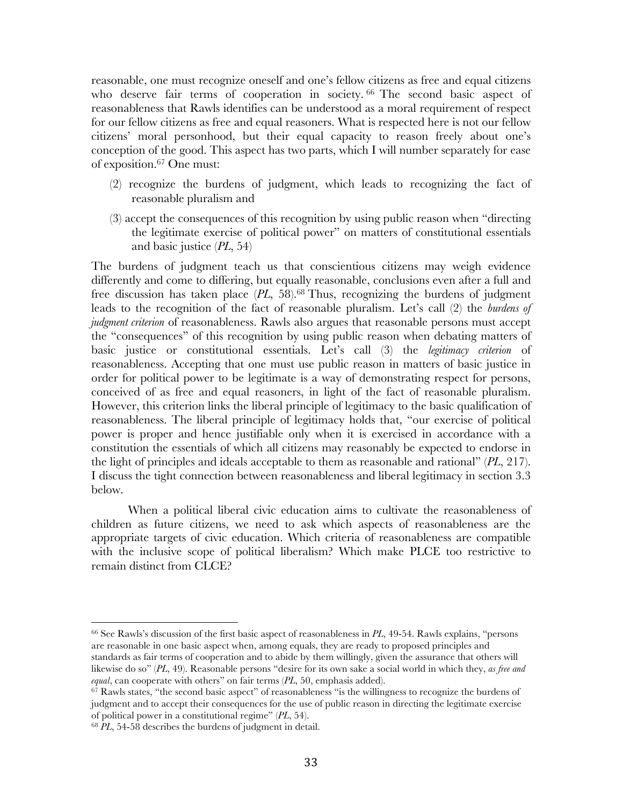reasonable, one must recognize oneself and one's fellow citizens as free and equal citizens who deserve fair terms of cooperation in society. <sup>66</sup> The second basic aspect of reasonableness that Rawls identifies can be understood as a moral requirement of respect for our fellow citizens as free and equal reasoners. What is respected here is not our fellow citizens' moral personhood, but their equal capacity to reason freely about one's conception of the good. This aspect has two parts, which I will number separately for ease of exposition.67 One must:

- (2) recognize the burdens of judgment, which leads to recognizing the fact of reasonable pluralism and
- (3) accept the consequences of this recognition by using public reason when "directing the legitimate exercise of political power" on matters of constitutional essentials and basic justice (*PL*, 54)

The burdens of judgment teach us that conscientious citizens may weigh evidence differently and come to differing, but equally reasonable, conclusions even after a full and free discussion has taken place (*PL*, 58). <sup>68</sup> Thus, recognizing the burdens of judgment leads to the recognition of the fact of reasonable pluralism. Let's call (2) the *burdens of judgment criterion* of reasonableness. Rawls also argues that reasonable persons must accept the "consequences" of this recognition by using public reason when debating matters of basic justice or constitutional essentials. Let's call (3) the *legitimacy criterion* of reasonableness. Accepting that one must use public reason in matters of basic justice in order for political power to be legitimate is a way of demonstrating respect for persons, conceived of as free and equal reasoners, in light of the fact of reasonable pluralism. However, this criterion links the liberal principle of legitimacy to the basic qualification of reasonableness. The liberal principle of legitimacy holds that, "our exercise of political power is proper and hence justifiable only when it is exercised in accordance with a constitution the essentials of which all citizens may reasonably be expected to endorse in the light of principles and ideals acceptable to them as reasonable and rational" (*PL*, 217). I discuss the tight connection between reasonableness and liberal legitimacy in section 3.3 below.

When a political liberal civic education aims to cultivate the reasonableness of children as future citizens, we need to ask which aspects of reasonableness are the appropriate targets of civic education. Which criteria of reasonableness are compatible with the inclusive scope of political liberalism? Which make PLCE too restrictive to remain distinct from CLCE?

<sup>66</sup> See Rawls's discussion of the first basic aspect of reasonableness in *PL*, 49-54. Rawls explains, "persons are reasonable in one basic aspect when, among equals, they are ready to proposed principles and standards as fair terms of cooperation and to abide by them willingly, given the assurance that others will likewise do so" (*PL*, 49). Reasonable persons "desire for its own sake a social world in which they, *as free and equal*, can cooperate with others" on fair terms (*PL*, 50, emphasis added).<br><sup>67</sup> Rawls states, "the second basic aspect" of reasonableness "is the willingness to recognize the burdens of

judgment and to accept their consequences for the use of public reason in directing the legitimate exercise of political power in a constitutional regime" (*PL*, 54).

<sup>68</sup> *PL*, 54-58 describes the burdens of judgment in detail.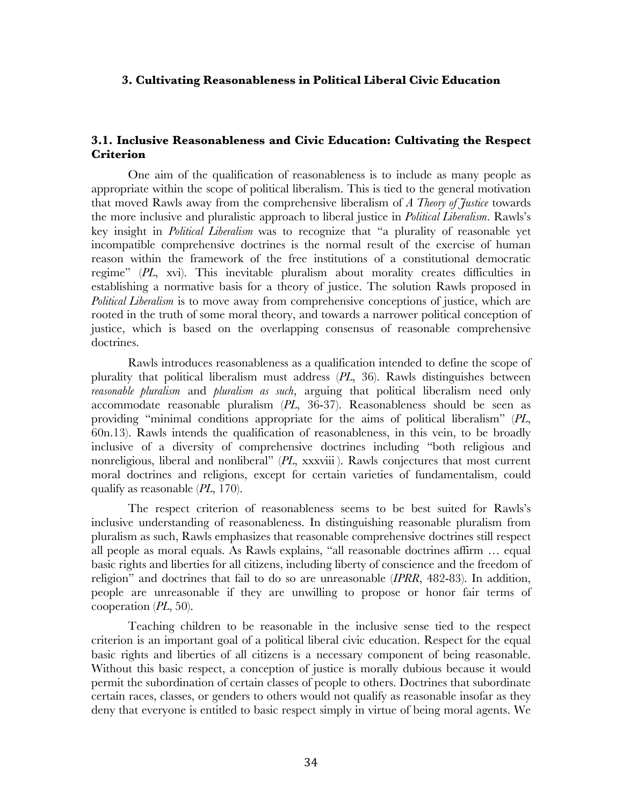### **3. Cultivating Reasonableness in Political Liberal Civic Education**

# **3.1. Inclusive Reasonableness and Civic Education: Cultivating the Respect Criterion**

One aim of the qualification of reasonableness is to include as many people as appropriate within the scope of political liberalism. This is tied to the general motivation that moved Rawls away from the comprehensive liberalism of *A Theory of Justice* towards the more inclusive and pluralistic approach to liberal justice in *Political Liberalism*. Rawls's key insight in *Political Liberalism* was to recognize that "a plurality of reasonable yet incompatible comprehensive doctrines is the normal result of the exercise of human reason within the framework of the free institutions of a constitutional democratic regime" (*PL*, xvi). This inevitable pluralism about morality creates difficulties in establishing a normative basis for a theory of justice. The solution Rawls proposed in *Political Liberalism* is to move away from comprehensive conceptions of justice, which are rooted in the truth of some moral theory, and towards a narrower political conception of justice, which is based on the overlapping consensus of reasonable comprehensive doctrines.

Rawls introduces reasonableness as a qualification intended to define the scope of plurality that political liberalism must address (*PL*, 36). Rawls distinguishes between *reasonable pluralism* and *pluralism as such*, arguing that political liberalism need only accommodate reasonable pluralism (*PL*, 36-37). Reasonableness should be seen as providing "minimal conditions appropriate for the aims of political liberalism" (*PL*, 60n.13). Rawls intends the qualification of reasonableness, in this vein, to be broadly inclusive of a diversity of comprehensive doctrines including "both religious and nonreligious, liberal and nonliberal" (*PL*, xxxviii). Rawls conjectures that most current moral doctrines and religions, except for certain varieties of fundamentalism, could qualify as reasonable (*PL*, 170).

The respect criterion of reasonableness seems to be best suited for Rawls's inclusive understanding of reasonableness. In distinguishing reasonable pluralism from pluralism as such, Rawls emphasizes that reasonable comprehensive doctrines still respect all people as moral equals. As Rawls explains, "all reasonable doctrines affirm … equal basic rights and liberties for all citizens, including liberty of conscience and the freedom of religion" and doctrines that fail to do so are unreasonable (*IPRR*, 482-83). In addition, people are unreasonable if they are unwilling to propose or honor fair terms of cooperation (*PL*, 50).

Teaching children to be reasonable in the inclusive sense tied to the respect criterion is an important goal of a political liberal civic education. Respect for the equal basic rights and liberties of all citizens is a necessary component of being reasonable. Without this basic respect, a conception of justice is morally dubious because it would permit the subordination of certain classes of people to others. Doctrines that subordinate certain races, classes, or genders to others would not qualify as reasonable insofar as they deny that everyone is entitled to basic respect simply in virtue of being moral agents. We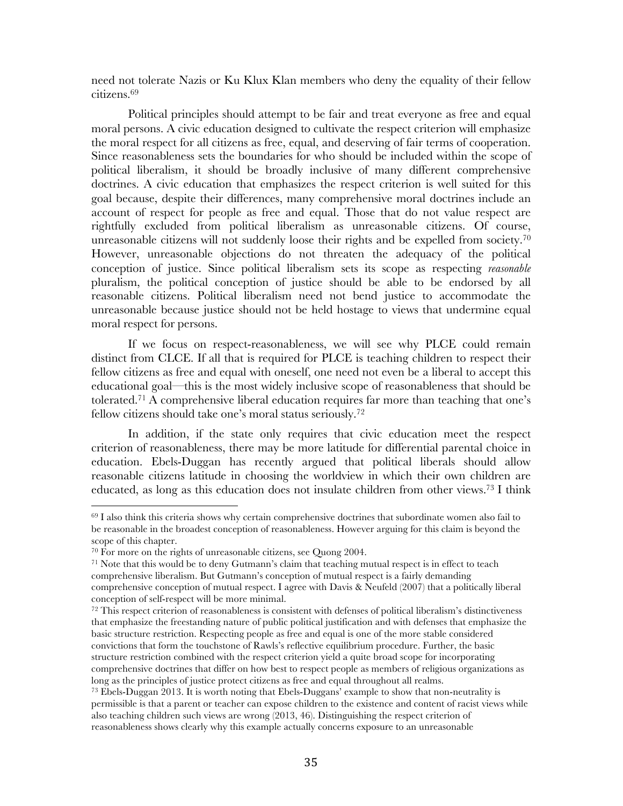need not tolerate Nazis or Ku Klux Klan members who deny the equality of their fellow citizens.69

Political principles should attempt to be fair and treat everyone as free and equal moral persons. A civic education designed to cultivate the respect criterion will emphasize the moral respect for all citizens as free, equal, and deserving of fair terms of cooperation. Since reasonableness sets the boundaries for who should be included within the scope of political liberalism, it should be broadly inclusive of many different comprehensive doctrines. A civic education that emphasizes the respect criterion is well suited for this goal because, despite their differences, many comprehensive moral doctrines include an account of respect for people as free and equal. Those that do not value respect are rightfully excluded from political liberalism as unreasonable citizens. Of course, unreasonable citizens will not suddenly loose their rights and be expelled from society.<sup>70</sup> However, unreasonable objections do not threaten the adequacy of the political conception of justice. Since political liberalism sets its scope as respecting *reasonable* pluralism, the political conception of justice should be able to be endorsed by all reasonable citizens. Political liberalism need not bend justice to accommodate the unreasonable because justice should not be held hostage to views that undermine equal moral respect for persons.

If we focus on respect-reasonableness, we will see why PLCE could remain distinct from CLCE. If all that is required for PLCE is teaching children to respect their fellow citizens as free and equal with oneself, one need not even be a liberal to accept this educational goal—this is the most widely inclusive scope of reasonableness that should be tolerated.<sup>71</sup> A comprehensive liberal education requires far more than teaching that one's fellow citizens should take one's moral status seriously.72

In addition, if the state only requires that civic education meet the respect criterion of reasonableness, there may be more latitude for differential parental choice in education. Ebels-Duggan has recently argued that political liberals should allow reasonable citizens latitude in choosing the worldview in which their own children are educated, as long as this education does not insulate children from other views.73 I think

<sup>69</sup> I also think this criteria shows why certain comprehensive doctrines that subordinate women also fail to be reasonable in the broadest conception of reasonableness. However arguing for this claim is beyond the scope of this chapter.

<sup>70</sup> For more on the rights of unreasonable citizens, see Quong 2004.

 $71$  Note that this would be to deny Gutmann's claim that teaching mutual respect is in effect to teach comprehensive liberalism. But Gutmann's conception of mutual respect is a fairly demanding comprehensive conception of mutual respect. I agree with Davis & Neufeld (2007) that a politically liberal conception of self-respect will be more minimal.

 $72$  This respect criterion of reasonableness is consistent with defenses of political liberalism's distinctiveness that emphasize the freestanding nature of public political justification and with defenses that emphasize the basic structure restriction. Respecting people as free and equal is one of the more stable considered convictions that form the touchstone of Rawls's reflective equilibrium procedure. Further, the basic structure restriction combined with the respect criterion yield a quite broad scope for incorporating comprehensive doctrines that differ on how best to respect people as members of religious organizations as long as the principles of justice protect citizens as free and equal throughout all realms.

<sup>73</sup> Ebels-Duggan 2013. It is worth noting that Ebels-Duggans' example to show that non-neutrality is permissible is that a parent or teacher can expose children to the existence and content of racist views while also teaching children such views are wrong (2013, 46). Distinguishing the respect criterion of reasonableness shows clearly why this example actually concerns exposure to an unreasonable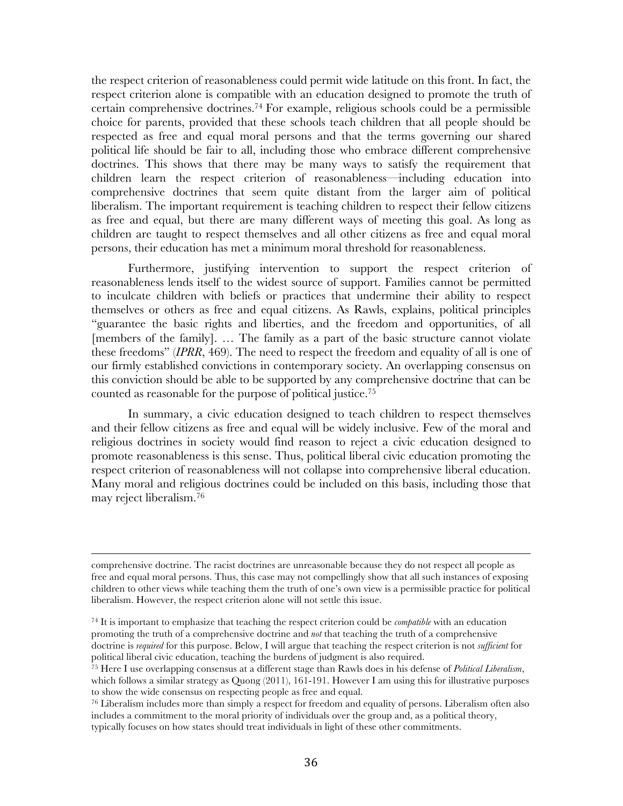the respect criterion of reasonableness could permit wide latitude on this front. In fact, the respect criterion alone is compatible with an education designed to promote the truth of certain comprehensive doctrines.74 For example, religious schools could be a permissible choice for parents, provided that these schools teach children that all people should be respected as free and equal moral persons and that the terms governing our shared political life should be fair to all, including those who embrace different comprehensive doctrines. This shows that there may be many ways to satisfy the requirement that children learn the respect criterion of reasonableness—including education into comprehensive doctrines that seem quite distant from the larger aim of political liberalism. The important requirement is teaching children to respect their fellow citizens as free and equal, but there are many different ways of meeting this goal. As long as children are taught to respect themselves and all other citizens as free and equal moral persons, their education has met a minimum moral threshold for reasonableness.

Furthermore, justifying intervention to support the respect criterion of reasonableness lends itself to the widest source of support. Families cannot be permitted to inculcate children with beliefs or practices that undermine their ability to respect themselves or others as free and equal citizens. As Rawls, explains, political principles "guarantee the basic rights and liberties, and the freedom and opportunities, of all [members of the family]. … The family as a part of the basic structure cannot violate these freedoms" (*IPRR*, 469). The need to respect the freedom and equality of all is one of our firmly established convictions in contemporary society. An overlapping consensus on this conviction should be able to be supported by any comprehensive doctrine that can be counted as reasonable for the purpose of political justice.75

In summary, a civic education designed to teach children to respect themselves and their fellow citizens as free and equal will be widely inclusive. Few of the moral and religious doctrines in society would find reason to reject a civic education designed to promote reasonableness is this sense. Thus, political liberal civic education promoting the respect criterion of reasonableness will not collapse into comprehensive liberal education. Many moral and religious doctrines could be included on this basis, including those that may reject liberalism.76

<u> 2002 - Andrea San Andrea San Andrea San Andrea San Andrea San Andrea San Andrea San Andrea San Andrea San An</u>

comprehensive doctrine. The racist doctrines are unreasonable because they do not respect all people as free and equal moral persons. Thus, this case may not compellingly show that all such instances of exposing children to other views while teaching them the truth of one's own view is a permissible practice for political liberalism. However, the respect criterion alone will not settle this issue.

<sup>74</sup> It is important to emphasize that teaching the respect criterion could be *compatible* with an education promoting the truth of a comprehensive doctrine and *not* that teaching the truth of a comprehensive doctrine is *required* for this purpose. Below, I will argue that teaching the respect criterion is not *sufficient* for political liberal civic education, teaching the burdens of judgment is also required.

<sup>75</sup> Here I use overlapping consensus at a different stage than Rawls does in his defense of *Political Liberalism*, which follows a similar strategy as Quong (2011), 161-191. However I am using this for illustrative purposes to show the wide consensus on respecting people as free and equal.

<sup>76</sup> Liberalism includes more than simply a respect for freedom and equality of persons. Liberalism often also includes a commitment to the moral priority of individuals over the group and, as a political theory, typically focuses on how states should treat individuals in light of these other commitments.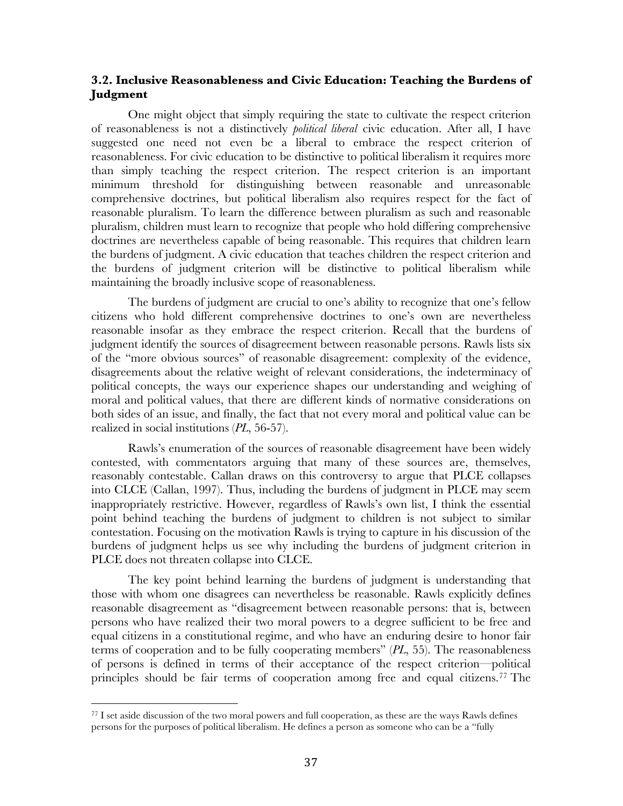# **3.2. Inclusive Reasonableness and Civic Education: Teaching the Burdens of Judgment**

One might object that simply requiring the state to cultivate the respect criterion of reasonableness is not a distinctively *political liberal* civic education. After all, I have suggested one need not even be a liberal to embrace the respect criterion of reasonableness. For civic education to be distinctive to political liberalism it requires more than simply teaching the respect criterion. The respect criterion is an important minimum threshold for distinguishing between reasonable and unreasonable comprehensive doctrines, but political liberalism also requires respect for the fact of reasonable pluralism. To learn the difference between pluralism as such and reasonable pluralism, children must learn to recognize that people who hold differing comprehensive doctrines are nevertheless capable of being reasonable. This requires that children learn the burdens of judgment. A civic education that teaches children the respect criterion and the burdens of judgment criterion will be distinctive to political liberalism while maintaining the broadly inclusive scope of reasonableness.

The burdens of judgment are crucial to one's ability to recognize that one's fellow citizens who hold different comprehensive doctrines to one's own are nevertheless reasonable insofar as they embrace the respect criterion. Recall that the burdens of judgment identify the sources of disagreement between reasonable persons. Rawls lists six of the "more obvious sources" of reasonable disagreement: complexity of the evidence, disagreements about the relative weight of relevant considerations, the indeterminacy of political concepts, the ways our experience shapes our understanding and weighing of moral and political values, that there are different kinds of normative considerations on both sides of an issue, and finally, the fact that not every moral and political value can be realized in social institutions (*PL*, 56-57).

Rawls's enumeration of the sources of reasonable disagreement have been widely contested, with commentators arguing that many of these sources are, themselves, reasonably contestable. Callan draws on this controversy to argue that PLCE collapses into CLCE (Callan, 1997). Thus, including the burdens of judgment in PLCE may seem inappropriately restrictive. However, regardless of Rawls's own list, I think the essential point behind teaching the burdens of judgment to children is not subject to similar contestation. Focusing on the motivation Rawls is trying to capture in his discussion of the burdens of judgment helps us see why including the burdens of judgment criterion in PLCE does not threaten collapse into CLCE.

The key point behind learning the burdens of judgment is understanding that those with whom one disagrees can nevertheless be reasonable. Rawls explicitly defines reasonable disagreement as "disagreement between reasonable persons: that is, between persons who have realized their two moral powers to a degree sufficient to be free and equal citizens in a constitutional regime, and who have an enduring desire to honor fair terms of cooperation and to be fully cooperating members" (*PL*, 55). The reasonableness of persons is defined in terms of their acceptance of the respect criterion—political principles should be fair terms of cooperation among free and equal citizens.77 The

<sup>77</sup> I set aside discussion of the two moral powers and full cooperation, as these are the ways Rawls defines persons for the purposes of political liberalism. He defines a person as someone who can be a "fully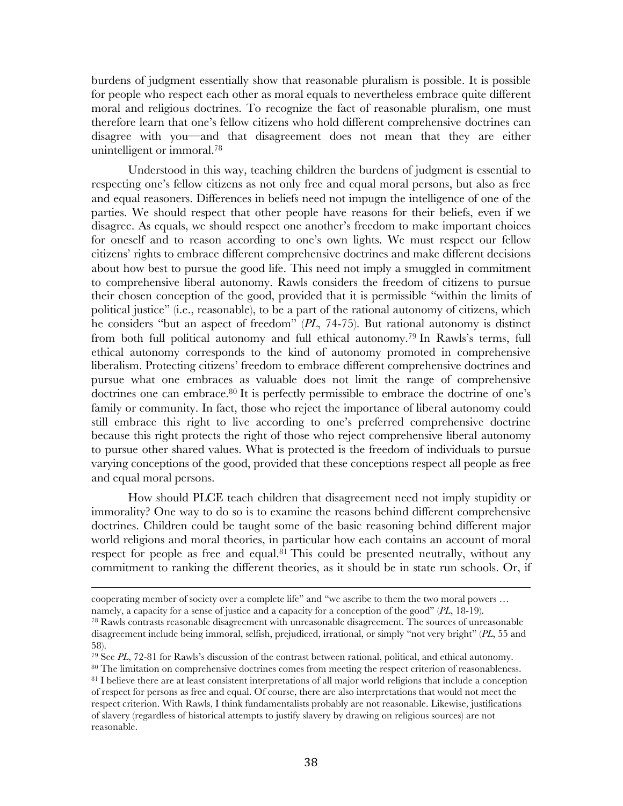burdens of judgment essentially show that reasonable pluralism is possible. It is possible for people who respect each other as moral equals to nevertheless embrace quite different moral and religious doctrines. To recognize the fact of reasonable pluralism, one must therefore learn that one's fellow citizens who hold different comprehensive doctrines can disagree with you—and that disagreement does not mean that they are either unintelligent or immoral.78

Understood in this way, teaching children the burdens of judgment is essential to respecting one's fellow citizens as not only free and equal moral persons, but also as free and equal reasoners. Differences in beliefs need not impugn the intelligence of one of the parties. We should respect that other people have reasons for their beliefs, even if we disagree. As equals, we should respect one another's freedom to make important choices for oneself and to reason according to one's own lights. We must respect our fellow citizens' rights to embrace different comprehensive doctrines and make different decisions about how best to pursue the good life. This need not imply a smuggled in commitment to comprehensive liberal autonomy. Rawls considers the freedom of citizens to pursue their chosen conception of the good, provided that it is permissible "within the limits of political justice" (i.e., reasonable), to be a part of the rational autonomy of citizens, which he considers "but an aspect of freedom" (*PL*, 74-75). But rational autonomy is distinct from both full political autonomy and full ethical autonomy.79 In Rawls's terms, full ethical autonomy corresponds to the kind of autonomy promoted in comprehensive liberalism. Protecting citizens' freedom to embrace different comprehensive doctrines and pursue what one embraces as valuable does not limit the range of comprehensive doctrines one can embrace.<sup>80</sup> It is perfectly permissible to embrace the doctrine of one's family or community. In fact, those who reject the importance of liberal autonomy could still embrace this right to live according to one's preferred comprehensive doctrine because this right protects the right of those who reject comprehensive liberal autonomy to pursue other shared values. What is protected is the freedom of individuals to pursue varying conceptions of the good, provided that these conceptions respect all people as free and equal moral persons.

How should PLCE teach children that disagreement need not imply stupidity or immorality? One way to do so is to examine the reasons behind different comprehensive doctrines. Children could be taught some of the basic reasoning behind different major world religions and moral theories, in particular how each contains an account of moral respect for people as free and equal. $81$  This could be presented neutrally, without any commitment to ranking the different theories, as it should be in state run schools. Or, if

<u> 1989 - Johann Barnett, fransk politik (d. 1989)</u>

cooperating member of society over a complete life" and "we ascribe to them the two moral powers … namely, a capacity for a sense of justice and a capacity for a conception of the good" (*PL*, 18-19).<br><sup>78</sup> Rawls contrasts reasonable disagreement with unreasonable disagreement. The sources of unreasonable

disagreement include being immoral, selfish, prejudiced, irrational, or simply "not very bright" (*PL*, 55 and 58).

<sup>79</sup> See *PL*, 72-81 for Rawls's discussion of the contrast between rational, political, and ethical autonomy.

<sup>80</sup> The limitation on comprehensive doctrines comes from meeting the respect criterion of reasonableness. <sup>81</sup> I believe there are at least consistent interpretations of all major world religions that include a conception of respect for persons as free and equal. Of course, there are also interpretations that would not meet the respect criterion. With Rawls, I think fundamentalists probably are not reasonable. Likewise, justifications of slavery (regardless of historical attempts to justify slavery by drawing on religious sources) are not reasonable.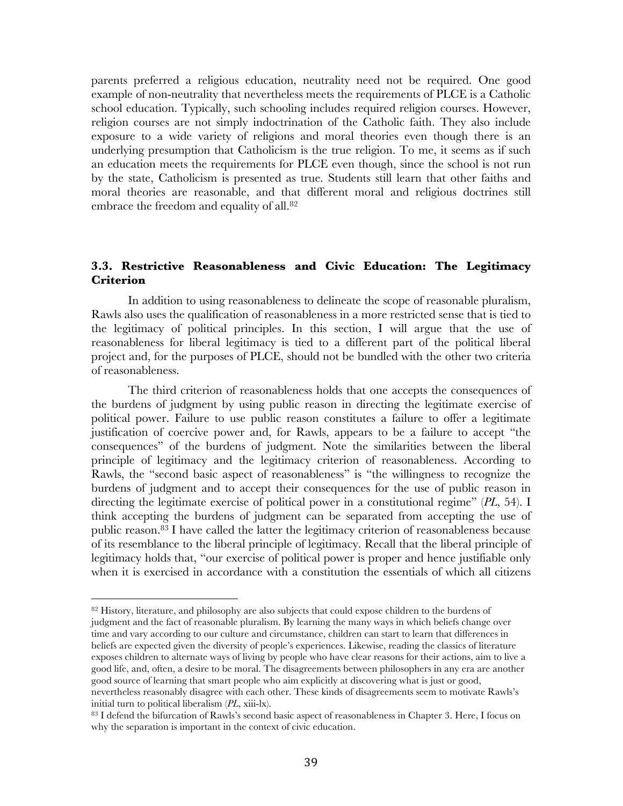parents preferred a religious education, neutrality need not be required. One good example of non-neutrality that nevertheless meets the requirements of PLCE is a Catholic school education. Typically, such schooling includes required religion courses. However, religion courses are not simply indoctrination of the Catholic faith. They also include exposure to a wide variety of religions and moral theories even though there is an underlying presumption that Catholicism is the true religion. To me, it seems as if such an education meets the requirements for PLCE even though, since the school is not run by the state, Catholicism is presented as true. Students still learn that other faiths and moral theories are reasonable, and that different moral and religious doctrines still embrace the freedom and equality of all.<sup>82</sup>

# **3.3. Restrictive Reasonableness and Civic Education: The Legitimacy Criterion**

In addition to using reasonableness to delineate the scope of reasonable pluralism, Rawls also uses the qualification of reasonableness in a more restricted sense that is tied to the legitimacy of political principles. In this section, I will argue that the use of reasonableness for liberal legitimacy is tied to a different part of the political liberal project and, for the purposes of PLCE, should not be bundled with the other two criteria of reasonableness.

The third criterion of reasonableness holds that one accepts the consequences of the burdens of judgment by using public reason in directing the legitimate exercise of political power. Failure to use public reason constitutes a failure to offer a legitimate justification of coercive power and, for Rawls, appears to be a failure to accept "the consequences" of the burdens of judgment. Note the similarities between the liberal principle of legitimacy and the legitimacy criterion of reasonableness. According to Rawls, the "second basic aspect of reasonableness" is "the willingness to recognize the burdens of judgment and to accept their consequences for the use of public reason in directing the legitimate exercise of political power in a constitutional regime" (*PL*, 54). I think accepting the burdens of judgment can be separated from accepting the use of public reason.83 I have called the latter the legitimacy criterion of reasonableness because of its resemblance to the liberal principle of legitimacy. Recall that the liberal principle of legitimacy holds that, "our exercise of political power is proper and hence justifiable only when it is exercised in accordance with a constitution the essentials of which all citizens

<sup>82</sup> History, literature, and philosophy are also subjects that could expose children to the burdens of judgment and the fact of reasonable pluralism. By learning the many ways in which beliefs change over time and vary according to our culture and circumstance, children can start to learn that differences in beliefs are expected given the diversity of people's experiences. Likewise, reading the classics of literature exposes children to alternate ways of living by people who have clear reasons for their actions, aim to live a good life, and, often, a desire to be moral. The disagreements between philosophers in any era are another good source of learning that smart people who aim explicitly at discovering what is just or good, nevertheless reasonably disagree with each other. These kinds of disagreements seem to motivate Rawls's initial turn to political liberalism (*PL*, xiii-lx).

<sup>&</sup>lt;sup>83</sup> I defend the bifurcation of Rawls's second basic aspect of reasonableness in Chapter 3. Here, I focus on why the separation is important in the context of civic education.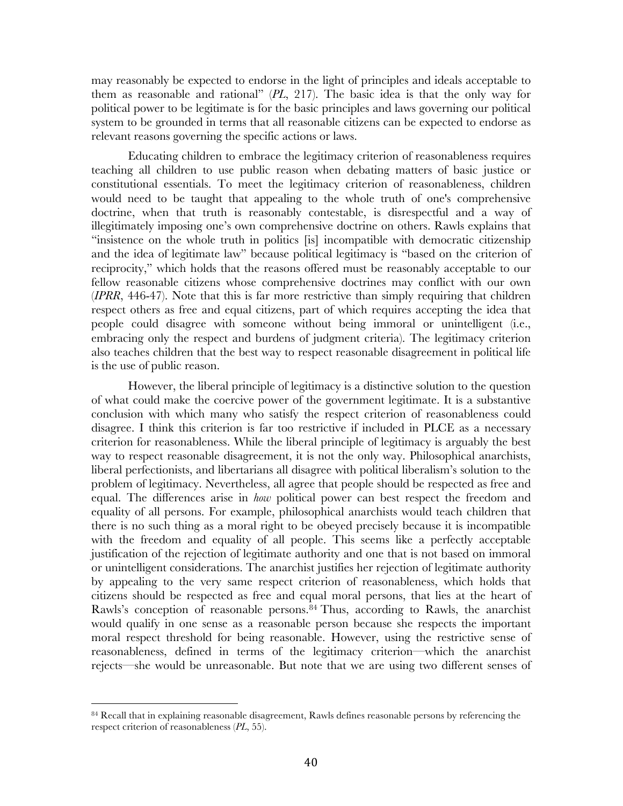may reasonably be expected to endorse in the light of principles and ideals acceptable to them as reasonable and rational" (*PL*, 217). The basic idea is that the only way for political power to be legitimate is for the basic principles and laws governing our political system to be grounded in terms that all reasonable citizens can be expected to endorse as relevant reasons governing the specific actions or laws.

Educating children to embrace the legitimacy criterion of reasonableness requires teaching all children to use public reason when debating matters of basic justice or constitutional essentials. To meet the legitimacy criterion of reasonableness, children would need to be taught that appealing to the whole truth of one's comprehensive doctrine, when that truth is reasonably contestable, is disrespectful and a way of illegitimately imposing one's own comprehensive doctrine on others. Rawls explains that "insistence on the whole truth in politics [is] incompatible with democratic citizenship and the idea of legitimate law" because political legitimacy is "based on the criterion of reciprocity," which holds that the reasons offered must be reasonably acceptable to our fellow reasonable citizens whose comprehensive doctrines may conflict with our own (*IPRR*, 446-47). Note that this is far more restrictive than simply requiring that children respect others as free and equal citizens, part of which requires accepting the idea that people could disagree with someone without being immoral or unintelligent (i.e., embracing only the respect and burdens of judgment criteria). The legitimacy criterion also teaches children that the best way to respect reasonable disagreement in political life is the use of public reason.

However, the liberal principle of legitimacy is a distinctive solution to the question of what could make the coercive power of the government legitimate. It is a substantive conclusion with which many who satisfy the respect criterion of reasonableness could disagree. I think this criterion is far too restrictive if included in PLCE as a necessary criterion for reasonableness. While the liberal principle of legitimacy is arguably the best way to respect reasonable disagreement, it is not the only way. Philosophical anarchists, liberal perfectionists, and libertarians all disagree with political liberalism's solution to the problem of legitimacy. Nevertheless, all agree that people should be respected as free and equal. The differences arise in *how* political power can best respect the freedom and equality of all persons. For example, philosophical anarchists would teach children that there is no such thing as a moral right to be obeyed precisely because it is incompatible with the freedom and equality of all people. This seems like a perfectly acceptable justification of the rejection of legitimate authority and one that is not based on immoral or unintelligent considerations. The anarchist justifies her rejection of legitimate authority by appealing to the very same respect criterion of reasonableness, which holds that citizens should be respected as free and equal moral persons, that lies at the heart of Rawls's conception of reasonable persons.<sup>84</sup> Thus, according to Rawls, the anarchist would qualify in one sense as a reasonable person because she respects the important moral respect threshold for being reasonable. However, using the restrictive sense of reasonableness, defined in terms of the legitimacy criterion—which the anarchist rejects—she would be unreasonable. But note that we are using two different senses of

<sup>&</sup>lt;sup>84</sup> Recall that in explaining reasonable disagreement, Rawls defines reasonable persons by referencing the respect criterion of reasonableness (*PL*, 55).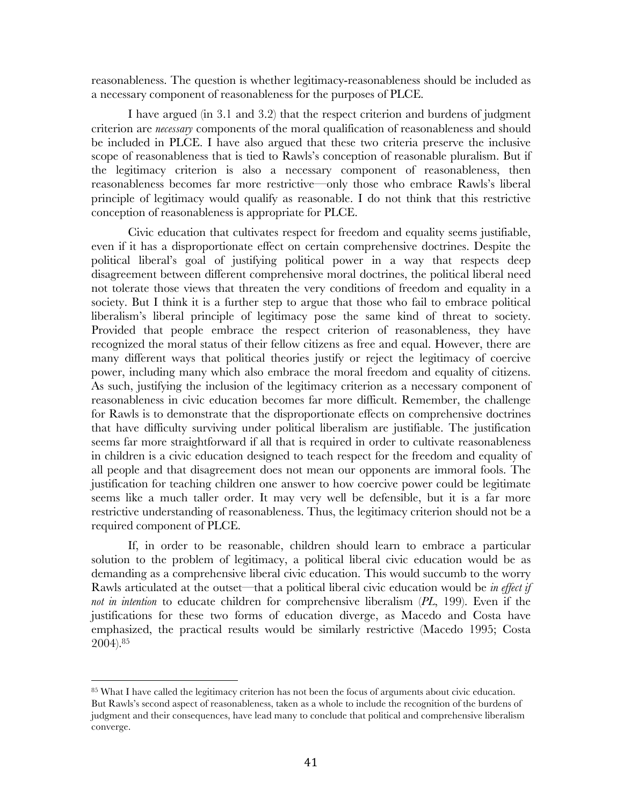reasonableness. The question is whether legitimacy-reasonableness should be included as a necessary component of reasonableness for the purposes of PLCE.

I have argued (in 3.1 and 3.2) that the respect criterion and burdens of judgment criterion are *necessary* components of the moral qualification of reasonableness and should be included in PLCE. I have also argued that these two criteria preserve the inclusive scope of reasonableness that is tied to Rawls's conception of reasonable pluralism. But if the legitimacy criterion is also a necessary component of reasonableness, then reasonableness becomes far more restrictive—only those who embrace Rawls's liberal principle of legitimacy would qualify as reasonable. I do not think that this restrictive conception of reasonableness is appropriate for PLCE.

Civic education that cultivates respect for freedom and equality seems justifiable, even if it has a disproportionate effect on certain comprehensive doctrines. Despite the political liberal's goal of justifying political power in a way that respects deep disagreement between different comprehensive moral doctrines, the political liberal need not tolerate those views that threaten the very conditions of freedom and equality in a society. But I think it is a further step to argue that those who fail to embrace political liberalism's liberal principle of legitimacy pose the same kind of threat to society. Provided that people embrace the respect criterion of reasonableness, they have recognized the moral status of their fellow citizens as free and equal. However, there are many different ways that political theories justify or reject the legitimacy of coercive power, including many which also embrace the moral freedom and equality of citizens. As such, justifying the inclusion of the legitimacy criterion as a necessary component of reasonableness in civic education becomes far more difficult. Remember, the challenge for Rawls is to demonstrate that the disproportionate effects on comprehensive doctrines that have difficulty surviving under political liberalism are justifiable. The justification seems far more straightforward if all that is required in order to cultivate reasonableness in children is a civic education designed to teach respect for the freedom and equality of all people and that disagreement does not mean our opponents are immoral fools. The justification for teaching children one answer to how coercive power could be legitimate seems like a much taller order. It may very well be defensible, but it is a far more restrictive understanding of reasonableness. Thus, the legitimacy criterion should not be a required component of PLCE.

If, in order to be reasonable, children should learn to embrace a particular solution to the problem of legitimacy, a political liberal civic education would be as demanding as a comprehensive liberal civic education. This would succumb to the worry Rawls articulated at the outset—that a political liberal civic education would be *in effect if not in intention* to educate children for comprehensive liberalism (*PL*, 199). Even if the justifications for these two forms of education diverge, as Macedo and Costa have emphasized, the practical results would be similarly restrictive (Macedo 1995; Costa 2004). 85

<sup>85</sup> What I have called the legitimacy criterion has not been the focus of arguments about civic education.

But Rawls's second aspect of reasonableness, taken as a whole to include the recognition of the burdens of judgment and their consequences, have lead many to conclude that political and comprehensive liberalism converge.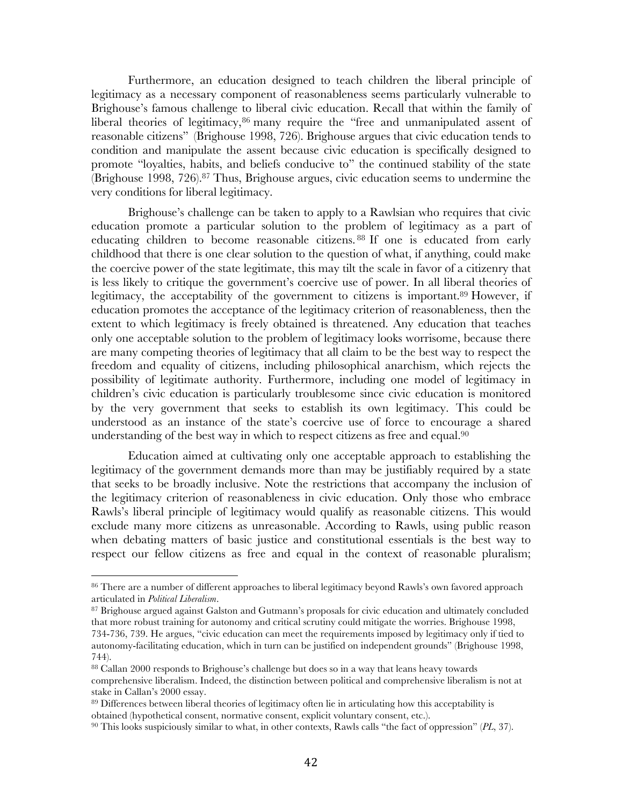Furthermore, an education designed to teach children the liberal principle of legitimacy as a necessary component of reasonableness seems particularly vulnerable to Brighouse's famous challenge to liberal civic education. Recall that within the family of liberal theories of legitimacy,<sup>86</sup> many require the "free and unmanipulated assent of reasonable citizens" (Brighouse 1998, 726). Brighouse argues that civic education tends to condition and manipulate the assent because civic education is specifically designed to promote "loyalties, habits, and beliefs conducive to" the continued stability of the state (Brighouse 1998, 726). <sup>87</sup> Thus, Brighouse argues, civic education seems to undermine the very conditions for liberal legitimacy.

Brighouse's challenge can be taken to apply to a Rawlsian who requires that civic education promote a particular solution to the problem of legitimacy as a part of educating children to become reasonable citizens. <sup>88</sup> If one is educated from early childhood that there is one clear solution to the question of what, if anything, could make the coercive power of the state legitimate, this may tilt the scale in favor of a citizenry that is less likely to critique the government's coercive use of power. In all liberal theories of legitimacy, the acceptability of the government to citizens is important.<sup>89</sup> However, if education promotes the acceptance of the legitimacy criterion of reasonableness, then the extent to which legitimacy is freely obtained is threatened. Any education that teaches only one acceptable solution to the problem of legitimacy looks worrisome, because there are many competing theories of legitimacy that all claim to be the best way to respect the freedom and equality of citizens, including philosophical anarchism, which rejects the possibility of legitimate authority. Furthermore, including one model of legitimacy in children's civic education is particularly troublesome since civic education is monitored by the very government that seeks to establish its own legitimacy. This could be understood as an instance of the state's coercive use of force to encourage a shared understanding of the best way in which to respect citizens as free and equal.<sup>90</sup>

Education aimed at cultivating only one acceptable approach to establishing the legitimacy of the government demands more than may be justifiably required by a state that seeks to be broadly inclusive. Note the restrictions that accompany the inclusion of the legitimacy criterion of reasonableness in civic education. Only those who embrace Rawls's liberal principle of legitimacy would qualify as reasonable citizens. This would exclude many more citizens as unreasonable. According to Rawls, using public reason when debating matters of basic justice and constitutional essentials is the best way to respect our fellow citizens as free and equal in the context of reasonable pluralism;

<sup>&</sup>lt;sup>86</sup> There are a number of different approaches to liberal legitimacy beyond Rawls's own favored approach articulated in *Political Liberalism*.

<sup>87</sup> Brighouse argued against Galston and Gutmann's proposals for civic education and ultimately concluded that more robust training for autonomy and critical scrutiny could mitigate the worries. Brighouse 1998, 734-736, 739. He argues, "civic education can meet the requirements imposed by legitimacy only if tied to autonomy-facilitating education, which in turn can be justified on independent grounds" (Brighouse 1998, 744).

<sup>88</sup> Callan 2000 responds to Brighouse's challenge but does so in a way that leans heavy towards comprehensive liberalism. Indeed, the distinction between political and comprehensive liberalism is not at stake in Callan's 2000 essay.<br><sup>89</sup> Differences between liberal theories of legitimacy often lie in articulating how this acceptability is

obtained (hypothetical consent, normative consent, explicit voluntary consent, etc.).

<sup>90</sup> This looks suspiciously similar to what, in other contexts, Rawls calls "the fact of oppression" (*PL*, 37).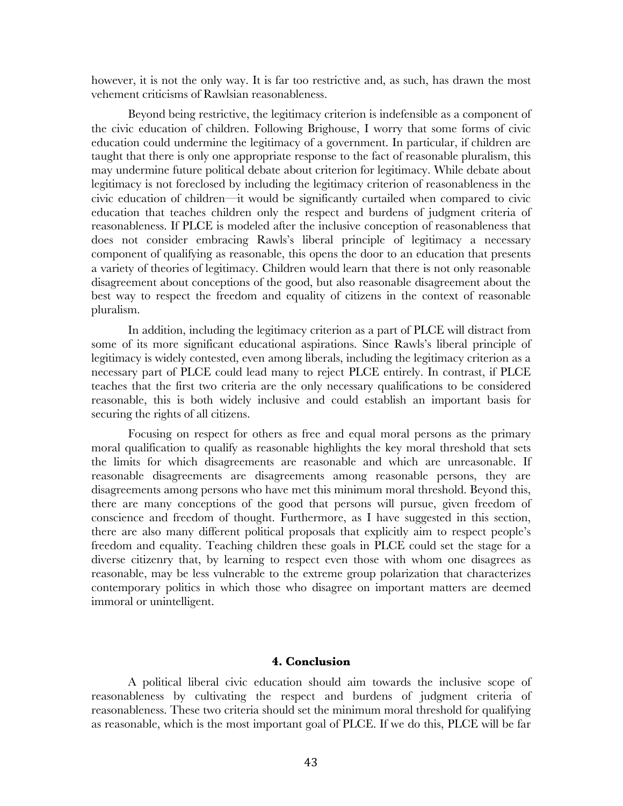however, it is not the only way. It is far too restrictive and, as such, has drawn the most vehement criticisms of Rawlsian reasonableness.

Beyond being restrictive, the legitimacy criterion is indefensible as a component of the civic education of children. Following Brighouse, I worry that some forms of civic education could undermine the legitimacy of a government. In particular, if children are taught that there is only one appropriate response to the fact of reasonable pluralism, this may undermine future political debate about criterion for legitimacy. While debate about legitimacy is not foreclosed by including the legitimacy criterion of reasonableness in the civic education of children—it would be significantly curtailed when compared to civic education that teaches children only the respect and burdens of judgment criteria of reasonableness. If PLCE is modeled after the inclusive conception of reasonableness that does not consider embracing Rawls's liberal principle of legitimacy a necessary component of qualifying as reasonable, this opens the door to an education that presents a variety of theories of legitimacy. Children would learn that there is not only reasonable disagreement about conceptions of the good, but also reasonable disagreement about the best way to respect the freedom and equality of citizens in the context of reasonable pluralism.

In addition, including the legitimacy criterion as a part of PLCE will distract from some of its more significant educational aspirations. Since Rawls's liberal principle of legitimacy is widely contested, even among liberals, including the legitimacy criterion as a necessary part of PLCE could lead many to reject PLCE entirely. In contrast, if PLCE teaches that the first two criteria are the only necessary qualifications to be considered reasonable, this is both widely inclusive and could establish an important basis for securing the rights of all citizens.

Focusing on respect for others as free and equal moral persons as the primary moral qualification to qualify as reasonable highlights the key moral threshold that sets the limits for which disagreements are reasonable and which are unreasonable. If reasonable disagreements are disagreements among reasonable persons, they are disagreements among persons who have met this minimum moral threshold. Beyond this, there are many conceptions of the good that persons will pursue, given freedom of conscience and freedom of thought. Furthermore, as I have suggested in this section, there are also many different political proposals that explicitly aim to respect people's freedom and equality. Teaching children these goals in PLCE could set the stage for a diverse citizenry that, by learning to respect even those with whom one disagrees as reasonable, may be less vulnerable to the extreme group polarization that characterizes contemporary politics in which those who disagree on important matters are deemed immoral or unintelligent.

# **4. Conclusion**

A political liberal civic education should aim towards the inclusive scope of reasonableness by cultivating the respect and burdens of judgment criteria of reasonableness. These two criteria should set the minimum moral threshold for qualifying as reasonable, which is the most important goal of PLCE. If we do this, PLCE will be far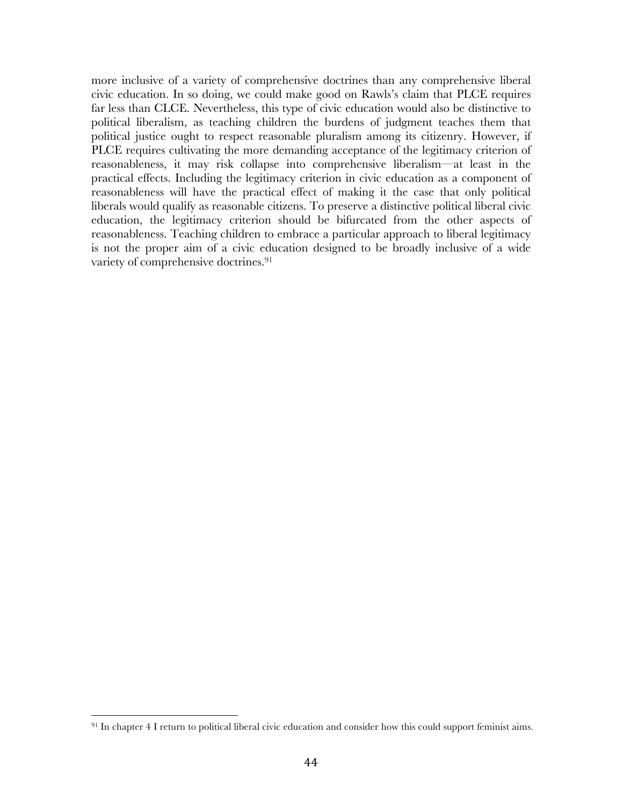more inclusive of a variety of comprehensive doctrines than any comprehensive liberal civic education. In so doing, we could make good on Rawls's claim that PLCE requires far less than CLCE. Nevertheless, this type of civic education would also be distinctive to political liberalism, as teaching children the burdens of judgment teaches them that political justice ought to respect reasonable pluralism among its citizenry. However, if PLCE requires cultivating the more demanding acceptance of the legitimacy criterion of reasonableness, it may risk collapse into comprehensive liberalism—at least in the practical effects. Including the legitimacy criterion in civic education as a component of reasonableness will have the practical effect of making it the case that only political liberals would qualify as reasonable citizens. To preserve a distinctive political liberal civic education, the legitimacy criterion should be bifurcated from the other aspects of reasonableness. Teaching children to embrace a particular approach to liberal legitimacy is not the proper aim of a civic education designed to be broadly inclusive of a wide variety of comprehensive doctrines.<sup>91</sup>

<sup>91</sup> In chapter 4 I return to political liberal civic education and consider how this could support feminist aims.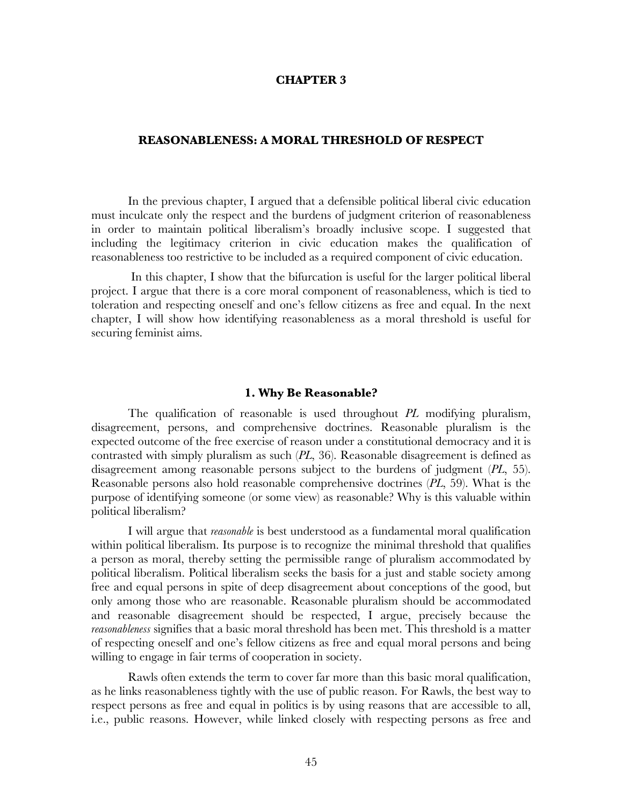## **CHAPTER 3**

## **REASONABLENESS: A MORAL THRESHOLD OF RESPECT**

In the previous chapter, I argued that a defensible political liberal civic education must inculcate only the respect and the burdens of judgment criterion of reasonableness in order to maintain political liberalism's broadly inclusive scope. I suggested that including the legitimacy criterion in civic education makes the qualification of reasonableness too restrictive to be included as a required component of civic education.

In this chapter, I show that the bifurcation is useful for the larger political liberal project. I argue that there is a core moral component of reasonableness, which is tied to toleration and respecting oneself and one's fellow citizens as free and equal. In the next chapter, I will show how identifying reasonableness as a moral threshold is useful for securing feminist aims.

# **1. Why Be Reasonable?**

The qualification of reasonable is used throughout *PL* modifying pluralism, disagreement, persons, and comprehensive doctrines. Reasonable pluralism is the expected outcome of the free exercise of reason under a constitutional democracy and it is contrasted with simply pluralism as such (*PL*, 36). Reasonable disagreement is defined as disagreement among reasonable persons subject to the burdens of judgment (*PL*, 55). Reasonable persons also hold reasonable comprehensive doctrines (*PL*, 59). What is the purpose of identifying someone (or some view) as reasonable? Why is this valuable within political liberalism?

I will argue that *reasonable* is best understood as a fundamental moral qualification within political liberalism. Its purpose is to recognize the minimal threshold that qualifies a person as moral, thereby setting the permissible range of pluralism accommodated by political liberalism. Political liberalism seeks the basis for a just and stable society among free and equal persons in spite of deep disagreement about conceptions of the good, but only among those who are reasonable. Reasonable pluralism should be accommodated and reasonable disagreement should be respected, I argue, precisely because the *reasonableness* signifies that a basic moral threshold has been met. This threshold is a matter of respecting oneself and one's fellow citizens as free and equal moral persons and being willing to engage in fair terms of cooperation in society.

Rawls often extends the term to cover far more than this basic moral qualification, as he links reasonableness tightly with the use of public reason. For Rawls, the best way to respect persons as free and equal in politics is by using reasons that are accessible to all, i.e., public reasons. However, while linked closely with respecting persons as free and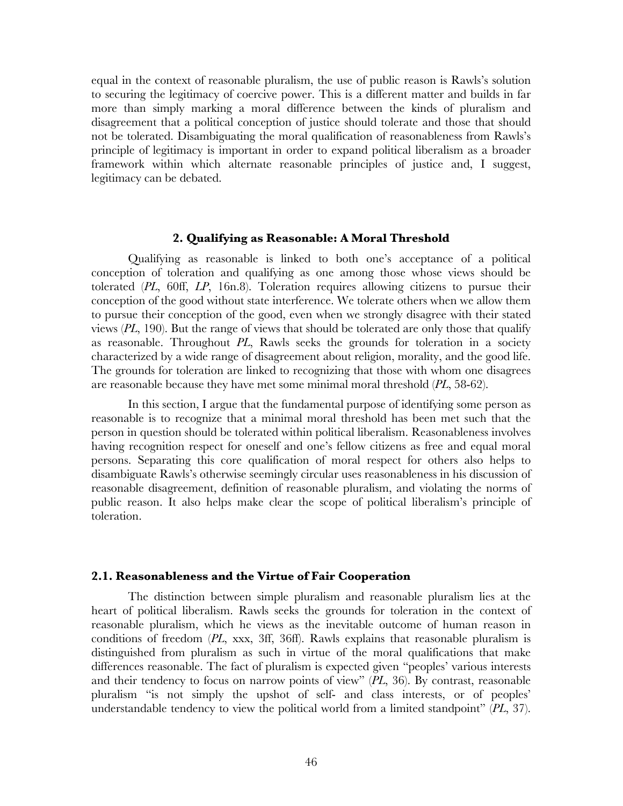equal in the context of reasonable pluralism, the use of public reason is Rawls's solution to securing the legitimacy of coercive power. This is a different matter and builds in far more than simply marking a moral difference between the kinds of pluralism and disagreement that a political conception of justice should tolerate and those that should not be tolerated. Disambiguating the moral qualification of reasonableness from Rawls's principle of legitimacy is important in order to expand political liberalism as a broader framework within which alternate reasonable principles of justice and, I suggest, legitimacy can be debated.

#### **2. Qualifying as Reasonable: A Moral Threshold**

Qualifying as reasonable is linked to both one's acceptance of a political conception of toleration and qualifying as one among those whose views should be tolerated (*PL*, 60ff, *LP*, 16n.8). Toleration requires allowing citizens to pursue their conception of the good without state interference. We tolerate others when we allow them to pursue their conception of the good, even when we strongly disagree with their stated views (*PL*, 190). But the range of views that should be tolerated are only those that qualify as reasonable. Throughout *PL*, Rawls seeks the grounds for toleration in a society characterized by a wide range of disagreement about religion, morality, and the good life. The grounds for toleration are linked to recognizing that those with whom one disagrees are reasonable because they have met some minimal moral threshold (*PL*, 58-62).

In this section, I argue that the fundamental purpose of identifying some person as reasonable is to recognize that a minimal moral threshold has been met such that the person in question should be tolerated within political liberalism. Reasonableness involves having recognition respect for oneself and one's fellow citizens as free and equal moral persons. Separating this core qualification of moral respect for others also helps to disambiguate Rawls's otherwise seemingly circular uses reasonableness in his discussion of reasonable disagreement, definition of reasonable pluralism, and violating the norms of public reason. It also helps make clear the scope of political liberalism's principle of toleration.

# **2.1. Reasonableness and the Virtue of Fair Cooperation**

The distinction between simple pluralism and reasonable pluralism lies at the heart of political liberalism. Rawls seeks the grounds for toleration in the context of reasonable pluralism, which he views as the inevitable outcome of human reason in conditions of freedom (*PL*, xxx, 3ff, 36ff). Rawls explains that reasonable pluralism is distinguished from pluralism as such in virtue of the moral qualifications that make differences reasonable. The fact of pluralism is expected given "peoples' various interests and their tendency to focus on narrow points of view" (*PL*, 36). By contrast, reasonable pluralism "is not simply the upshot of self- and class interests, or of peoples' understandable tendency to view the political world from a limited standpoint" (*PL*, 37).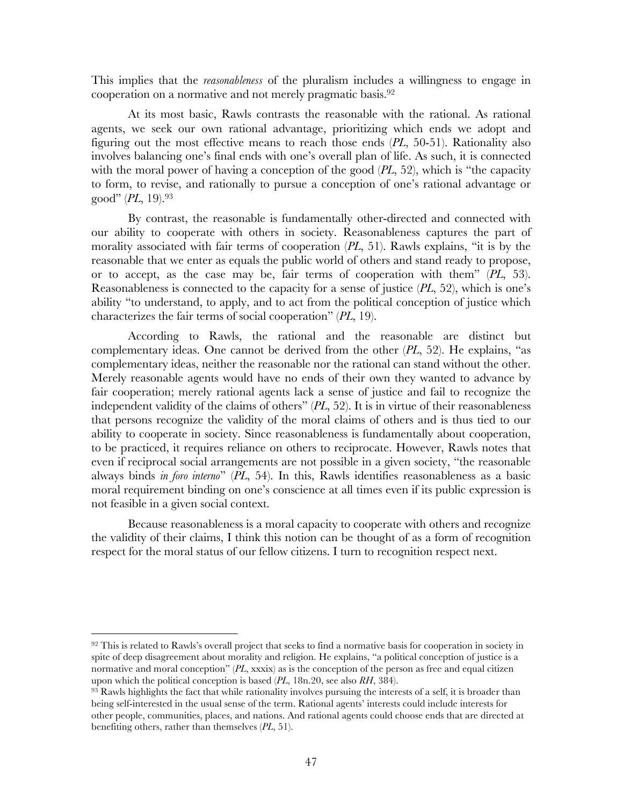This implies that the *reasonableness* of the pluralism includes a willingness to engage in cooperation on a normative and not merely pragmatic basis.92

At its most basic, Rawls contrasts the reasonable with the rational. As rational agents, we seek our own rational advantage, prioritizing which ends we adopt and figuring out the most effective means to reach those ends (*PL*, 50-51). Rationality also involves balancing one's final ends with one's overall plan of life. As such, it is connected with the moral power of having a conception of the good (PL, 52), which is "the capacity to form, to revise, and rationally to pursue a conception of one's rational advantage or good" (*PL*, 19).93

By contrast, the reasonable is fundamentally other-directed and connected with our ability to cooperate with others in society. Reasonableness captures the part of morality associated with fair terms of cooperation (*PL*, 51). Rawls explains, "it is by the reasonable that we enter as equals the public world of others and stand ready to propose, or to accept, as the case may be, fair terms of cooperation with them" (*PL*, 53). Reasonableness is connected to the capacity for a sense of justice (*PL*, 52), which is one's ability "to understand, to apply, and to act from the political conception of justice which characterizes the fair terms of social cooperation" (*PL*, 19).

According to Rawls, the rational and the reasonable are distinct but complementary ideas. One cannot be derived from the other (*PL*, 52). He explains, "as complementary ideas, neither the reasonable nor the rational can stand without the other. Merely reasonable agents would have no ends of their own they wanted to advance by fair cooperation; merely rational agents lack a sense of justice and fail to recognize the independent validity of the claims of others" (*PL*, 52). It is in virtue of their reasonableness that persons recognize the validity of the moral claims of others and is thus tied to our ability to cooperate in society. Since reasonableness is fundamentally about cooperation, to be practiced, it requires reliance on others to reciprocate. However, Rawls notes that even if reciprocal social arrangements are not possible in a given society, "the reasonable always binds *in foro interno*" (*PL*, 54). In this, Rawls identifies reasonableness as a basic moral requirement binding on one's conscience at all times even if its public expression is not feasible in a given social context.

Because reasonableness is a moral capacity to cooperate with others and recognize the validity of their claims, I think this notion can be thought of as a form of recognition respect for the moral status of our fellow citizens. I turn to recognition respect next.

 $92$  This is related to Rawls's overall project that seeks to find a normative basis for cooperation in society in spite of deep disagreement about morality and religion. He explains, "a political conception of justice is a normative and moral conception" (*PL*, xxxix) as is the conception of the person as free and equal citizen upon which the political conception is based (*PL*, 18n.20, see also *RH*, 384).

<sup>93</sup> Rawls highlights the fact that while rationality involves pursuing the interests of a self, it is broader than being self-interested in the usual sense of the term. Rational agents' interests could include interests for other people, communities, places, and nations. And rational agents could choose ends that are directed at benefiting others, rather than themselves (*PL*, 51).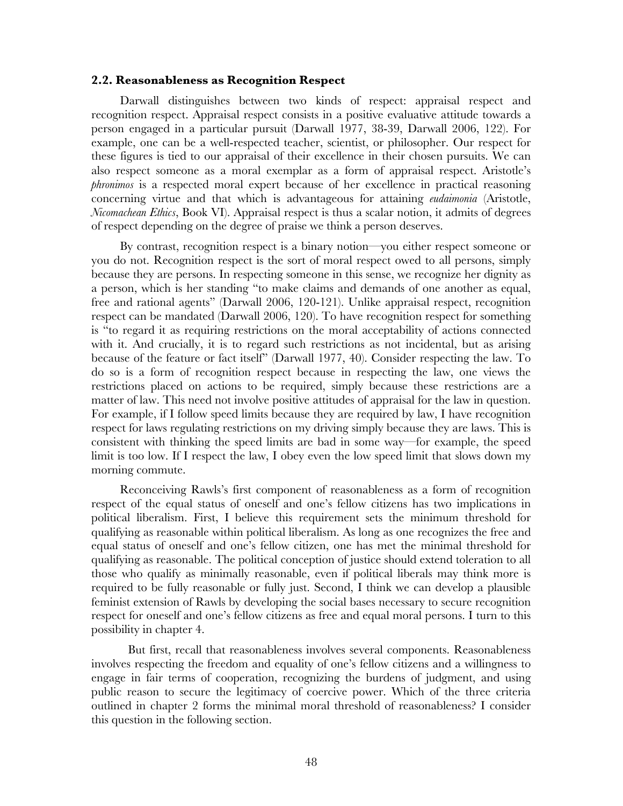### **2.2. Reasonableness as Recognition Respect**

Darwall distinguishes between two kinds of respect: appraisal respect and recognition respect. Appraisal respect consists in a positive evaluative attitude towards a person engaged in a particular pursuit (Darwall 1977, 38-39, Darwall 2006, 122). For example, one can be a well-respected teacher, scientist, or philosopher. Our respect for these figures is tied to our appraisal of their excellence in their chosen pursuits. We can also respect someone as a moral exemplar as a form of appraisal respect. Aristotle's *phronimos* is a respected moral expert because of her excellence in practical reasoning concerning virtue and that which is advantageous for attaining *eudaimonia* (Aristotle, *Nicomachean Ethics*, Book VI). Appraisal respect is thus a scalar notion, it admits of degrees of respect depending on the degree of praise we think a person deserves.

By contrast, recognition respect is a binary notion—you either respect someone or you do not. Recognition respect is the sort of moral respect owed to all persons, simply because they are persons. In respecting someone in this sense, we recognize her dignity as a person, which is her standing "to make claims and demands of one another as equal, free and rational agents" (Darwall 2006, 120-121). Unlike appraisal respect, recognition respect can be mandated (Darwall 2006, 120). To have recognition respect for something is "to regard it as requiring restrictions on the moral acceptability of actions connected with it. And crucially, it is to regard such restrictions as not incidental, but as arising because of the feature or fact itself" (Darwall 1977, 40). Consider respecting the law. To do so is a form of recognition respect because in respecting the law, one views the restrictions placed on actions to be required, simply because these restrictions are a matter of law. This need not involve positive attitudes of appraisal for the law in question. For example, if I follow speed limits because they are required by law, I have recognition respect for laws regulating restrictions on my driving simply because they are laws. This is consistent with thinking the speed limits are bad in some way—for example, the speed limit is too low. If I respect the law, I obey even the low speed limit that slows down my morning commute.

Reconceiving Rawls's first component of reasonableness as a form of recognition respect of the equal status of oneself and one's fellow citizens has two implications in political liberalism. First, I believe this requirement sets the minimum threshold for qualifying as reasonable within political liberalism. As long as one recognizes the free and equal status of oneself and one's fellow citizen, one has met the minimal threshold for qualifying as reasonable. The political conception of justice should extend toleration to all those who qualify as minimally reasonable, even if political liberals may think more is required to be fully reasonable or fully just. Second, I think we can develop a plausible feminist extension of Rawls by developing the social bases necessary to secure recognition respect for oneself and one's fellow citizens as free and equal moral persons. I turn to this possibility in chapter 4.

But first, recall that reasonableness involves several components. Reasonableness involves respecting the freedom and equality of one's fellow citizens and a willingness to engage in fair terms of cooperation, recognizing the burdens of judgment, and using public reason to secure the legitimacy of coercive power. Which of the three criteria outlined in chapter 2 forms the minimal moral threshold of reasonableness? I consider this question in the following section.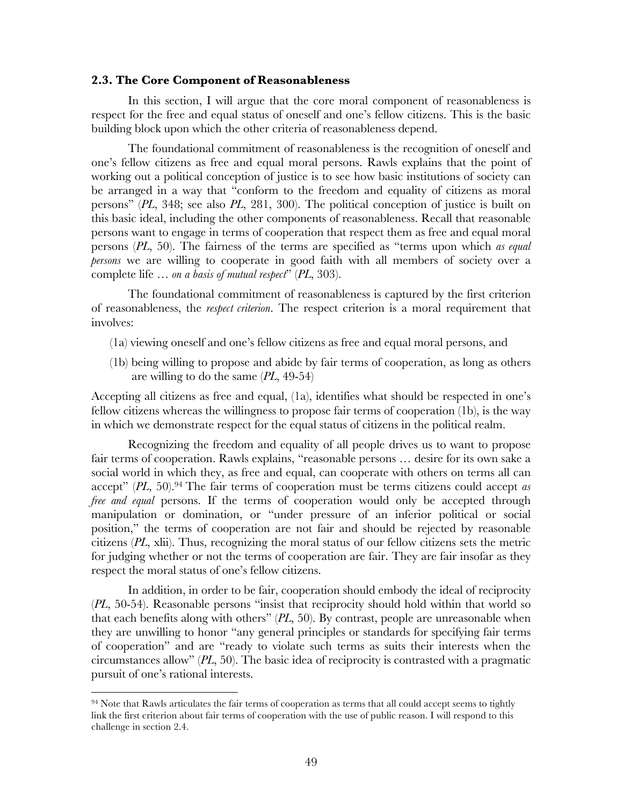### **2.3. The Core Component of Reasonableness**

In this section, I will argue that the core moral component of reasonableness is respect for the free and equal status of oneself and one's fellow citizens. This is the basic building block upon which the other criteria of reasonableness depend.

The foundational commitment of reasonableness is the recognition of oneself and one's fellow citizens as free and equal moral persons. Rawls explains that the point of working out a political conception of justice is to see how basic institutions of society can be arranged in a way that "conform to the freedom and equality of citizens as moral persons" (*PL*, 348; see also *PL*, 281, 300). The political conception of justice is built on this basic ideal, including the other components of reasonableness. Recall that reasonable persons want to engage in terms of cooperation that respect them as free and equal moral persons (*PL*, 50). The fairness of the terms are specified as "terms upon which *as equal persons* we are willing to cooperate in good faith with all members of society over a complete life … *on a basis of mutual respect*" (*PL*, 303).

The foundational commitment of reasonableness is captured by the first criterion of reasonableness, the *respect criterion*. The respect criterion is a moral requirement that involves:

- (1a) viewing oneself and one's fellow citizens as free and equal moral persons, and
- (1b) being willing to propose and abide by fair terms of cooperation, as long as others are willing to do the same (*PL*, 49-54)

Accepting all citizens as free and equal, (1a), identifies what should be respected in one's fellow citizens whereas the willingness to propose fair terms of cooperation (1b), is the way in which we demonstrate respect for the equal status of citizens in the political realm.

Recognizing the freedom and equality of all people drives us to want to propose fair terms of cooperation. Rawls explains, "reasonable persons … desire for its own sake a social world in which they, as free and equal, can cooperate with others on terms all can accept" (*PL*, 50).<sup>94</sup> The fair terms of cooperation must be terms citizens could accept *as free and equal* persons. If the terms of cooperation would only be accepted through manipulation or domination, or "under pressure of an inferior political or social position," the terms of cooperation are not fair and should be rejected by reasonable citizens (*PL*, xlii). Thus, recognizing the moral status of our fellow citizens sets the metric for judging whether or not the terms of cooperation are fair. They are fair insofar as they respect the moral status of one's fellow citizens.

In addition, in order to be fair, cooperation should embody the ideal of reciprocity (*PL*, 50-54). Reasonable persons "insist that reciprocity should hold within that world so that each benefits along with others" (*PL*, 50). By contrast, people are unreasonable when they are unwilling to honor "any general principles or standards for specifying fair terms of cooperation" and are "ready to violate such terms as suits their interests when the circumstances allow" (*PL*, 50). The basic idea of reciprocity is contrasted with a pragmatic pursuit of one's rational interests.

<sup>&</sup>lt;sup>94</sup> Note that Rawls articulates the fair terms of cooperation as terms that all could accept seems to tightly link the first criterion about fair terms of cooperation with the use of public reason. I will respond to this challenge in section 2.4.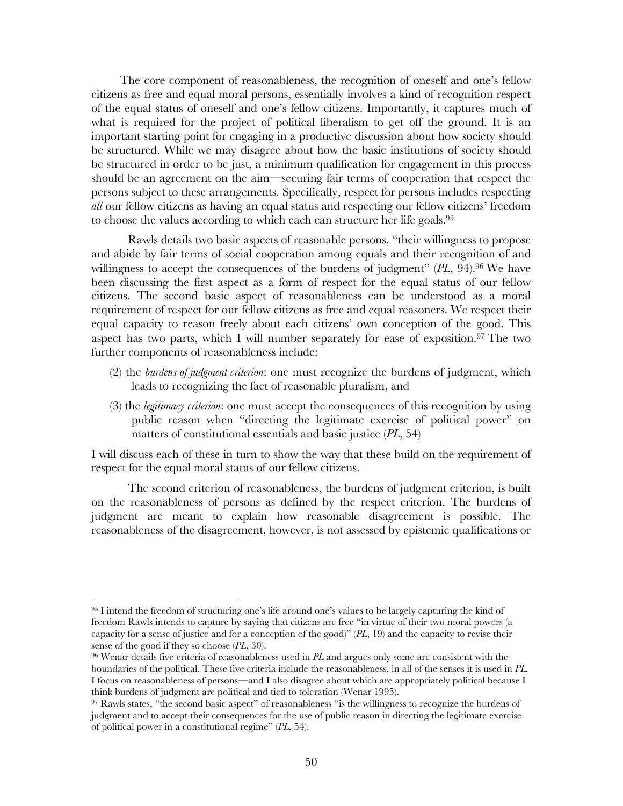The core component of reasonableness, the recognition of oneself and one's fellow citizens as free and equal moral persons, essentially involves a kind of recognition respect of the equal status of oneself and one's fellow citizens. Importantly, it captures much of what is required for the project of political liberalism to get off the ground. It is an important starting point for engaging in a productive discussion about how society should be structured. While we may disagree about how the basic institutions of society should be structured in order to be just, a minimum qualification for engagement in this process should be an agreement on the aim—securing fair terms of cooperation that respect the persons subject to these arrangements. Specifically, respect for persons includes respecting *all* our fellow citizens as having an equal status and respecting our fellow citizens' freedom to choose the values according to which each can structure her life goals.<sup>95</sup>

Rawls details two basic aspects of reasonable persons, "their willingness to propose and abide by fair terms of social cooperation among equals and their recognition of and willingness to accept the consequences of the burdens of judgment" (PL, 94).<sup>96</sup> We have been discussing the first aspect as a form of respect for the equal status of our fellow citizens. The second basic aspect of reasonableness can be understood as a moral requirement of respect for our fellow citizens as free and equal reasoners. We respect their equal capacity to reason freely about each citizens' own conception of the good. This aspect has two parts, which I will number separately for ease of exposition.<sup>97</sup> The two further components of reasonableness include:

- (2) the *burdens of judgment criterion*: one must recognize the burdens of judgment, which leads to recognizing the fact of reasonable pluralism, and
- (3) the *legitimacy criterion*: one must accept the consequences of this recognition by using public reason when "directing the legitimate exercise of political power" on matters of constitutional essentials and basic justice (*PL*, 54)

I will discuss each of these in turn to show the way that these build on the requirement of respect for the equal moral status of our fellow citizens.

The second criterion of reasonableness, the burdens of judgment criterion, is built on the reasonableness of persons as defined by the respect criterion. The burdens of judgment are meant to explain how reasonable disagreement is possible. The reasonableness of the disagreement, however, is not assessed by epistemic qualifications or

<sup>95</sup> I intend the freedom of structuring one's life around one's values to be largely capturing the kind of freedom Rawls intends to capture by saying that citizens are free "in virtue of their two moral powers (a capacity for a sense of justice and for a conception of the good)" (*PL*, 19) and the capacity to revise their sense of the good if they so choose (*PL*, 30).<br><sup>96</sup> Wenar details five criteria of reasonableness used in *PL* and argues only some are consistent with the

boundaries of the political. These five criteria include the reasonableness, in all of the senses it is used in *PL.*  I focus on reasonableness of persons—and I also disagree about which are appropriately political because I think burdens of judgment are political and tied to toleration (Wenar 1995).

<sup>97</sup> Rawls states, "the second basic aspect" of reasonableness "is the willingness to recognize the burdens of judgment and to accept their consequences for the use of public reason in directing the legitimate exercise of political power in a constitutional regime" (*PL*, 54).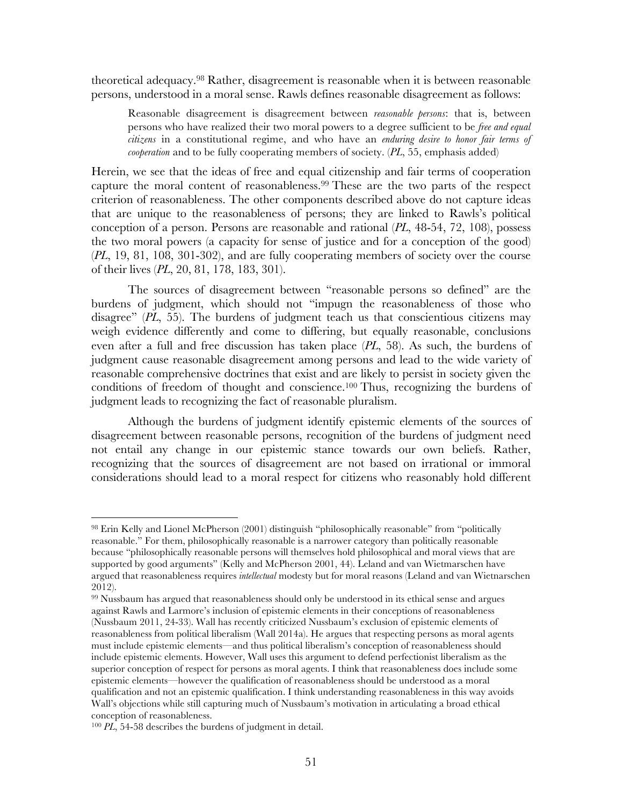theoretical adequacy. <sup>98</sup> Rather, disagreement is reasonable when it is between reasonable persons, understood in a moral sense. Rawls defines reasonable disagreement as follows:

Reasonable disagreement is disagreement between *reasonable persons*: that is, between persons who have realized their two moral powers to a degree sufficient to be *free and equal citizens* in a constitutional regime, and who have an *enduring desire to honor fair terms of cooperation* and to be fully cooperating members of society. (*PL*, 55, emphasis added)

Herein, we see that the ideas of free and equal citizenship and fair terms of cooperation capture the moral content of reasonableness.99 These are the two parts of the respect criterion of reasonableness. The other components described above do not capture ideas that are unique to the reasonableness of persons; they are linked to Rawls's political conception of a person. Persons are reasonable and rational (*PL*, 48-54, 72, 108), possess the two moral powers (a capacity for sense of justice and for a conception of the good) (*PL*, 19, 81, 108, 301-302), and are fully cooperating members of society over the course of their lives (*PL*, 20, 81, 178, 183, 301).

The sources of disagreement between "reasonable persons so defined" are the burdens of judgment, which should not "impugn the reasonableness of those who disagree" (*PL*, 55). The burdens of judgment teach us that conscientious citizens may weigh evidence differently and come to differing, but equally reasonable, conclusions even after a full and free discussion has taken place (*PL*, 58). As such, the burdens of judgment cause reasonable disagreement among persons and lead to the wide variety of reasonable comprehensive doctrines that exist and are likely to persist in society given the conditions of freedom of thought and conscience.100 Thus, recognizing the burdens of judgment leads to recognizing the fact of reasonable pluralism.

Although the burdens of judgment identify epistemic elements of the sources of disagreement between reasonable persons, recognition of the burdens of judgment need not entail any change in our epistemic stance towards our own beliefs. Rather, recognizing that the sources of disagreement are not based on irrational or immoral considerations should lead to a moral respect for citizens who reasonably hold different

<sup>98</sup> Erin Kelly and Lionel McPherson (2001) distinguish "philosophically reasonable" from "politically reasonable." For them, philosophically reasonable is a narrower category than politically reasonable because "philosophically reasonable persons will themselves hold philosophical and moral views that are supported by good arguments" (Kelly and McPherson 2001, 44). Leland and van Wietmarschen have argued that reasonableness requires *intellectual* modesty but for moral reasons (Leland and van Wietnarschen 2012).

<sup>99</sup> Nussbaum has argued that reasonableness should only be understood in its ethical sense and argues against Rawls and Larmore's inclusion of epistemic elements in their conceptions of reasonableness (Nussbaum 2011, 24-33). Wall has recently criticized Nussbaum's exclusion of epistemic elements of reasonableness from political liberalism (Wall 2014a). He argues that respecting persons as moral agents must include epistemic elements—and thus political liberalism's conception of reasonableness should include epistemic elements. However, Wall uses this argument to defend perfectionist liberalism as the superior conception of respect for persons as moral agents. I think that reasonableness does include some epistemic elements—however the qualification of reasonableness should be understood as a moral qualification and not an epistemic qualification. I think understanding reasonableness in this way avoids Wall's objections while still capturing much of Nussbaum's motivation in articulating a broad ethical conception of reasonableness.

<sup>100</sup> *PL*, 54-58 describes the burdens of judgment in detail.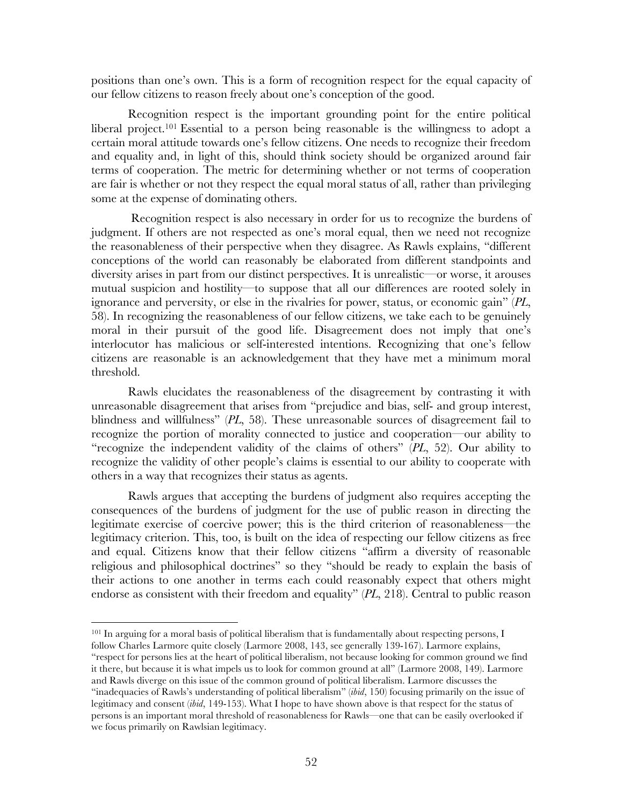positions than one's own. This is a form of recognition respect for the equal capacity of our fellow citizens to reason freely about one's conception of the good.

Recognition respect is the important grounding point for the entire political liberal project.<sup>101</sup> Essential to a person being reasonable is the willingness to adopt a certain moral attitude towards one's fellow citizens. One needs to recognize their freedom and equality and, in light of this, should think society should be organized around fair terms of cooperation. The metric for determining whether or not terms of cooperation are fair is whether or not they respect the equal moral status of all, rather than privileging some at the expense of dominating others.

Recognition respect is also necessary in order for us to recognize the burdens of judgment. If others are not respected as one's moral equal, then we need not recognize the reasonableness of their perspective when they disagree. As Rawls explains, "different conceptions of the world can reasonably be elaborated from different standpoints and diversity arises in part from our distinct perspectives. It is unrealistic—or worse, it arouses mutual suspicion and hostility—to suppose that all our differences are rooted solely in ignorance and perversity, or else in the rivalries for power, status, or economic gain" (*PL*, 58). In recognizing the reasonableness of our fellow citizens, we take each to be genuinely moral in their pursuit of the good life. Disagreement does not imply that one's interlocutor has malicious or self-interested intentions. Recognizing that one's fellow citizens are reasonable is an acknowledgement that they have met a minimum moral threshold.

Rawls elucidates the reasonableness of the disagreement by contrasting it with unreasonable disagreement that arises from "prejudice and bias, self- and group interest, blindness and willfulness" (*PL*, 58). These unreasonable sources of disagreement fail to recognize the portion of morality connected to justice and cooperation—our ability to "recognize the independent validity of the claims of others" (*PL*, 52). Our ability to recognize the validity of other people's claims is essential to our ability to cooperate with others in a way that recognizes their status as agents.

Rawls argues that accepting the burdens of judgment also requires accepting the consequences of the burdens of judgment for the use of public reason in directing the legitimate exercise of coercive power; this is the third criterion of reasonableness—the legitimacy criterion. This, too, is built on the idea of respecting our fellow citizens as free and equal. Citizens know that their fellow citizens "affirm a diversity of reasonable religious and philosophical doctrines" so they "should be ready to explain the basis of their actions to one another in terms each could reasonably expect that others might endorse as consistent with their freedom and equality" (*PL*, 218). Central to public reason

<sup>&</sup>lt;sup>101</sup> In arguing for a moral basis of political liberalism that is fundamentally about respecting persons, I follow Charles Larmore quite closely (Larmore 2008, 143, see generally 139-167). Larmore explains,

<sup>&</sup>quot;respect for persons lies at the heart of political liberalism, not because looking for common ground we find it there, but because it is what impels us to look for common ground at all" (Larmore 2008, 149). Larmore and Rawls diverge on this issue of the common ground of political liberalism. Larmore discusses the "inadequacies of Rawls's understanding of political liberalism" (*ibid*, 150) focusing primarily on the issue of legitimacy and consent (*ibid*, 149-153). What I hope to have shown above is that respect for the status of persons is an important moral threshold of reasonableness for Rawls—one that can be easily overlooked if we focus primarily on Rawlsian legitimacy.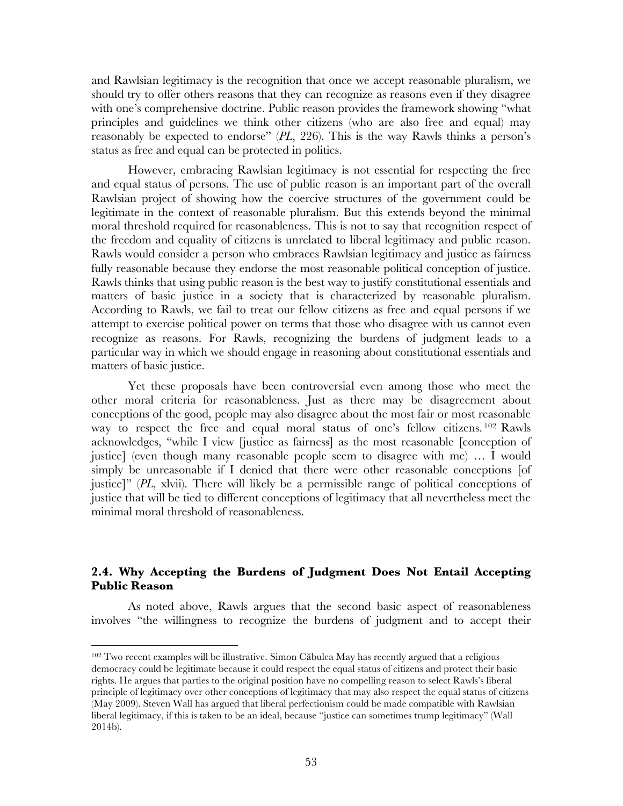and Rawlsian legitimacy is the recognition that once we accept reasonable pluralism, we should try to offer others reasons that they can recognize as reasons even if they disagree with one's comprehensive doctrine. Public reason provides the framework showing "what principles and guidelines we think other citizens (who are also free and equal) may reasonably be expected to endorse" (*PL*, 226). This is the way Rawls thinks a person's status as free and equal can be protected in politics.

However, embracing Rawlsian legitimacy is not essential for respecting the free and equal status of persons. The use of public reason is an important part of the overall Rawlsian project of showing how the coercive structures of the government could be legitimate in the context of reasonable pluralism. But this extends beyond the minimal moral threshold required for reasonableness. This is not to say that recognition respect of the freedom and equality of citizens is unrelated to liberal legitimacy and public reason. Rawls would consider a person who embraces Rawlsian legitimacy and justice as fairness fully reasonable because they endorse the most reasonable political conception of justice. Rawls thinks that using public reason is the best way to justify constitutional essentials and matters of basic justice in a society that is characterized by reasonable pluralism. According to Rawls, we fail to treat our fellow citizens as free and equal persons if we attempt to exercise political power on terms that those who disagree with us cannot even recognize as reasons. For Rawls, recognizing the burdens of judgment leads to a particular way in which we should engage in reasoning about constitutional essentials and matters of basic justice.

Yet these proposals have been controversial even among those who meet the other moral criteria for reasonableness. Just as there may be disagreement about conceptions of the good, people may also disagree about the most fair or most reasonable way to respect the free and equal moral status of one's fellow citizens. <sup>102</sup> Rawls acknowledges, "while I view [justice as fairness] as the most reasonable [conception of justice] (even though many reasonable people seem to disagree with me) … I would simply be unreasonable if I denied that there were other reasonable conceptions [of justice]" (*PL*, xlvii). There will likely be a permissible range of political conceptions of justice that will be tied to different conceptions of legitimacy that all nevertheless meet the minimal moral threshold of reasonableness.

# **2.4. Why Accepting the Burdens of Judgment Does Not Entail Accepting Public Reason**

As noted above, Rawls argues that the second basic aspect of reasonableness involves "the willingness to recognize the burdens of judgment and to accept their

<sup>&</sup>lt;sup>102</sup> Two recent examples will be illustrative. Simon Căbulea May has recently argued that a religious democracy could be legitimate because it could respect the equal status of citizens and protect their basic rights. He argues that parties to the original position have no compelling reason to select Rawls's liberal principle of legitimacy over other conceptions of legitimacy that may also respect the equal status of citizens (May 2009). Steven Wall has argued that liberal perfectionism could be made compatible with Rawlsian liberal legitimacy, if this is taken to be an ideal, because "justice can sometimes trump legitimacy" (Wall 2014b).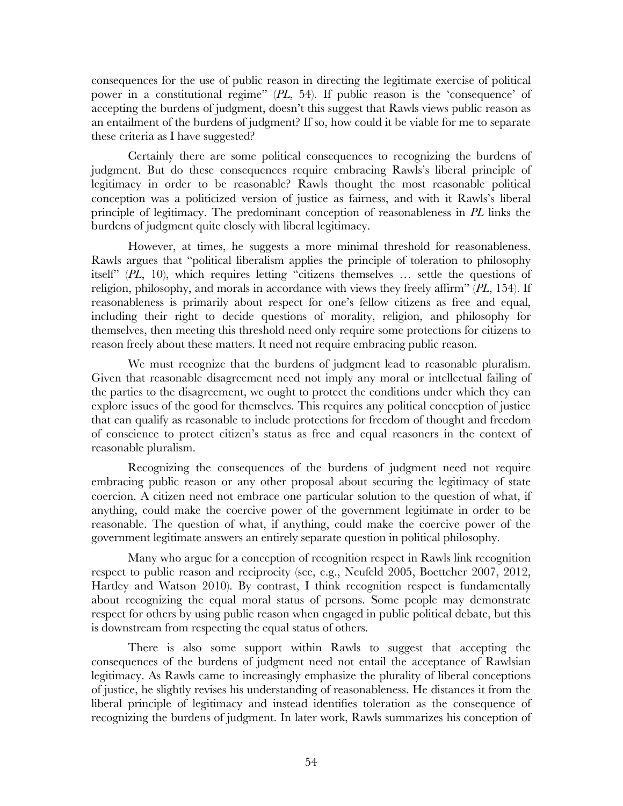consequences for the use of public reason in directing the legitimate exercise of political power in a constitutional regime" (*PL*, 54). If public reason is the 'consequence' of accepting the burdens of judgment, doesn't this suggest that Rawls views public reason as an entailment of the burdens of judgment? If so, how could it be viable for me to separate these criteria as I have suggested?

Certainly there are some political consequences to recognizing the burdens of judgment. But do these consequences require embracing Rawls's liberal principle of legitimacy in order to be reasonable? Rawls thought the most reasonable political conception was a politicized version of justice as fairness, and with it Rawls's liberal principle of legitimacy. The predominant conception of reasonableness in *PL* links the burdens of judgment quite closely with liberal legitimacy.

However, at times, he suggests a more minimal threshold for reasonableness. Rawls argues that "political liberalism applies the principle of toleration to philosophy itself" (*PL*, 10), which requires letting "citizens themselves … settle the questions of religion, philosophy, and morals in accordance with views they freely affirm" (*PL*, 154). If reasonableness is primarily about respect for one's fellow citizens as free and equal, including their right to decide questions of morality, religion, and philosophy for themselves, then meeting this threshold need only require some protections for citizens to reason freely about these matters. It need not require embracing public reason.

We must recognize that the burdens of judgment lead to reasonable pluralism. Given that reasonable disagreement need not imply any moral or intellectual failing of the parties to the disagreement, we ought to protect the conditions under which they can explore issues of the good for themselves. This requires any political conception of justice that can qualify as reasonable to include protections for freedom of thought and freedom of conscience to protect citizen's status as free and equal reasoners in the context of reasonable pluralism.

Recognizing the consequences of the burdens of judgment need not require embracing public reason or any other proposal about securing the legitimacy of state coercion. A citizen need not embrace one particular solution to the question of what, if anything, could make the coercive power of the government legitimate in order to be reasonable. The question of what, if anything, could make the coercive power of the government legitimate answers an entirely separate question in political philosophy.

Many who argue for a conception of recognition respect in Rawls link recognition respect to public reason and reciprocity (see, e.g., Neufeld 2005, Boettcher 2007, 2012, Hartley and Watson 2010). By contrast, I think recognition respect is fundamentally about recognizing the equal moral status of persons. Some people may demonstrate respect for others by using public reason when engaged in public political debate, but this is downstream from respecting the equal status of others.

There is also some support within Rawls to suggest that accepting the consequences of the burdens of judgment need not entail the acceptance of Rawlsian legitimacy. As Rawls came to increasingly emphasize the plurality of liberal conceptions of justice, he slightly revises his understanding of reasonableness. He distances it from the liberal principle of legitimacy and instead identifies toleration as the consequence of recognizing the burdens of judgment. In later work, Rawls summarizes his conception of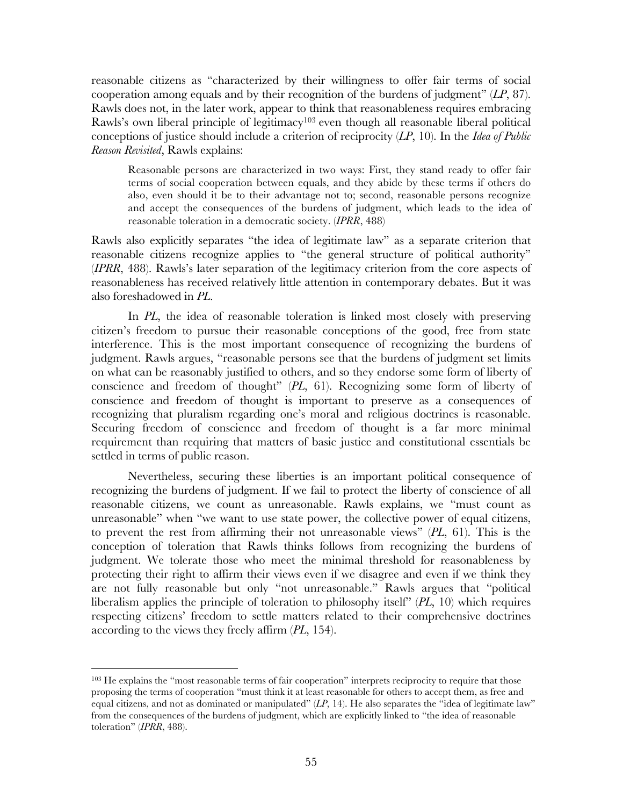reasonable citizens as "characterized by their willingness to offer fair terms of social cooperation among equals and by their recognition of the burdens of judgment" (*LP*, 87). Rawls does not, in the later work, appear to think that reasonableness requires embracing Rawls's own liberal principle of legitimacy<sup>103</sup> even though all reasonable liberal political conceptions of justice should include a criterion of reciprocity (*LP*, 10). In the *Idea of Public Reason Revisited*, Rawls explains:

Reasonable persons are characterized in two ways: First, they stand ready to offer fair terms of social cooperation between equals, and they abide by these terms if others do also, even should it be to their advantage not to; second, reasonable persons recognize and accept the consequences of the burdens of judgment, which leads to the idea of reasonable toleration in a democratic society. (*IPRR*, 488)

Rawls also explicitly separates "the idea of legitimate law" as a separate criterion that reasonable citizens recognize applies to "the general structure of political authority" (*IPRR*, 488). Rawls's later separation of the legitimacy criterion from the core aspects of reasonableness has received relatively little attention in contemporary debates. But it was also foreshadowed in *PL*.

In *PL*, the idea of reasonable toleration is linked most closely with preserving citizen's freedom to pursue their reasonable conceptions of the good, free from state interference. This is the most important consequence of recognizing the burdens of judgment. Rawls argues, "reasonable persons see that the burdens of judgment set limits on what can be reasonably justified to others, and so they endorse some form of liberty of conscience and freedom of thought" (*PL*, 61). Recognizing some form of liberty of conscience and freedom of thought is important to preserve as a consequences of recognizing that pluralism regarding one's moral and religious doctrines is reasonable. Securing freedom of conscience and freedom of thought is a far more minimal requirement than requiring that matters of basic justice and constitutional essentials be settled in terms of public reason.

Nevertheless, securing these liberties is an important political consequence of recognizing the burdens of judgment. If we fail to protect the liberty of conscience of all reasonable citizens, we count as unreasonable. Rawls explains, we "must count as unreasonable" when "we want to use state power, the collective power of equal citizens, to prevent the rest from affirming their not unreasonable views" (*PL*, 61). This is the conception of toleration that Rawls thinks follows from recognizing the burdens of judgment. We tolerate those who meet the minimal threshold for reasonableness by protecting their right to affirm their views even if we disagree and even if we think they are not fully reasonable but only "not unreasonable." Rawls argues that "political liberalism applies the principle of toleration to philosophy itself" (*PL*, 10) which requires respecting citizens' freedom to settle matters related to their comprehensive doctrines according to the views they freely affirm (*PL*, 154).

<sup>&</sup>lt;sup>103</sup> He explains the "most reasonable terms of fair cooperation" interprets reciprocity to require that those proposing the terms of cooperation "must think it at least reasonable for others to accept them, as free and equal citizens, and not as dominated or manipulated" (*LP*, 14). He also separates the "idea of legitimate law" from the consequences of the burdens of judgment, which are explicitly linked to "the idea of reasonable toleration" (*IPRR*, 488).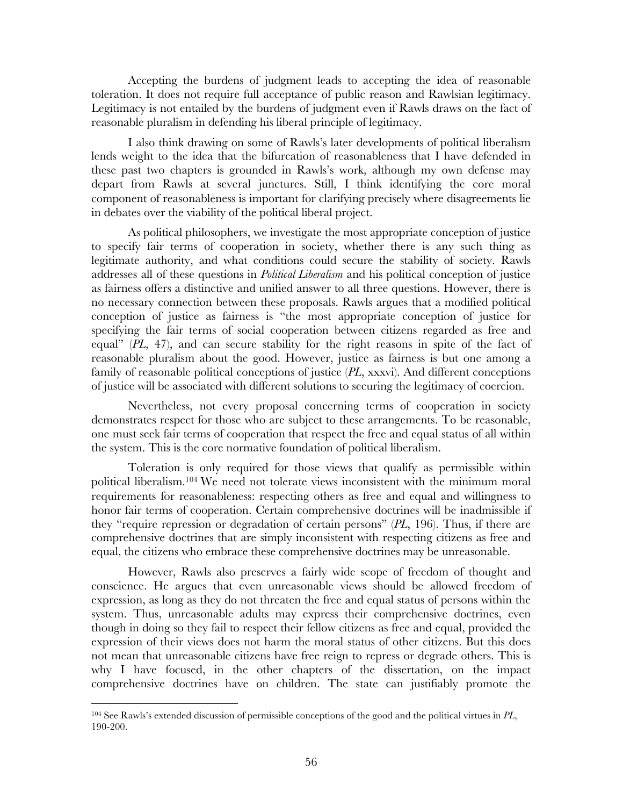Accepting the burdens of judgment leads to accepting the idea of reasonable toleration. It does not require full acceptance of public reason and Rawlsian legitimacy. Legitimacy is not entailed by the burdens of judgment even if Rawls draws on the fact of reasonable pluralism in defending his liberal principle of legitimacy.

I also think drawing on some of Rawls's later developments of political liberalism lends weight to the idea that the bifurcation of reasonableness that I have defended in these past two chapters is grounded in Rawls's work, although my own defense may depart from Rawls at several junctures. Still, I think identifying the core moral component of reasonableness is important for clarifying precisely where disagreements lie in debates over the viability of the political liberal project.

As political philosophers, we investigate the most appropriate conception of justice to specify fair terms of cooperation in society, whether there is any such thing as legitimate authority, and what conditions could secure the stability of society. Rawls addresses all of these questions in *Political Liberalism* and his political conception of justice as fairness offers a distinctive and unified answer to all three questions. However, there is no necessary connection between these proposals. Rawls argues that a modified political conception of justice as fairness is "the most appropriate conception of justice for specifying the fair terms of social cooperation between citizens regarded as free and equal" (*PL*, 47), and can secure stability for the right reasons in spite of the fact of reasonable pluralism about the good. However, justice as fairness is but one among a family of reasonable political conceptions of justice (*PL*, xxxvi). And different conceptions of justice will be associated with different solutions to securing the legitimacy of coercion.

Nevertheless, not every proposal concerning terms of cooperation in society demonstrates respect for those who are subject to these arrangements. To be reasonable, one must seek fair terms of cooperation that respect the free and equal status of all within the system. This is the core normative foundation of political liberalism.

Toleration is only required for those views that qualify as permissible within political liberalism.104 We need not tolerate views inconsistent with the minimum moral requirements for reasonableness: respecting others as free and equal and willingness to honor fair terms of cooperation. Certain comprehensive doctrines will be inadmissible if they "require repression or degradation of certain persons" (*PL*, 196). Thus, if there are comprehensive doctrines that are simply inconsistent with respecting citizens as free and equal, the citizens who embrace these comprehensive doctrines may be unreasonable.

However, Rawls also preserves a fairly wide scope of freedom of thought and conscience. He argues that even unreasonable views should be allowed freedom of expression, as long as they do not threaten the free and equal status of persons within the system. Thus, unreasonable adults may express their comprehensive doctrines, even though in doing so they fail to respect their fellow citizens as free and equal, provided the expression of their views does not harm the moral status of other citizens. But this does not mean that unreasonable citizens have free reign to repress or degrade others. This is why I have focused, in the other chapters of the dissertation, on the impact comprehensive doctrines have on children. The state can justifiably promote the

<sup>104</sup> See Rawls's extended discussion of permissible conceptions of the good and the political virtues in *PL*, 190-200.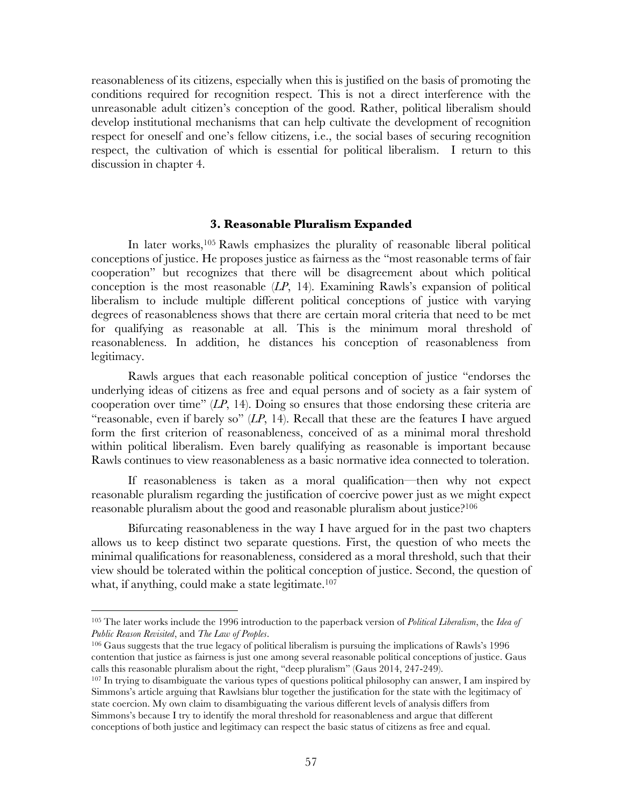reasonableness of its citizens, especially when this is justified on the basis of promoting the conditions required for recognition respect. This is not a direct interference with the unreasonable adult citizen's conception of the good. Rather, political liberalism should develop institutional mechanisms that can help cultivate the development of recognition respect for oneself and one's fellow citizens, i.e., the social bases of securing recognition respect, the cultivation of which is essential for political liberalism. I return to this discussion in chapter 4.

## **3. Reasonable Pluralism Expanded**

In later works,105 Rawls emphasizes the plurality of reasonable liberal political conceptions of justice. He proposes justice as fairness as the "most reasonable terms of fair cooperation" but recognizes that there will be disagreement about which political conception is the most reasonable (*LP*, 14). Examining Rawls's expansion of political liberalism to include multiple different political conceptions of justice with varying degrees of reasonableness shows that there are certain moral criteria that need to be met for qualifying as reasonable at all. This is the minimum moral threshold of reasonableness. In addition, he distances his conception of reasonableness from legitimacy.

Rawls argues that each reasonable political conception of justice "endorses the underlying ideas of citizens as free and equal persons and of society as a fair system of cooperation over time" (*LP*, 14). Doing so ensures that those endorsing these criteria are "reasonable, even if barely so" (*LP*, 14). Recall that these are the features I have argued form the first criterion of reasonableness, conceived of as a minimal moral threshold within political liberalism. Even barely qualifying as reasonable is important because Rawls continues to view reasonableness as a basic normative idea connected to toleration.

If reasonableness is taken as a moral qualification—then why not expect reasonable pluralism regarding the justification of coercive power just as we might expect reasonable pluralism about the good and reasonable pluralism about justice?106

Bifurcating reasonableness in the way I have argued for in the past two chapters allows us to keep distinct two separate questions. First, the question of who meets the minimal qualifications for reasonableness, considered as a moral threshold, such that their view should be tolerated within the political conception of justice. Second, the question of what, if anything, could make a state legitimate. 107

<sup>105</sup> The later works include the 1996 introduction to the paperback version of *Political Liberalism*, the *Idea of Public Reason Revisited*, and *The Law of Peoples*.

<sup>106</sup> Gaus suggests that the true legacy of political liberalism is pursuing the implications of Rawls's 1996 contention that justice as fairness is just one among several reasonable political conceptions of justice. Gaus calls this reasonable pluralism about the right, "deep pluralism" (Gaus 2014, 247-249).

<sup>&</sup>lt;sup>107</sup> In trying to disambiguate the various types of questions political philosophy can answer, I am inspired by Simmons's article arguing that Rawlsians blur together the justification for the state with the legitimacy of state coercion. My own claim to disambiguating the various different levels of analysis differs from Simmons's because I try to identify the moral threshold for reasonableness and argue that different conceptions of both justice and legitimacy can respect the basic status of citizens as free and equal.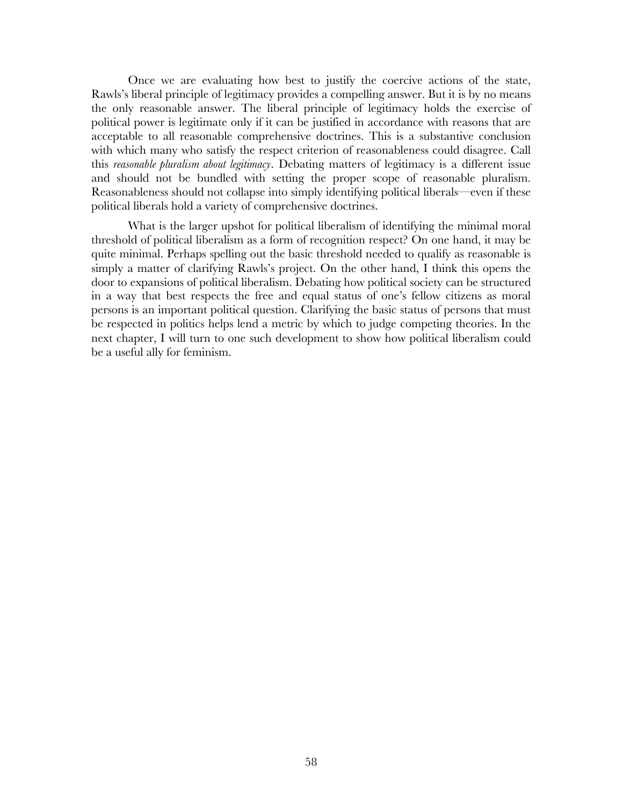Once we are evaluating how best to justify the coercive actions of the state, Rawls's liberal principle of legitimacy provides a compelling answer. But it is by no means the only reasonable answer. The liberal principle of legitimacy holds the exercise of political power is legitimate only if it can be justified in accordance with reasons that are acceptable to all reasonable comprehensive doctrines. This is a substantive conclusion with which many who satisfy the respect criterion of reasonableness could disagree. Call this *reasonable pluralism about legitimacy*. Debating matters of legitimacy is a different issue and should not be bundled with setting the proper scope of reasonable pluralism. Reasonableness should not collapse into simply identifying political liberals—even if these political liberals hold a variety of comprehensive doctrines.

What is the larger upshot for political liberalism of identifying the minimal moral threshold of political liberalism as a form of recognition respect? On one hand, it may be quite minimal. Perhaps spelling out the basic threshold needed to qualify as reasonable is simply a matter of clarifying Rawls's project. On the other hand, I think this opens the door to expansions of political liberalism. Debating how political society can be structured in a way that best respects the free and equal status of one's fellow citizens as moral persons is an important political question. Clarifying the basic status of persons that must be respected in politics helps lend a metric by which to judge competing theories. In the next chapter, I will turn to one such development to show how political liberalism could be a useful ally for feminism.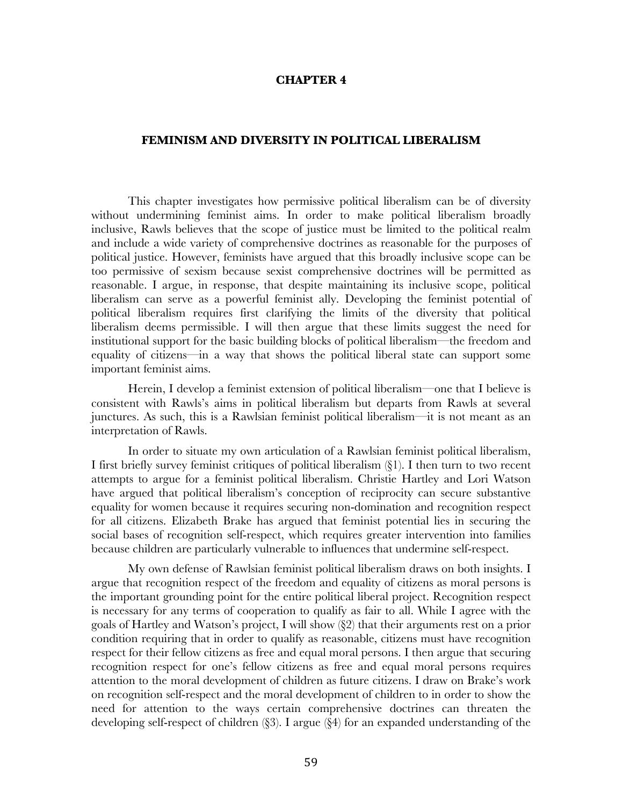# **CHAPTER 4**

## **FEMINISM AND DIVERSITY IN POLITICAL LIBERALISM**

This chapter investigates how permissive political liberalism can be of diversity without undermining feminist aims. In order to make political liberalism broadly inclusive, Rawls believes that the scope of justice must be limited to the political realm and include a wide variety of comprehensive doctrines as reasonable for the purposes of political justice. However, feminists have argued that this broadly inclusive scope can be too permissive of sexism because sexist comprehensive doctrines will be permitted as reasonable. I argue, in response, that despite maintaining its inclusive scope, political liberalism can serve as a powerful feminist ally. Developing the feminist potential of political liberalism requires first clarifying the limits of the diversity that political liberalism deems permissible. I will then argue that these limits suggest the need for institutional support for the basic building blocks of political liberalism—the freedom and equality of citizens—in a way that shows the political liberal state can support some important feminist aims.

Herein, I develop a feminist extension of political liberalism—one that I believe is consistent with Rawls's aims in political liberalism but departs from Rawls at several junctures. As such, this is a Rawlsian feminist political liberalism—it is not meant as an interpretation of Rawls.

In order to situate my own articulation of a Rawlsian feminist political liberalism, I first briefly survey feminist critiques of political liberalism (§1). I then turn to two recent attempts to argue for a feminist political liberalism. Christie Hartley and Lori Watson have argued that political liberalism's conception of reciprocity can secure substantive equality for women because it requires securing non-domination and recognition respect for all citizens. Elizabeth Brake has argued that feminist potential lies in securing the social bases of recognition self-respect, which requires greater intervention into families because children are particularly vulnerable to influences that undermine self-respect.

My own defense of Rawlsian feminist political liberalism draws on both insights. I argue that recognition respect of the freedom and equality of citizens as moral persons is the important grounding point for the entire political liberal project. Recognition respect is necessary for any terms of cooperation to qualify as fair to all. While I agree with the goals of Hartley and Watson's project, I will show (§2) that their arguments rest on a prior condition requiring that in order to qualify as reasonable, citizens must have recognition respect for their fellow citizens as free and equal moral persons. I then argue that securing recognition respect for one's fellow citizens as free and equal moral persons requires attention to the moral development of children as future citizens. I draw on Brake's work on recognition self-respect and the moral development of children to in order to show the need for attention to the ways certain comprehensive doctrines can threaten the developing self-respect of children (§3). I argue (§4) for an expanded understanding of the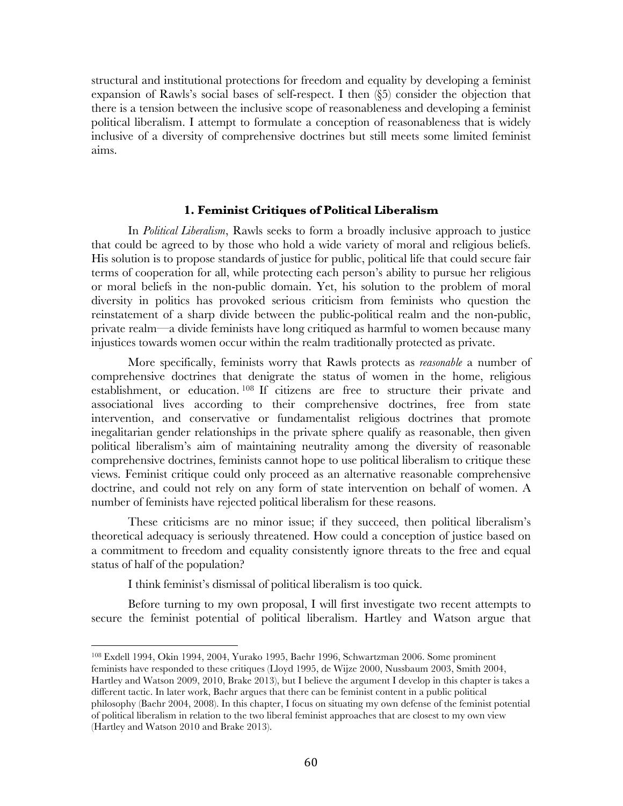structural and institutional protections for freedom and equality by developing a feminist expansion of Rawls's social bases of self-respect. I then (§5) consider the objection that there is a tension between the inclusive scope of reasonableness and developing a feminist political liberalism. I attempt to formulate a conception of reasonableness that is widely inclusive of a diversity of comprehensive doctrines but still meets some limited feminist aims.

### **1. Feminist Critiques of Political Liberalism**

In *Political Liberalism*, Rawls seeks to form a broadly inclusive approach to justice that could be agreed to by those who hold a wide variety of moral and religious beliefs. His solution is to propose standards of justice for public, political life that could secure fair terms of cooperation for all, while protecting each person's ability to pursue her religious or moral beliefs in the non-public domain. Yet, his solution to the problem of moral diversity in politics has provoked serious criticism from feminists who question the reinstatement of a sharp divide between the public-political realm and the non-public, private realm—a divide feminists have long critiqued as harmful to women because many injustices towards women occur within the realm traditionally protected as private.

More specifically, feminists worry that Rawls protects as *reasonable* a number of comprehensive doctrines that denigrate the status of women in the home, religious establishment, or education. <sup>108</sup> If citizens are free to structure their private and associational lives according to their comprehensive doctrines, free from state intervention, and conservative or fundamentalist religious doctrines that promote inegalitarian gender relationships in the private sphere qualify as reasonable, then given political liberalism's aim of maintaining neutrality among the diversity of reasonable comprehensive doctrines, feminists cannot hope to use political liberalism to critique these views. Feminist critique could only proceed as an alternative reasonable comprehensive doctrine, and could not rely on any form of state intervention on behalf of women. A number of feminists have rejected political liberalism for these reasons.

These criticisms are no minor issue; if they succeed, then political liberalism's theoretical adequacy is seriously threatened. How could a conception of justice based on a commitment to freedom and equality consistently ignore threats to the free and equal status of half of the population?

I think feminist's dismissal of political liberalism is too quick.

Before turning to my own proposal, I will first investigate two recent attempts to secure the feminist potential of political liberalism. Hartley and Watson argue that

 <sup>108</sup> Exdell 1994, Okin 1994, 2004, Yurako 1995, Baehr 1996, Schwartzman 2006. Some prominent feminists have responded to these critiques (Lloyd 1995, de Wijze 2000, Nussbaum 2003, Smith 2004, Hartley and Watson 2009, 2010, Brake 2013), but I believe the argument I develop in this chapter is takes a different tactic. In later work, Baehr argues that there can be feminist content in a public political philosophy (Baehr 2004, 2008). In this chapter, I focus on situating my own defense of the feminist potential of political liberalism in relation to the two liberal feminist approaches that are closest to my own view (Hartley and Watson 2010 and Brake 2013).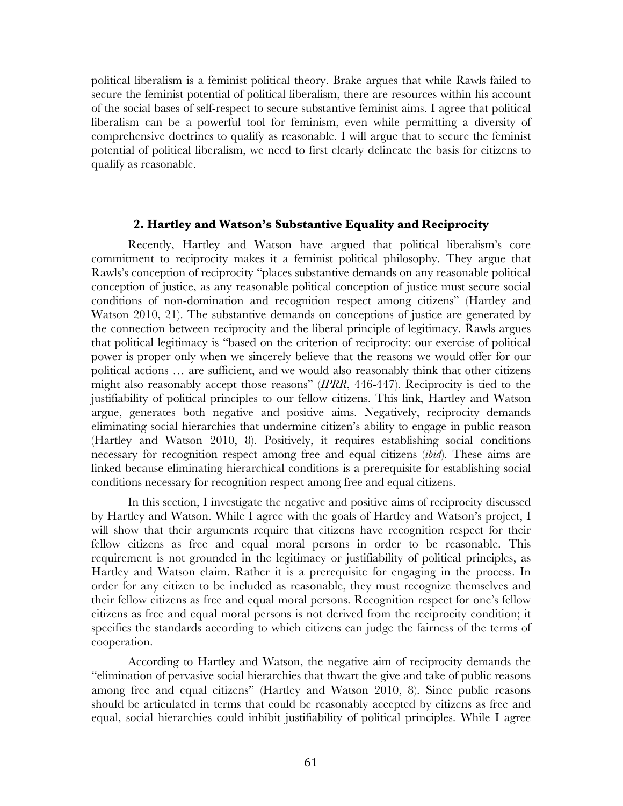political liberalism is a feminist political theory. Brake argues that while Rawls failed to secure the feminist potential of political liberalism, there are resources within his account of the social bases of self-respect to secure substantive feminist aims. I agree that political liberalism can be a powerful tool for feminism, even while permitting a diversity of comprehensive doctrines to qualify as reasonable. I will argue that to secure the feminist potential of political liberalism, we need to first clearly delineate the basis for citizens to qualify as reasonable.

# **2. Hartley and Watson's Substantive Equality and Reciprocity**

Recently, Hartley and Watson have argued that political liberalism's core commitment to reciprocity makes it a feminist political philosophy. They argue that Rawls's conception of reciprocity "places substantive demands on any reasonable political conception of justice, as any reasonable political conception of justice must secure social conditions of non-domination and recognition respect among citizens" (Hartley and Watson 2010, 21). The substantive demands on conceptions of justice are generated by the connection between reciprocity and the liberal principle of legitimacy. Rawls argues that political legitimacy is "based on the criterion of reciprocity: our exercise of political power is proper only when we sincerely believe that the reasons we would offer for our political actions … are sufficient, and we would also reasonably think that other citizens might also reasonably accept those reasons" (*IPRR*, 446-447). Reciprocity is tied to the justifiability of political principles to our fellow citizens. This link, Hartley and Watson argue, generates both negative and positive aims. Negatively, reciprocity demands eliminating social hierarchies that undermine citizen's ability to engage in public reason (Hartley and Watson 2010, 8). Positively, it requires establishing social conditions necessary for recognition respect among free and equal citizens (*ibid*). These aims are linked because eliminating hierarchical conditions is a prerequisite for establishing social conditions necessary for recognition respect among free and equal citizens.

In this section, I investigate the negative and positive aims of reciprocity discussed by Hartley and Watson. While I agree with the goals of Hartley and Watson's project, I will show that their arguments require that citizens have recognition respect for their fellow citizens as free and equal moral persons in order to be reasonable. This requirement is not grounded in the legitimacy or justifiability of political principles, as Hartley and Watson claim. Rather it is a prerequisite for engaging in the process. In order for any citizen to be included as reasonable, they must recognize themselves and their fellow citizens as free and equal moral persons. Recognition respect for one's fellow citizens as free and equal moral persons is not derived from the reciprocity condition; it specifies the standards according to which citizens can judge the fairness of the terms of cooperation.

According to Hartley and Watson, the negative aim of reciprocity demands the "elimination of pervasive social hierarchies that thwart the give and take of public reasons among free and equal citizens" (Hartley and Watson 2010, 8). Since public reasons should be articulated in terms that could be reasonably accepted by citizens as free and equal, social hierarchies could inhibit justifiability of political principles. While I agree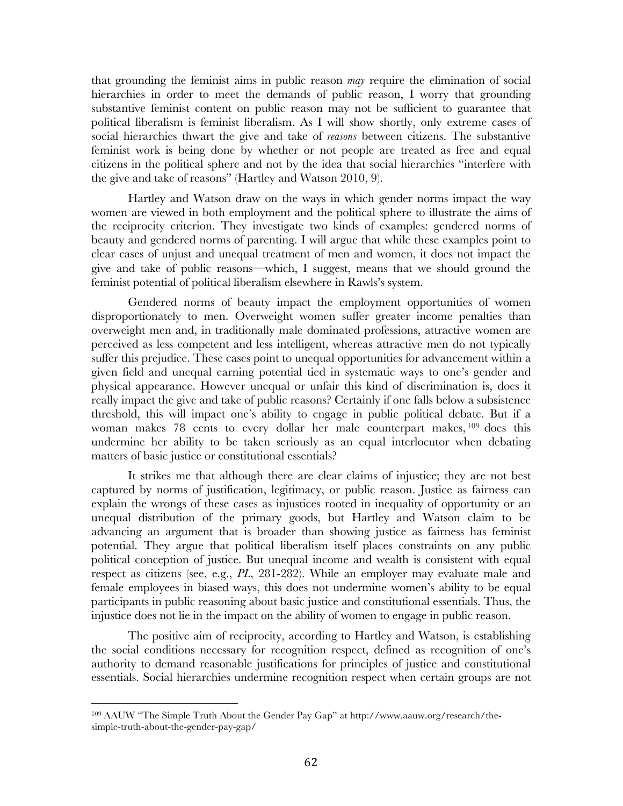that grounding the feminist aims in public reason *may* require the elimination of social hierarchies in order to meet the demands of public reason, I worry that grounding substantive feminist content on public reason may not be sufficient to guarantee that political liberalism is feminist liberalism. As I will show shortly, only extreme cases of social hierarchies thwart the give and take of *reasons* between citizens. The substantive feminist work is being done by whether or not people are treated as free and equal citizens in the political sphere and not by the idea that social hierarchies "interfere with the give and take of reasons" (Hartley and Watson 2010, 9).

Hartley and Watson draw on the ways in which gender norms impact the way women are viewed in both employment and the political sphere to illustrate the aims of the reciprocity criterion. They investigate two kinds of examples: gendered norms of beauty and gendered norms of parenting. I will argue that while these examples point to clear cases of unjust and unequal treatment of men and women, it does not impact the give and take of public reasons—which, I suggest, means that we should ground the feminist potential of political liberalism elsewhere in Rawls's system.

Gendered norms of beauty impact the employment opportunities of women disproportionately to men. Overweight women suffer greater income penalties than overweight men and, in traditionally male dominated professions, attractive women are perceived as less competent and less intelligent, whereas attractive men do not typically suffer this prejudice. These cases point to unequal opportunities for advancement within a given field and unequal earning potential tied in systematic ways to one's gender and physical appearance. However unequal or unfair this kind of discrimination is, does it really impact the give and take of public reasons? Certainly if one falls below a subsistence threshold, this will impact one's ability to engage in public political debate. But if a woman makes 78 cents to every dollar her male counterpart makes,  $109$  does this undermine her ability to be taken seriously as an equal interlocutor when debating matters of basic justice or constitutional essentials?

It strikes me that although there are clear claims of injustice; they are not best captured by norms of justification, legitimacy, or public reason. Justice as fairness can explain the wrongs of these cases as injustices rooted in inequality of opportunity or an unequal distribution of the primary goods, but Hartley and Watson claim to be advancing an argument that is broader than showing justice as fairness has feminist potential. They argue that political liberalism itself places constraints on any public political conception of justice. But unequal income and wealth is consistent with equal respect as citizens (see, e.g., *PL*, 281-282). While an employer may evaluate male and female employees in biased ways, this does not undermine women's ability to be equal participants in public reasoning about basic justice and constitutional essentials. Thus, the injustice does not lie in the impact on the ability of women to engage in public reason.

The positive aim of reciprocity, according to Hartley and Watson, is establishing the social conditions necessary for recognition respect, defined as recognition of one's authority to demand reasonable justifications for principles of justice and constitutional essentials. Social hierarchies undermine recognition respect when certain groups are not

<sup>109</sup> AAUW "The Simple Truth About the Gender Pay Gap" at http://www.aauw.org/research/thesimple-truth-about-the-gender-pay-gap/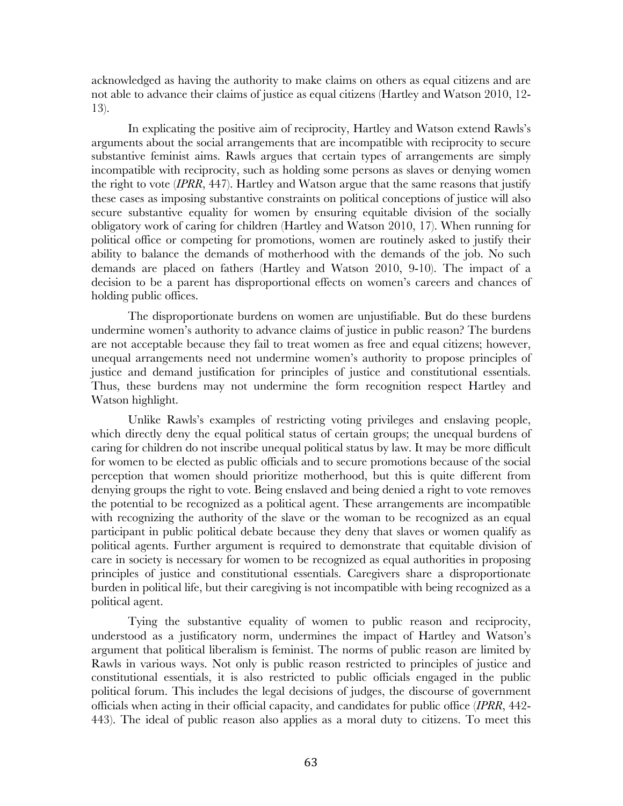acknowledged as having the authority to make claims on others as equal citizens and are not able to advance their claims of justice as equal citizens (Hartley and Watson 2010, 12- 13).

In explicating the positive aim of reciprocity, Hartley and Watson extend Rawls's arguments about the social arrangements that are incompatible with reciprocity to secure substantive feminist aims. Rawls argues that certain types of arrangements are simply incompatible with reciprocity, such as holding some persons as slaves or denying women the right to vote (*IPRR*, 447). Hartley and Watson argue that the same reasons that justify these cases as imposing substantive constraints on political conceptions of justice will also secure substantive equality for women by ensuring equitable division of the socially obligatory work of caring for children (Hartley and Watson 2010, 17). When running for political office or competing for promotions, women are routinely asked to justify their ability to balance the demands of motherhood with the demands of the job. No such demands are placed on fathers (Hartley and Watson 2010, 9-10). The impact of a decision to be a parent has disproportional effects on women's careers and chances of holding public offices.

The disproportionate burdens on women are unjustifiable. But do these burdens undermine women's authority to advance claims of justice in public reason? The burdens are not acceptable because they fail to treat women as free and equal citizens; however, unequal arrangements need not undermine women's authority to propose principles of justice and demand justification for principles of justice and constitutional essentials. Thus, these burdens may not undermine the form recognition respect Hartley and Watson highlight.

Unlike Rawls's examples of restricting voting privileges and enslaving people, which directly deny the equal political status of certain groups; the unequal burdens of caring for children do not inscribe unequal political status by law. It may be more difficult for women to be elected as public officials and to secure promotions because of the social perception that women should prioritize motherhood, but this is quite different from denying groups the right to vote. Being enslaved and being denied a right to vote removes the potential to be recognized as a political agent. These arrangements are incompatible with recognizing the authority of the slave or the woman to be recognized as an equal participant in public political debate because they deny that slaves or women qualify as political agents. Further argument is required to demonstrate that equitable division of care in society is necessary for women to be recognized as equal authorities in proposing principles of justice and constitutional essentials. Caregivers share a disproportionate burden in political life, but their caregiving is not incompatible with being recognized as a political agent.

Tying the substantive equality of women to public reason and reciprocity, understood as a justificatory norm, undermines the impact of Hartley and Watson's argument that political liberalism is feminist. The norms of public reason are limited by Rawls in various ways. Not only is public reason restricted to principles of justice and constitutional essentials, it is also restricted to public officials engaged in the public political forum. This includes the legal decisions of judges, the discourse of government officials when acting in their official capacity, and candidates for public office (*IPRR*, 442- 443). The ideal of public reason also applies as a moral duty to citizens. To meet this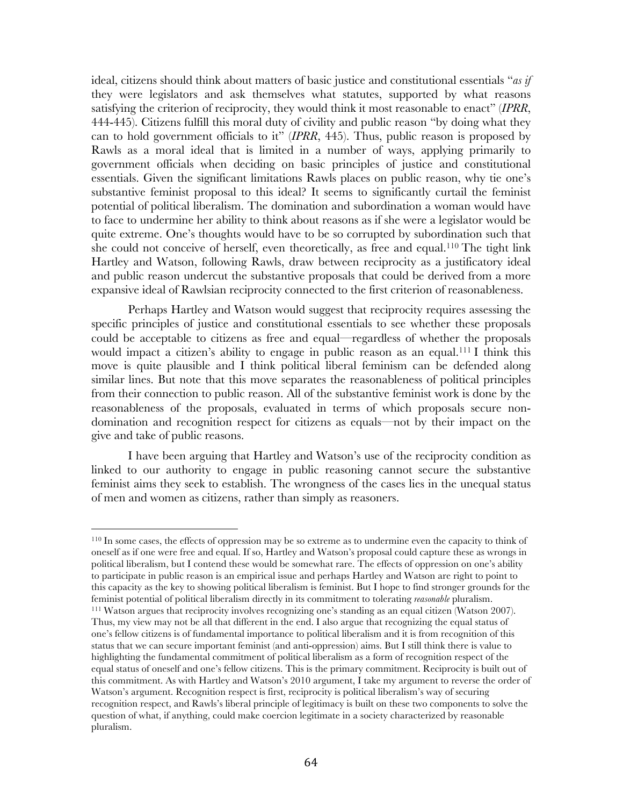ideal, citizens should think about matters of basic justice and constitutional essentials "*as if*  they were legislators and ask themselves what statutes, supported by what reasons satisfying the criterion of reciprocity, they would think it most reasonable to enact" (*IPRR*, 444-445). Citizens fulfill this moral duty of civility and public reason "by doing what they can to hold government officials to it" (*IPRR*, 445). Thus, public reason is proposed by Rawls as a moral ideal that is limited in a number of ways, applying primarily to government officials when deciding on basic principles of justice and constitutional essentials. Given the significant limitations Rawls places on public reason, why tie one's substantive feminist proposal to this ideal? It seems to significantly curtail the feminist potential of political liberalism. The domination and subordination a woman would have to face to undermine her ability to think about reasons as if she were a legislator would be quite extreme. One's thoughts would have to be so corrupted by subordination such that she could not conceive of herself, even theoretically, as free and equal.<sup>110</sup> The tight link Hartley and Watson, following Rawls, draw between reciprocity as a justificatory ideal and public reason undercut the substantive proposals that could be derived from a more expansive ideal of Rawlsian reciprocity connected to the first criterion of reasonableness.

Perhaps Hartley and Watson would suggest that reciprocity requires assessing the specific principles of justice and constitutional essentials to see whether these proposals could be acceptable to citizens as free and equal—regardless of whether the proposals would impact a citizen's ability to engage in public reason as an equal.<sup>111</sup> I think this move is quite plausible and I think political liberal feminism can be defended along similar lines. But note that this move separates the reasonableness of political principles from their connection to public reason. All of the substantive feminist work is done by the reasonableness of the proposals, evaluated in terms of which proposals secure nondomination and recognition respect for citizens as equals—not by their impact on the give and take of public reasons.

I have been arguing that Hartley and Watson's use of the reciprocity condition as linked to our authority to engage in public reasoning cannot secure the substantive feminist aims they seek to establish. The wrongness of the cases lies in the unequal status of men and women as citizens, rather than simply as reasoners.

<sup>110</sup> In some cases, the effects of oppression may be so extreme as to undermine even the capacity to think of oneself as if one were free and equal. If so, Hartley and Watson's proposal could capture these as wrongs in political liberalism, but I contend these would be somewhat rare. The effects of oppression on one's ability to participate in public reason is an empirical issue and perhaps Hartley and Watson are right to point to this capacity as the key to showing political liberalism is feminist. But I hope to find stronger grounds for the feminist potential of political liberalism directly in its commitment to tolerating *reasonable* pluralism. 111 Watson argues that reciprocity involves recognizing one's standing as an equal citizen (Watson 2007). Thus, my view may not be all that different in the end. I also argue that recognizing the equal status of one's fellow citizens is of fundamental importance to political liberalism and it is from recognition of this status that we can secure important feminist (and anti-oppression) aims. But I still think there is value to highlighting the fundamental commitment of political liberalism as a form of recognition respect of the equal status of oneself and one's fellow citizens. This is the primary commitment. Reciprocity is built out of this commitment. As with Hartley and Watson's 2010 argument, I take my argument to reverse the order of Watson's argument. Recognition respect is first, reciprocity is political liberalism's way of securing recognition respect, and Rawls's liberal principle of legitimacy is built on these two components to solve the question of what, if anything, could make coercion legitimate in a society characterized by reasonable pluralism.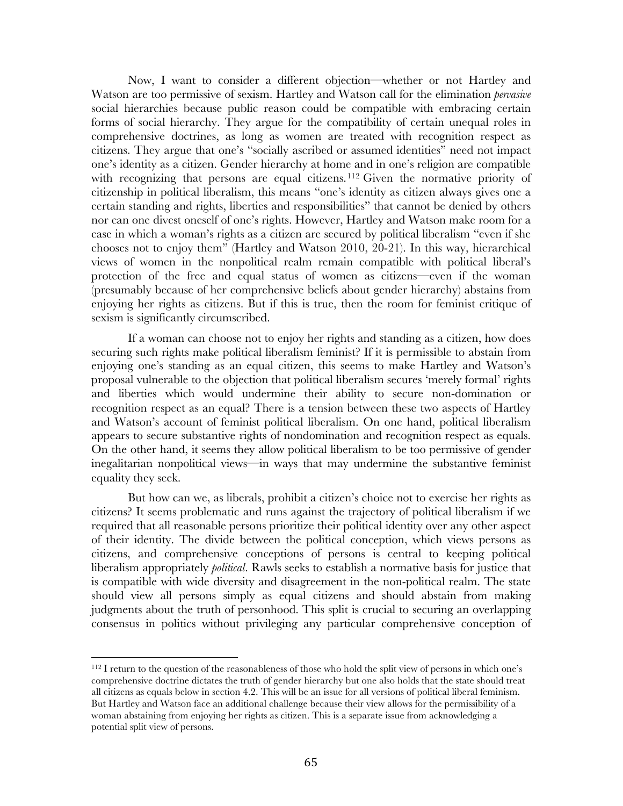Now, I want to consider a different objection—whether or not Hartley and Watson are too permissive of sexism. Hartley and Watson call for the elimination *pervasive* social hierarchies because public reason could be compatible with embracing certain forms of social hierarchy. They argue for the compatibility of certain unequal roles in comprehensive doctrines, as long as women are treated with recognition respect as citizens. They argue that one's "socially ascribed or assumed identities" need not impact one's identity as a citizen. Gender hierarchy at home and in one's religion are compatible with recognizing that persons are equal citizens.<sup>112</sup> Given the normative priority of citizenship in political liberalism, this means "one's identity as citizen always gives one a certain standing and rights, liberties and responsibilities" that cannot be denied by others nor can one divest oneself of one's rights. However, Hartley and Watson make room for a case in which a woman's rights as a citizen are secured by political liberalism "even if she chooses not to enjoy them" (Hartley and Watson 2010, 20-21). In this way, hierarchical views of women in the nonpolitical realm remain compatible with political liberal's protection of the free and equal status of women as citizens—even if the woman (presumably because of her comprehensive beliefs about gender hierarchy) abstains from enjoying her rights as citizens. But if this is true, then the room for feminist critique of sexism is significantly circumscribed.

If a woman can choose not to enjoy her rights and standing as a citizen, how does securing such rights make political liberalism feminist? If it is permissible to abstain from enjoying one's standing as an equal citizen, this seems to make Hartley and Watson's proposal vulnerable to the objection that political liberalism secures 'merely formal' rights and liberties which would undermine their ability to secure non-domination or recognition respect as an equal? There is a tension between these two aspects of Hartley and Watson's account of feminist political liberalism. On one hand, political liberalism appears to secure substantive rights of nondomination and recognition respect as equals. On the other hand, it seems they allow political liberalism to be too permissive of gender inegalitarian nonpolitical views—in ways that may undermine the substantive feminist equality they seek.

But how can we, as liberals, prohibit a citizen's choice not to exercise her rights as citizens? It seems problematic and runs against the trajectory of political liberalism if we required that all reasonable persons prioritize their political identity over any other aspect of their identity. The divide between the political conception, which views persons as citizens, and comprehensive conceptions of persons is central to keeping political liberalism appropriately *political*. Rawls seeks to establish a normative basis for justice that is compatible with wide diversity and disagreement in the non-political realm. The state should view all persons simply as equal citizens and should abstain from making judgments about the truth of personhood. This split is crucial to securing an overlapping consensus in politics without privileging any particular comprehensive conception of

<sup>112</sup> I return to the question of the reasonableness of those who hold the split view of persons in which one's comprehensive doctrine dictates the truth of gender hierarchy but one also holds that the state should treat all citizens as equals below in section 4.2. This will be an issue for all versions of political liberal feminism. But Hartley and Watson face an additional challenge because their view allows for the permissibility of a woman abstaining from enjoying her rights as citizen. This is a separate issue from acknowledging a potential split view of persons.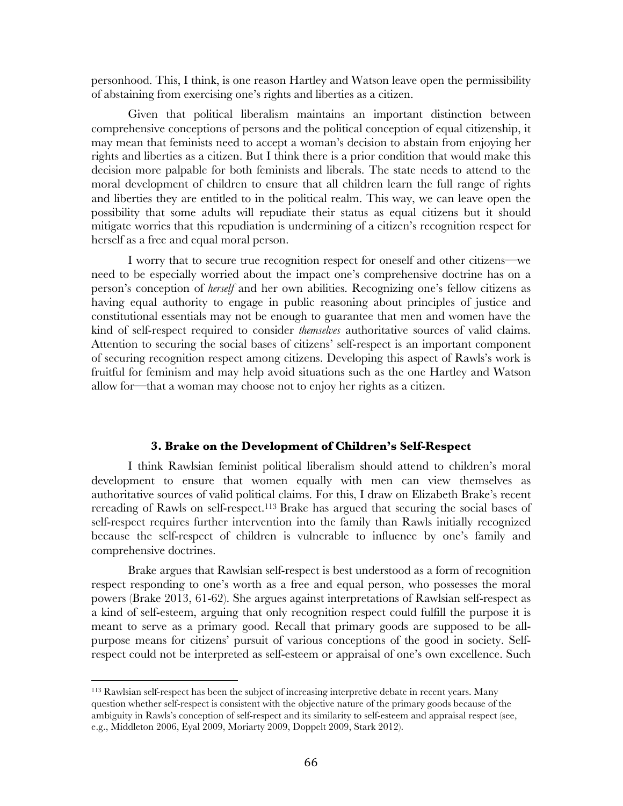personhood. This, I think, is one reason Hartley and Watson leave open the permissibility of abstaining from exercising one's rights and liberties as a citizen.

Given that political liberalism maintains an important distinction between comprehensive conceptions of persons and the political conception of equal citizenship, it may mean that feminists need to accept a woman's decision to abstain from enjoying her rights and liberties as a citizen. But I think there is a prior condition that would make this decision more palpable for both feminists and liberals. The state needs to attend to the moral development of children to ensure that all children learn the full range of rights and liberties they are entitled to in the political realm. This way, we can leave open the possibility that some adults will repudiate their status as equal citizens but it should mitigate worries that this repudiation is undermining of a citizen's recognition respect for herself as a free and equal moral person.

I worry that to secure true recognition respect for oneself and other citizens—we need to be especially worried about the impact one's comprehensive doctrine has on a person's conception of *herself* and her own abilities. Recognizing one's fellow citizens as having equal authority to engage in public reasoning about principles of justice and constitutional essentials may not be enough to guarantee that men and women have the kind of self-respect required to consider *themselves* authoritative sources of valid claims. Attention to securing the social bases of citizens' self-respect is an important component of securing recognition respect among citizens. Developing this aspect of Rawls's work is fruitful for feminism and may help avoid situations such as the one Hartley and Watson allow for—that a woman may choose not to enjoy her rights as a citizen.

### **3. Brake on the Development of Children's Self-Respect**

I think Rawlsian feminist political liberalism should attend to children's moral development to ensure that women equally with men can view themselves as authoritative sources of valid political claims. For this, I draw on Elizabeth Brake's recent rereading of Rawls on self-respect.<sup>113</sup> Brake has argued that securing the social bases of self-respect requires further intervention into the family than Rawls initially recognized because the self-respect of children is vulnerable to influence by one's family and comprehensive doctrines.

Brake argues that Rawlsian self-respect is best understood as a form of recognition respect responding to one's worth as a free and equal person, who possesses the moral powers (Brake 2013, 61-62). She argues against interpretations of Rawlsian self-respect as a kind of self-esteem, arguing that only recognition respect could fulfill the purpose it is meant to serve as a primary good. Recall that primary goods are supposed to be allpurpose means for citizens' pursuit of various conceptions of the good in society. Selfrespect could not be interpreted as self-esteem or appraisal of one's own excellence. Such

<sup>113</sup> Rawlsian self-respect has been the subject of increasing interpretive debate in recent years. Many question whether self-respect is consistent with the objective nature of the primary goods because of the ambiguity in Rawls's conception of self-respect and its similarity to self-esteem and appraisal respect (see, e.g., Middleton 2006, Eyal 2009, Moriarty 2009, Doppelt 2009, Stark 2012).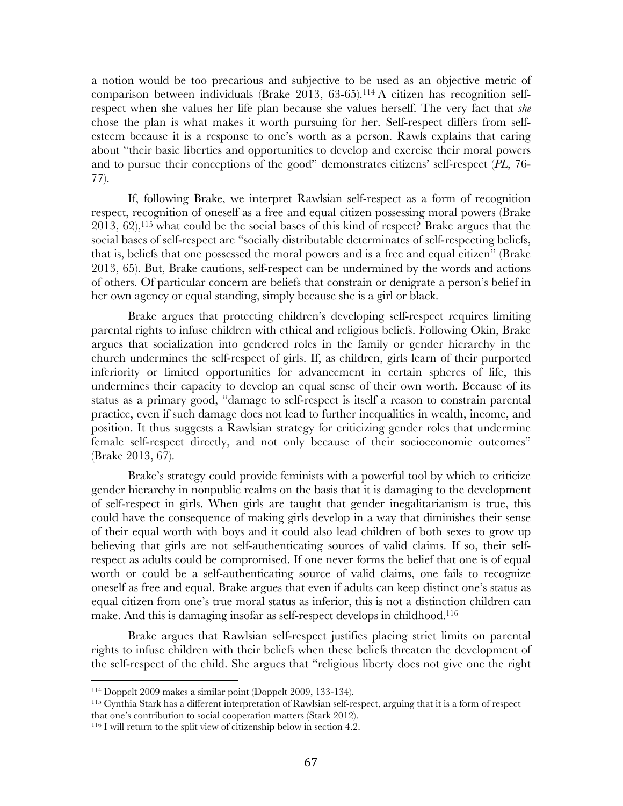a notion would be too precarious and subjective to be used as an objective metric of comparison between individuals (Brake 2013, 63-65). <sup>114</sup> A citizen has recognition selfrespect when she values her life plan because she values herself. The very fact that *she* chose the plan is what makes it worth pursuing for her. Self-respect differs from selfesteem because it is a response to one's worth as a person. Rawls explains that caring about "their basic liberties and opportunities to develop and exercise their moral powers and to pursue their conceptions of the good" demonstrates citizens' self-respect (*PL*, 76- 77).

If, following Brake, we interpret Rawlsian self-respect as a form of recognition respect, recognition of oneself as a free and equal citizen possessing moral powers (Brake 2013, 62), <sup>115</sup> what could be the social bases of this kind of respect? Brake argues that the social bases of self-respect are "socially distributable determinates of self-respecting beliefs, that is, beliefs that one possessed the moral powers and is a free and equal citizen" (Brake 2013, 65). But, Brake cautions, self-respect can be undermined by the words and actions of others. Of particular concern are beliefs that constrain or denigrate a person's belief in her own agency or equal standing, simply because she is a girl or black.

Brake argues that protecting children's developing self-respect requires limiting parental rights to infuse children with ethical and religious beliefs. Following Okin, Brake argues that socialization into gendered roles in the family or gender hierarchy in the church undermines the self-respect of girls. If, as children, girls learn of their purported inferiority or limited opportunities for advancement in certain spheres of life, this undermines their capacity to develop an equal sense of their own worth. Because of its status as a primary good, "damage to self-respect is itself a reason to constrain parental practice, even if such damage does not lead to further inequalities in wealth, income, and position. It thus suggests a Rawlsian strategy for criticizing gender roles that undermine female self-respect directly, and not only because of their socioeconomic outcomes" (Brake 2013, 67).

Brake's strategy could provide feminists with a powerful tool by which to criticize gender hierarchy in nonpublic realms on the basis that it is damaging to the development of self-respect in girls. When girls are taught that gender inegalitarianism is true, this could have the consequence of making girls develop in a way that diminishes their sense of their equal worth with boys and it could also lead children of both sexes to grow up believing that girls are not self-authenticating sources of valid claims. If so, their selfrespect as adults could be compromised. If one never forms the belief that one is of equal worth or could be a self-authenticating source of valid claims, one fails to recognize oneself as free and equal. Brake argues that even if adults can keep distinct one's status as equal citizen from one's true moral status as inferior, this is not a distinction children can make. And this is damaging insofar as self-respect develops in childhood.<sup>116</sup>

Brake argues that Rawlsian self-respect justifies placing strict limits on parental rights to infuse children with their beliefs when these beliefs threaten the development of the self-respect of the child. She argues that "religious liberty does not give one the right

<sup>114</sup> Doppelt 2009 makes a similar point (Doppelt 2009, 133-134).

<sup>115</sup> Cynthia Stark has a different interpretation of Rawlsian self-respect, arguing that it is a form of respect that one's contribution to social cooperation matters (Stark 2012).

<sup>116</sup> I will return to the split view of citizenship below in section 4.2.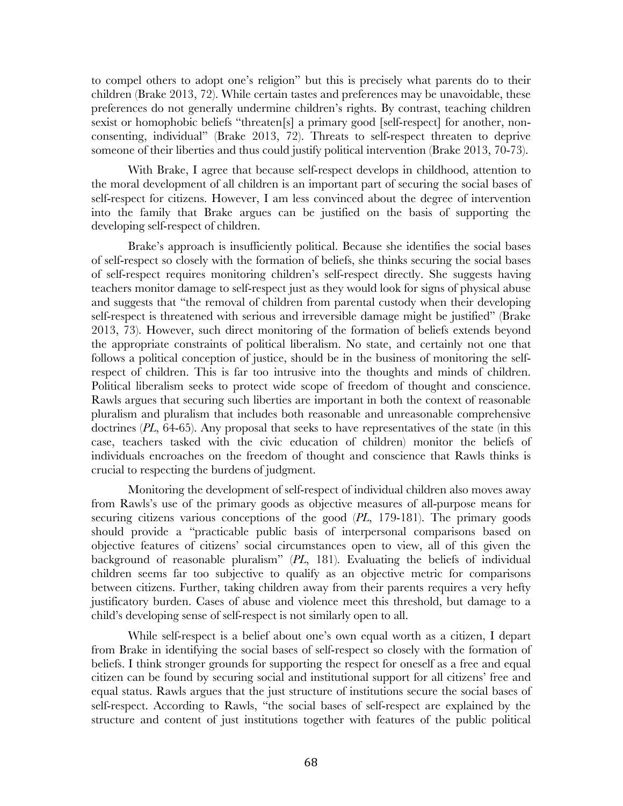to compel others to adopt one's religion" but this is precisely what parents do to their children (Brake 2013, 72). While certain tastes and preferences may be unavoidable, these preferences do not generally undermine children's rights. By contrast, teaching children sexist or homophobic beliefs "threaten[s] a primary good [self-respect] for another, nonconsenting, individual" (Brake 2013, 72). Threats to self-respect threaten to deprive someone of their liberties and thus could justify political intervention (Brake 2013, 70-73).

With Brake, I agree that because self-respect develops in childhood, attention to the moral development of all children is an important part of securing the social bases of self-respect for citizens. However, I am less convinced about the degree of intervention into the family that Brake argues can be justified on the basis of supporting the developing self-respect of children.

Brake's approach is insufficiently political. Because she identifies the social bases of self-respect so closely with the formation of beliefs, she thinks securing the social bases of self-respect requires monitoring children's self-respect directly. She suggests having teachers monitor damage to self-respect just as they would look for signs of physical abuse and suggests that "the removal of children from parental custody when their developing self-respect is threatened with serious and irreversible damage might be justified" (Brake 2013, 73). However, such direct monitoring of the formation of beliefs extends beyond the appropriate constraints of political liberalism. No state, and certainly not one that follows a political conception of justice, should be in the business of monitoring the selfrespect of children. This is far too intrusive into the thoughts and minds of children. Political liberalism seeks to protect wide scope of freedom of thought and conscience. Rawls argues that securing such liberties are important in both the context of reasonable pluralism and pluralism that includes both reasonable and unreasonable comprehensive doctrines (*PL*, 64-65). Any proposal that seeks to have representatives of the state (in this case, teachers tasked with the civic education of children) monitor the beliefs of individuals encroaches on the freedom of thought and conscience that Rawls thinks is crucial to respecting the burdens of judgment.

Monitoring the development of self-respect of individual children also moves away from Rawls's use of the primary goods as objective measures of all-purpose means for securing citizens various conceptions of the good (*PL*, 179-181). The primary goods should provide a "practicable public basis of interpersonal comparisons based on objective features of citizens' social circumstances open to view, all of this given the background of reasonable pluralism" (*PL*, 181). Evaluating the beliefs of individual children seems far too subjective to qualify as an objective metric for comparisons between citizens. Further, taking children away from their parents requires a very hefty justificatory burden. Cases of abuse and violence meet this threshold, but damage to a child's developing sense of self-respect is not similarly open to all.

While self-respect is a belief about one's own equal worth as a citizen, I depart from Brake in identifying the social bases of self-respect so closely with the formation of beliefs. I think stronger grounds for supporting the respect for oneself as a free and equal citizen can be found by securing social and institutional support for all citizens' free and equal status. Rawls argues that the just structure of institutions secure the social bases of self-respect. According to Rawls, "the social bases of self-respect are explained by the structure and content of just institutions together with features of the public political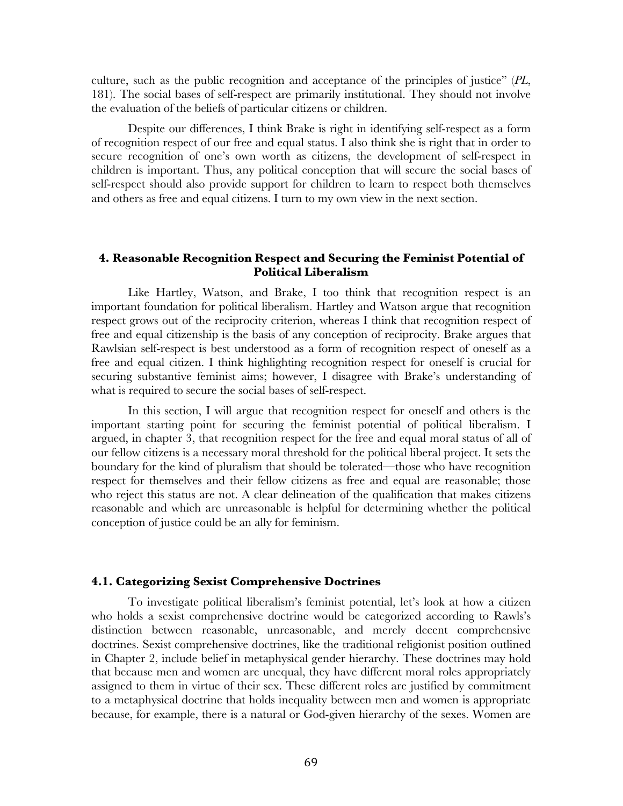culture, such as the public recognition and acceptance of the principles of justice" (*PL*, 181). The social bases of self-respect are primarily institutional. They should not involve the evaluation of the beliefs of particular citizens or children.

Despite our differences, I think Brake is right in identifying self-respect as a form of recognition respect of our free and equal status. I also think she is right that in order to secure recognition of one's own worth as citizens, the development of self-respect in children is important. Thus, any political conception that will secure the social bases of self-respect should also provide support for children to learn to respect both themselves and others as free and equal citizens. I turn to my own view in the next section.

## **4. Reasonable Recognition Respect and Securing the Feminist Potential of Political Liberalism**

Like Hartley, Watson, and Brake, I too think that recognition respect is an important foundation for political liberalism. Hartley and Watson argue that recognition respect grows out of the reciprocity criterion, whereas I think that recognition respect of free and equal citizenship is the basis of any conception of reciprocity. Brake argues that Rawlsian self-respect is best understood as a form of recognition respect of oneself as a free and equal citizen. I think highlighting recognition respect for oneself is crucial for securing substantive feminist aims; however, I disagree with Brake's understanding of what is required to secure the social bases of self-respect.

In this section, I will argue that recognition respect for oneself and others is the important starting point for securing the feminist potential of political liberalism. I argued, in chapter 3, that recognition respect for the free and equal moral status of all of our fellow citizens is a necessary moral threshold for the political liberal project. It sets the boundary for the kind of pluralism that should be tolerated—those who have recognition respect for themselves and their fellow citizens as free and equal are reasonable; those who reject this status are not. A clear delineation of the qualification that makes citizens reasonable and which are unreasonable is helpful for determining whether the political conception of justice could be an ally for feminism.

## **4.1. Categorizing Sexist Comprehensive Doctrines**

To investigate political liberalism's feminist potential, let's look at how a citizen who holds a sexist comprehensive doctrine would be categorized according to Rawls's distinction between reasonable, unreasonable, and merely decent comprehensive doctrines. Sexist comprehensive doctrines, like the traditional religionist position outlined in Chapter 2, include belief in metaphysical gender hierarchy. These doctrines may hold that because men and women are unequal, they have different moral roles appropriately assigned to them in virtue of their sex. These different roles are justified by commitment to a metaphysical doctrine that holds inequality between men and women is appropriate because, for example, there is a natural or God-given hierarchy of the sexes. Women are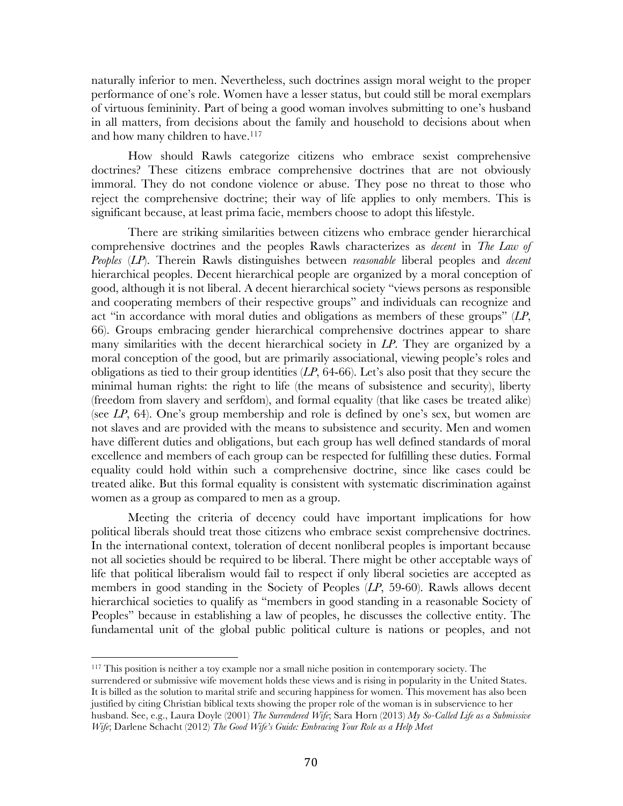naturally inferior to men. Nevertheless, such doctrines assign moral weight to the proper performance of one's role. Women have a lesser status, but could still be moral exemplars of virtuous femininity. Part of being a good woman involves submitting to one's husband in all matters, from decisions about the family and household to decisions about when and how many children to have.<sup>117</sup>

How should Rawls categorize citizens who embrace sexist comprehensive doctrines? These citizens embrace comprehensive doctrines that are not obviously immoral. They do not condone violence or abuse. They pose no threat to those who reject the comprehensive doctrine; their way of life applies to only members. This is significant because, at least prima facie, members choose to adopt this lifestyle.

There are striking similarities between citizens who embrace gender hierarchical comprehensive doctrines and the peoples Rawls characterizes as *decent* in *The Law of Peoples* (*LP*). Therein Rawls distinguishes between *reasonable* liberal peoples and *decent* hierarchical peoples. Decent hierarchical people are organized by a moral conception of good, although it is not liberal. A decent hierarchical society "views persons as responsible and cooperating members of their respective groups" and individuals can recognize and act "in accordance with moral duties and obligations as members of these groups" (*LP*, 66). Groups embracing gender hierarchical comprehensive doctrines appear to share many similarities with the decent hierarchical society in *LP*. They are organized by a moral conception of the good, but are primarily associational, viewing people's roles and obligations as tied to their group identities (*LP*, 64-66). Let's also posit that they secure the minimal human rights: the right to life (the means of subsistence and security), liberty (freedom from slavery and serfdom), and formal equality (that like cases be treated alike) (see *LP*, 64). One's group membership and role is defined by one's sex, but women are not slaves and are provided with the means to subsistence and security. Men and women have different duties and obligations, but each group has well defined standards of moral excellence and members of each group can be respected for fulfilling these duties. Formal equality could hold within such a comprehensive doctrine, since like cases could be treated alike. But this formal equality is consistent with systematic discrimination against women as a group as compared to men as a group.

Meeting the criteria of decency could have important implications for how political liberals should treat those citizens who embrace sexist comprehensive doctrines. In the international context, toleration of decent nonliberal peoples is important because not all societies should be required to be liberal. There might be other acceptable ways of life that political liberalism would fail to respect if only liberal societies are accepted as members in good standing in the Society of Peoples (*LP*, 59-60). Rawls allows decent hierarchical societies to qualify as "members in good standing in a reasonable Society of Peoples" because in establishing a law of peoples, he discusses the collective entity. The fundamental unit of the global public political culture is nations or peoples, and not

<sup>117</sup> This position is neither a toy example nor a small niche position in contemporary society. The

surrendered or submissive wife movement holds these views and is rising in popularity in the United States. It is billed as the solution to marital strife and securing happiness for women. This movement has also been justified by citing Christian biblical texts showing the proper role of the woman is in subservience to her husband. See, e.g., Laura Doyle (2001) *The Surrendered Wife*; Sara Horn (2013) *My So-Called Life as a Submissive Wife*; Darlene Schacht (2012) *The Good Wife's Guide: Embracing Your Role as a Help Meet*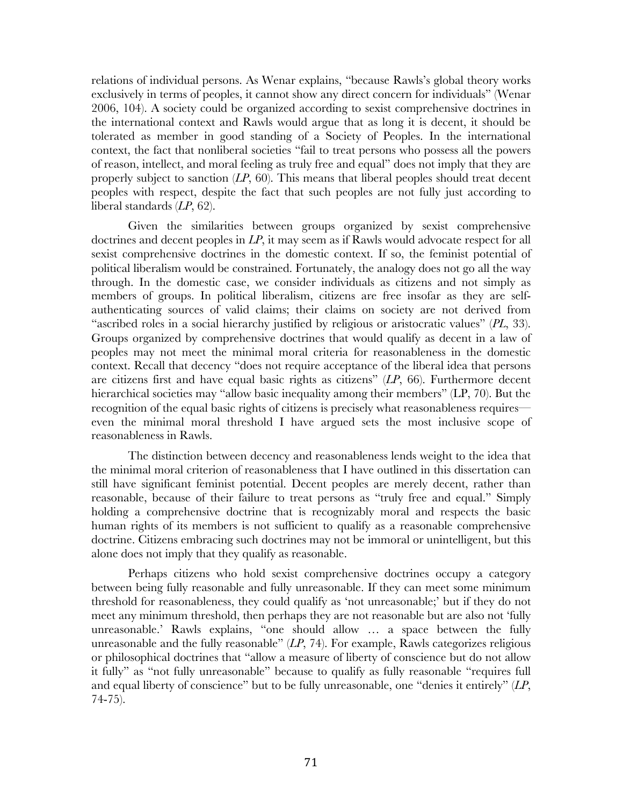relations of individual persons. As Wenar explains, "because Rawls's global theory works exclusively in terms of peoples, it cannot show any direct concern for individuals" (Wenar 2006, 104). A society could be organized according to sexist comprehensive doctrines in the international context and Rawls would argue that as long it is decent, it should be tolerated as member in good standing of a Society of Peoples. In the international context, the fact that nonliberal societies "fail to treat persons who possess all the powers of reason, intellect, and moral feeling as truly free and equal" does not imply that they are properly subject to sanction (*LP*, 60). This means that liberal peoples should treat decent peoples with respect, despite the fact that such peoples are not fully just according to liberal standards (*LP*, 62).

Given the similarities between groups organized by sexist comprehensive doctrines and decent peoples in *LP*, it may seem as if Rawls would advocate respect for all sexist comprehensive doctrines in the domestic context. If so, the feminist potential of political liberalism would be constrained. Fortunately, the analogy does not go all the way through. In the domestic case, we consider individuals as citizens and not simply as members of groups. In political liberalism, citizens are free insofar as they are selfauthenticating sources of valid claims; their claims on society are not derived from "ascribed roles in a social hierarchy justified by religious or aristocratic values" (*PL*, 33). Groups organized by comprehensive doctrines that would qualify as decent in a law of peoples may not meet the minimal moral criteria for reasonableness in the domestic context. Recall that decency "does not require acceptance of the liberal idea that persons are citizens first and have equal basic rights as citizens" (*LP*, 66). Furthermore decent hierarchical societies may "allow basic inequality among their members" (LP, 70). But the recognition of the equal basic rights of citizens is precisely what reasonableness requires even the minimal moral threshold I have argued sets the most inclusive scope of reasonableness in Rawls.

The distinction between decency and reasonableness lends weight to the idea that the minimal moral criterion of reasonableness that I have outlined in this dissertation can still have significant feminist potential. Decent peoples are merely decent, rather than reasonable, because of their failure to treat persons as "truly free and equal." Simply holding a comprehensive doctrine that is recognizably moral and respects the basic human rights of its members is not sufficient to qualify as a reasonable comprehensive doctrine. Citizens embracing such doctrines may not be immoral or unintelligent, but this alone does not imply that they qualify as reasonable.

Perhaps citizens who hold sexist comprehensive doctrines occupy a category between being fully reasonable and fully unreasonable. If they can meet some minimum threshold for reasonableness, they could qualify as 'not unreasonable;' but if they do not meet any minimum threshold, then perhaps they are not reasonable but are also not 'fully unreasonable.' Rawls explains, "one should allow … a space between the fully unreasonable and the fully reasonable" (*LP*, 74). For example, Rawls categorizes religious or philosophical doctrines that "allow a measure of liberty of conscience but do not allow it fully" as "not fully unreasonable" because to qualify as fully reasonable "requires full and equal liberty of conscience" but to be fully unreasonable, one "denies it entirely" (*LP*, 74-75).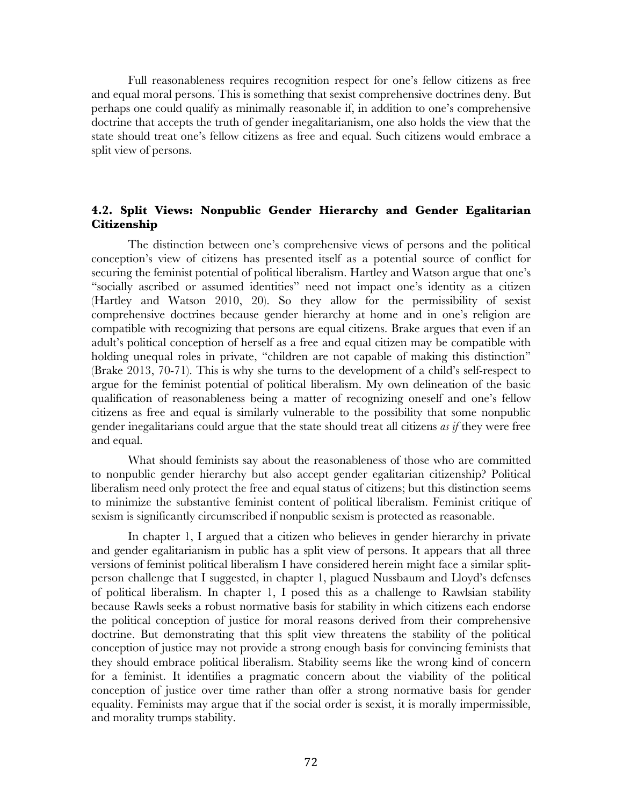Full reasonableness requires recognition respect for one's fellow citizens as free and equal moral persons. This is something that sexist comprehensive doctrines deny. But perhaps one could qualify as minimally reasonable if, in addition to one's comprehensive doctrine that accepts the truth of gender inegalitarianism, one also holds the view that the state should treat one's fellow citizens as free and equal. Such citizens would embrace a split view of persons.

# **4.2. Split Views: Nonpublic Gender Hierarchy and Gender Egalitarian Citizenship**

The distinction between one's comprehensive views of persons and the political conception's view of citizens has presented itself as a potential source of conflict for securing the feminist potential of political liberalism. Hartley and Watson argue that one's "socially ascribed or assumed identities" need not impact one's identity as a citizen (Hartley and Watson 2010, 20). So they allow for the permissibility of sexist comprehensive doctrines because gender hierarchy at home and in one's religion are compatible with recognizing that persons are equal citizens. Brake argues that even if an adult's political conception of herself as a free and equal citizen may be compatible with holding unequal roles in private, "children are not capable of making this distinction" (Brake 2013, 70-71). This is why she turns to the development of a child's self-respect to argue for the feminist potential of political liberalism. My own delineation of the basic qualification of reasonableness being a matter of recognizing oneself and one's fellow citizens as free and equal is similarly vulnerable to the possibility that some nonpublic gender inegalitarians could argue that the state should treat all citizens *as if* they were free and equal.

What should feminists say about the reasonableness of those who are committed to nonpublic gender hierarchy but also accept gender egalitarian citizenship? Political liberalism need only protect the free and equal status of citizens; but this distinction seems to minimize the substantive feminist content of political liberalism. Feminist critique of sexism is significantly circumscribed if nonpublic sexism is protected as reasonable.

In chapter 1, I argued that a citizen who believes in gender hierarchy in private and gender egalitarianism in public has a split view of persons. It appears that all three versions of feminist political liberalism I have considered herein might face a similar splitperson challenge that I suggested, in chapter 1, plagued Nussbaum and Lloyd's defenses of political liberalism. In chapter 1, I posed this as a challenge to Rawlsian stability because Rawls seeks a robust normative basis for stability in which citizens each endorse the political conception of justice for moral reasons derived from their comprehensive doctrine. But demonstrating that this split view threatens the stability of the political conception of justice may not provide a strong enough basis for convincing feminists that they should embrace political liberalism. Stability seems like the wrong kind of concern for a feminist. It identifies a pragmatic concern about the viability of the political conception of justice over time rather than offer a strong normative basis for gender equality. Feminists may argue that if the social order is sexist, it is morally impermissible, and morality trumps stability.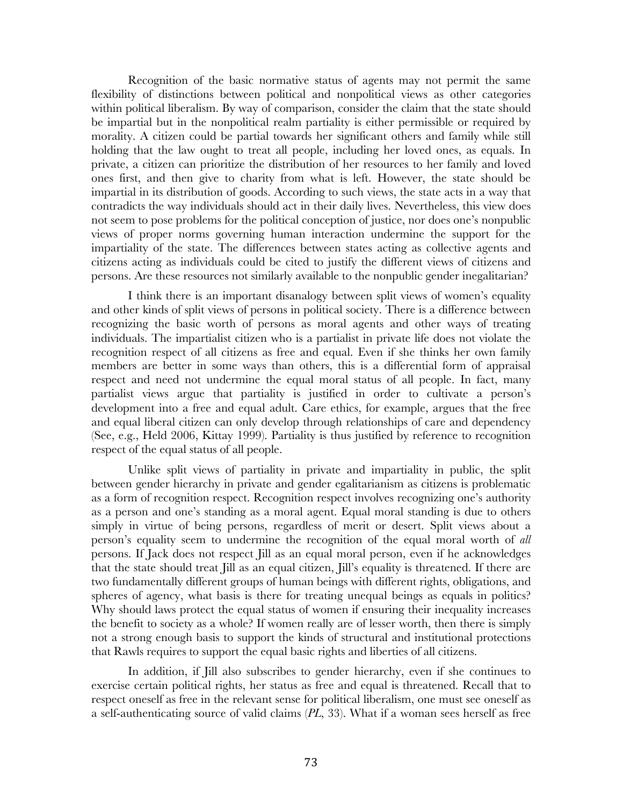Recognition of the basic normative status of agents may not permit the same flexibility of distinctions between political and nonpolitical views as other categories within political liberalism. By way of comparison, consider the claim that the state should be impartial but in the nonpolitical realm partiality is either permissible or required by morality. A citizen could be partial towards her significant others and family while still holding that the law ought to treat all people, including her loved ones, as equals. In private, a citizen can prioritize the distribution of her resources to her family and loved ones first, and then give to charity from what is left. However, the state should be impartial in its distribution of goods. According to such views, the state acts in a way that contradicts the way individuals should act in their daily lives. Nevertheless, this view does not seem to pose problems for the political conception of justice, nor does one's nonpublic views of proper norms governing human interaction undermine the support for the impartiality of the state. The differences between states acting as collective agents and citizens acting as individuals could be cited to justify the different views of citizens and persons. Are these resources not similarly available to the nonpublic gender inegalitarian?

I think there is an important disanalogy between split views of women's equality and other kinds of split views of persons in political society. There is a difference between recognizing the basic worth of persons as moral agents and other ways of treating individuals. The impartialist citizen who is a partialist in private life does not violate the recognition respect of all citizens as free and equal. Even if she thinks her own family members are better in some ways than others, this is a differential form of appraisal respect and need not undermine the equal moral status of all people. In fact, many partialist views argue that partiality is justified in order to cultivate a person's development into a free and equal adult. Care ethics, for example, argues that the free and equal liberal citizen can only develop through relationships of care and dependency (See, e.g., Held 2006, Kittay 1999). Partiality is thus justified by reference to recognition respect of the equal status of all people.

Unlike split views of partiality in private and impartiality in public, the split between gender hierarchy in private and gender egalitarianism as citizens is problematic as a form of recognition respect. Recognition respect involves recognizing one's authority as a person and one's standing as a moral agent. Equal moral standing is due to others simply in virtue of being persons, regardless of merit or desert. Split views about a person's equality seem to undermine the recognition of the equal moral worth of *all* persons. If Jack does not respect Jill as an equal moral person, even if he acknowledges that the state should treat Jill as an equal citizen, Jill's equality is threatened. If there are two fundamentally different groups of human beings with different rights, obligations, and spheres of agency, what basis is there for treating unequal beings as equals in politics? Why should laws protect the equal status of women if ensuring their inequality increases the benefit to society as a whole? If women really are of lesser worth, then there is simply not a strong enough basis to support the kinds of structural and institutional protections that Rawls requires to support the equal basic rights and liberties of all citizens.

In addition, if Jill also subscribes to gender hierarchy, even if she continues to exercise certain political rights, her status as free and equal is threatened. Recall that to respect oneself as free in the relevant sense for political liberalism, one must see oneself as a self-authenticating source of valid claims (*PL*, 33). What if a woman sees herself as free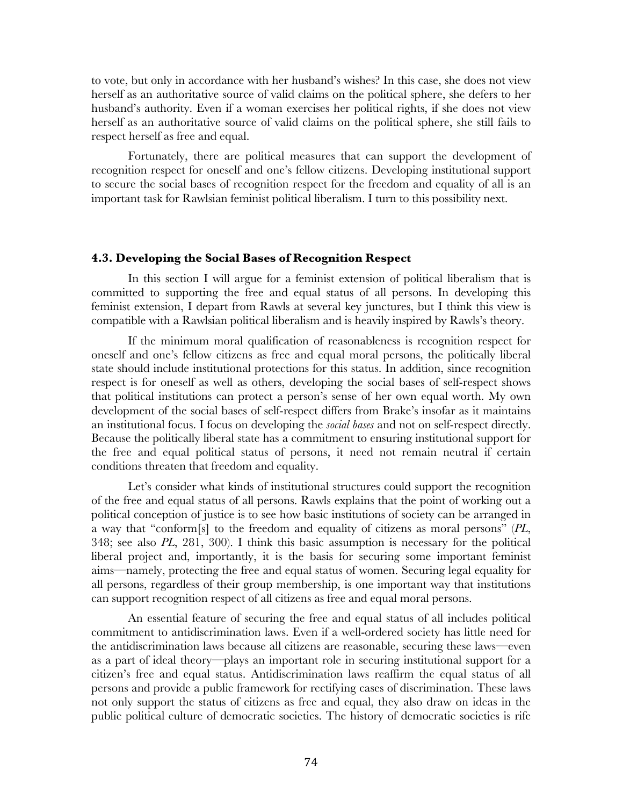to vote, but only in accordance with her husband's wishes? In this case, she does not view herself as an authoritative source of valid claims on the political sphere, she defers to her husband's authority. Even if a woman exercises her political rights, if she does not view herself as an authoritative source of valid claims on the political sphere, she still fails to respect herself as free and equal.

Fortunately, there are political measures that can support the development of recognition respect for oneself and one's fellow citizens. Developing institutional support to secure the social bases of recognition respect for the freedom and equality of all is an important task for Rawlsian feminist political liberalism. I turn to this possibility next.

#### **4.3. Developing the Social Bases of Recognition Respect**

In this section I will argue for a feminist extension of political liberalism that is committed to supporting the free and equal status of all persons. In developing this feminist extension, I depart from Rawls at several key junctures, but I think this view is compatible with a Rawlsian political liberalism and is heavily inspired by Rawls's theory.

If the minimum moral qualification of reasonableness is recognition respect for oneself and one's fellow citizens as free and equal moral persons, the politically liberal state should include institutional protections for this status. In addition, since recognition respect is for oneself as well as others, developing the social bases of self-respect shows that political institutions can protect a person's sense of her own equal worth. My own development of the social bases of self-respect differs from Brake's insofar as it maintains an institutional focus. I focus on developing the *social bases* and not on self-respect directly. Because the politically liberal state has a commitment to ensuring institutional support for the free and equal political status of persons, it need not remain neutral if certain conditions threaten that freedom and equality.

Let's consider what kinds of institutional structures could support the recognition of the free and equal status of all persons. Rawls explains that the point of working out a political conception of justice is to see how basic institutions of society can be arranged in a way that "conform[s] to the freedom and equality of citizens as moral persons" (*PL*, 348; see also *PL*, 281, 300). I think this basic assumption is necessary for the political liberal project and, importantly, it is the basis for securing some important feminist aims—namely, protecting the free and equal status of women. Securing legal equality for all persons, regardless of their group membership, is one important way that institutions can support recognition respect of all citizens as free and equal moral persons.

An essential feature of securing the free and equal status of all includes political commitment to antidiscrimination laws. Even if a well-ordered society has little need for the antidiscrimination laws because all citizens are reasonable, securing these laws—even as a part of ideal theory—plays an important role in securing institutional support for a citizen's free and equal status. Antidiscrimination laws reaffirm the equal status of all persons and provide a public framework for rectifying cases of discrimination. These laws not only support the status of citizens as free and equal, they also draw on ideas in the public political culture of democratic societies. The history of democratic societies is rife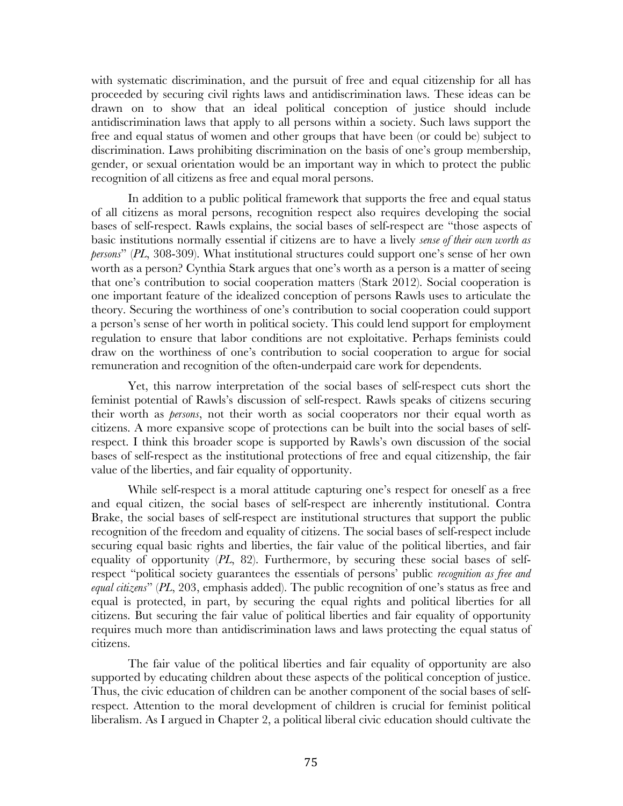with systematic discrimination, and the pursuit of free and equal citizenship for all has proceeded by securing civil rights laws and antidiscrimination laws. These ideas can be drawn on to show that an ideal political conception of justice should include antidiscrimination laws that apply to all persons within a society. Such laws support the free and equal status of women and other groups that have been (or could be) subject to discrimination. Laws prohibiting discrimination on the basis of one's group membership, gender, or sexual orientation would be an important way in which to protect the public recognition of all citizens as free and equal moral persons.

In addition to a public political framework that supports the free and equal status of all citizens as moral persons, recognition respect also requires developing the social bases of self-respect. Rawls explains, the social bases of self-respect are "those aspects of basic institutions normally essential if citizens are to have a lively *sense of their own worth as persons*" (*PL*, 308-309). What institutional structures could support one's sense of her own worth as a person? Cynthia Stark argues that one's worth as a person is a matter of seeing that one's contribution to social cooperation matters (Stark 2012). Social cooperation is one important feature of the idealized conception of persons Rawls uses to articulate the theory. Securing the worthiness of one's contribution to social cooperation could support a person's sense of her worth in political society. This could lend support for employment regulation to ensure that labor conditions are not exploitative. Perhaps feminists could draw on the worthiness of one's contribution to social cooperation to argue for social remuneration and recognition of the often-underpaid care work for dependents.

Yet, this narrow interpretation of the social bases of self-respect cuts short the feminist potential of Rawls's discussion of self-respect. Rawls speaks of citizens securing their worth as *persons*, not their worth as social cooperators nor their equal worth as citizens. A more expansive scope of protections can be built into the social bases of selfrespect. I think this broader scope is supported by Rawls's own discussion of the social bases of self-respect as the institutional protections of free and equal citizenship, the fair value of the liberties, and fair equality of opportunity.

While self-respect is a moral attitude capturing one's respect for oneself as a free and equal citizen, the social bases of self-respect are inherently institutional. Contra Brake, the social bases of self-respect are institutional structures that support the public recognition of the freedom and equality of citizens. The social bases of self-respect include securing equal basic rights and liberties, the fair value of the political liberties, and fair equality of opportunity (*PL*, 82). Furthermore, by securing these social bases of selfrespect "political society guarantees the essentials of persons' public *recognition as free and equal citizens*" (*PL*, 203, emphasis added). The public recognition of one's status as free and equal is protected, in part, by securing the equal rights and political liberties for all citizens. But securing the fair value of political liberties and fair equality of opportunity requires much more than antidiscrimination laws and laws protecting the equal status of citizens.

The fair value of the political liberties and fair equality of opportunity are also supported by educating children about these aspects of the political conception of justice. Thus, the civic education of children can be another component of the social bases of selfrespect. Attention to the moral development of children is crucial for feminist political liberalism. As I argued in Chapter 2, a political liberal civic education should cultivate the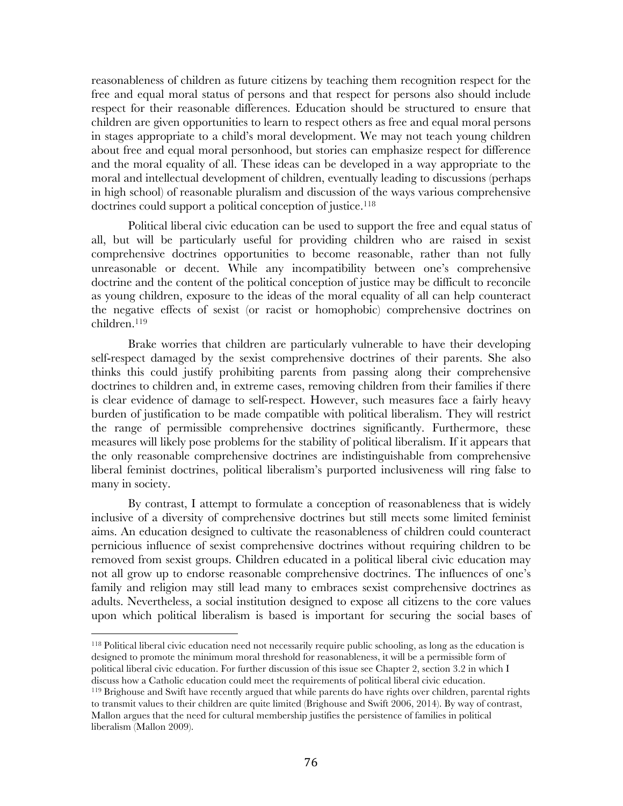reasonableness of children as future citizens by teaching them recognition respect for the free and equal moral status of persons and that respect for persons also should include respect for their reasonable differences. Education should be structured to ensure that children are given opportunities to learn to respect others as free and equal moral persons in stages appropriate to a child's moral development. We may not teach young children about free and equal moral personhood, but stories can emphasize respect for difference and the moral equality of all. These ideas can be developed in a way appropriate to the moral and intellectual development of children, eventually leading to discussions (perhaps in high school) of reasonable pluralism and discussion of the ways various comprehensive doctrines could support a political conception of justice.<sup>118</sup>

Political liberal civic education can be used to support the free and equal status of all, but will be particularly useful for providing children who are raised in sexist comprehensive doctrines opportunities to become reasonable, rather than not fully unreasonable or decent. While any incompatibility between one's comprehensive doctrine and the content of the political conception of justice may be difficult to reconcile as young children, exposure to the ideas of the moral equality of all can help counteract the negative effects of sexist (or racist or homophobic) comprehensive doctrines on children.119

Brake worries that children are particularly vulnerable to have their developing self-respect damaged by the sexist comprehensive doctrines of their parents. She also thinks this could justify prohibiting parents from passing along their comprehensive doctrines to children and, in extreme cases, removing children from their families if there is clear evidence of damage to self-respect. However, such measures face a fairly heavy burden of justification to be made compatible with political liberalism. They will restrict the range of permissible comprehensive doctrines significantly. Furthermore, these measures will likely pose problems for the stability of political liberalism. If it appears that the only reasonable comprehensive doctrines are indistinguishable from comprehensive liberal feminist doctrines, political liberalism's purported inclusiveness will ring false to many in society.

By contrast, I attempt to formulate a conception of reasonableness that is widely inclusive of a diversity of comprehensive doctrines but still meets some limited feminist aims. An education designed to cultivate the reasonableness of children could counteract pernicious influence of sexist comprehensive doctrines without requiring children to be removed from sexist groups. Children educated in a political liberal civic education may not all grow up to endorse reasonable comprehensive doctrines. The influences of one's family and religion may still lead many to embraces sexist comprehensive doctrines as adults. Nevertheless, a social institution designed to expose all citizens to the core values upon which political liberalism is based is important for securing the social bases of

<sup>&</sup>lt;sup>118</sup> Political liberal civic education need not necessarily require public schooling, as long as the education is designed to promote the minimum moral threshold for reasonableness, it will be a permissible form of political liberal civic education. For further discussion of this issue see Chapter 2, section 3.2 in which I discuss how a Catholic education could meet the requirements of political liberal civic education.

<sup>119</sup> Brighouse and Swift have recently argued that while parents do have rights over children, parental rights to transmit values to their children are quite limited (Brighouse and Swift 2006, 2014). By way of contrast, Mallon argues that the need for cultural membership justifies the persistence of families in political liberalism (Mallon 2009).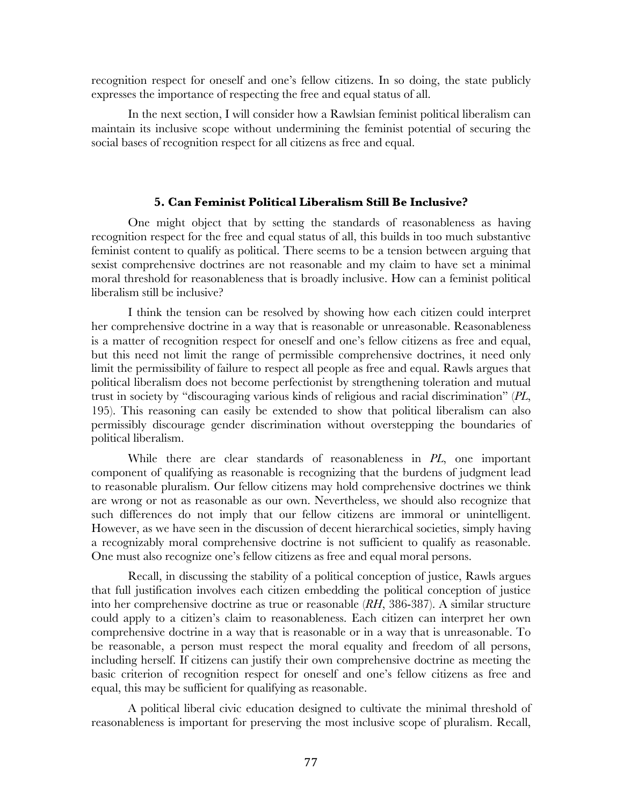recognition respect for oneself and one's fellow citizens. In so doing, the state publicly expresses the importance of respecting the free and equal status of all.

In the next section, I will consider how a Rawlsian feminist political liberalism can maintain its inclusive scope without undermining the feminist potential of securing the social bases of recognition respect for all citizens as free and equal.

## **5. Can Feminist Political Liberalism Still Be Inclusive?**

One might object that by setting the standards of reasonableness as having recognition respect for the free and equal status of all, this builds in too much substantive feminist content to qualify as political. There seems to be a tension between arguing that sexist comprehensive doctrines are not reasonable and my claim to have set a minimal moral threshold for reasonableness that is broadly inclusive. How can a feminist political liberalism still be inclusive?

I think the tension can be resolved by showing how each citizen could interpret her comprehensive doctrine in a way that is reasonable or unreasonable. Reasonableness is a matter of recognition respect for oneself and one's fellow citizens as free and equal, but this need not limit the range of permissible comprehensive doctrines, it need only limit the permissibility of failure to respect all people as free and equal. Rawls argues that political liberalism does not become perfectionist by strengthening toleration and mutual trust in society by "discouraging various kinds of religious and racial discrimination" (*PL*, 195). This reasoning can easily be extended to show that political liberalism can also permissibly discourage gender discrimination without overstepping the boundaries of political liberalism.

While there are clear standards of reasonableness in *PL*, one important component of qualifying as reasonable is recognizing that the burdens of judgment lead to reasonable pluralism. Our fellow citizens may hold comprehensive doctrines we think are wrong or not as reasonable as our own. Nevertheless, we should also recognize that such differences do not imply that our fellow citizens are immoral or unintelligent. However, as we have seen in the discussion of decent hierarchical societies, simply having a recognizably moral comprehensive doctrine is not sufficient to qualify as reasonable. One must also recognize one's fellow citizens as free and equal moral persons.

Recall, in discussing the stability of a political conception of justice, Rawls argues that full justification involves each citizen embedding the political conception of justice into her comprehensive doctrine as true or reasonable (*RH*, 386-387). A similar structure could apply to a citizen's claim to reasonableness. Each citizen can interpret her own comprehensive doctrine in a way that is reasonable or in a way that is unreasonable. To be reasonable, a person must respect the moral equality and freedom of all persons, including herself. If citizens can justify their own comprehensive doctrine as meeting the basic criterion of recognition respect for oneself and one's fellow citizens as free and equal, this may be sufficient for qualifying as reasonable.

A political liberal civic education designed to cultivate the minimal threshold of reasonableness is important for preserving the most inclusive scope of pluralism. Recall,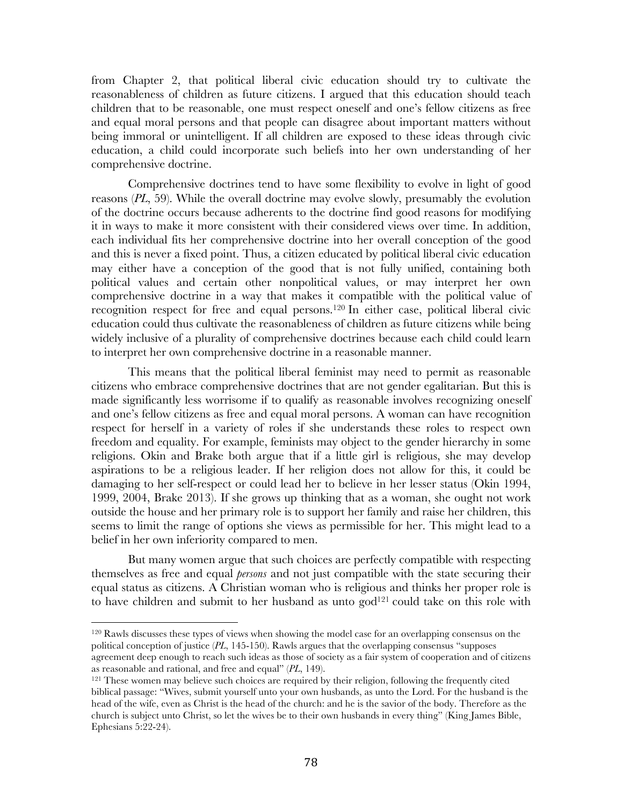from Chapter 2, that political liberal civic education should try to cultivate the reasonableness of children as future citizens. I argued that this education should teach children that to be reasonable, one must respect oneself and one's fellow citizens as free and equal moral persons and that people can disagree about important matters without being immoral or unintelligent. If all children are exposed to these ideas through civic education, a child could incorporate such beliefs into her own understanding of her comprehensive doctrine.

Comprehensive doctrines tend to have some flexibility to evolve in light of good reasons (*PL*, 59). While the overall doctrine may evolve slowly, presumably the evolution of the doctrine occurs because adherents to the doctrine find good reasons for modifying it in ways to make it more consistent with their considered views over time. In addition, each individual fits her comprehensive doctrine into her overall conception of the good and this is never a fixed point. Thus, a citizen educated by political liberal civic education may either have a conception of the good that is not fully unified, containing both political values and certain other nonpolitical values, or may interpret her own comprehensive doctrine in a way that makes it compatible with the political value of recognition respect for free and equal persons.120 In either case, political liberal civic education could thus cultivate the reasonableness of children as future citizens while being widely inclusive of a plurality of comprehensive doctrines because each child could learn to interpret her own comprehensive doctrine in a reasonable manner.

This means that the political liberal feminist may need to permit as reasonable citizens who embrace comprehensive doctrines that are not gender egalitarian. But this is made significantly less worrisome if to qualify as reasonable involves recognizing oneself and one's fellow citizens as free and equal moral persons. A woman can have recognition respect for herself in a variety of roles if she understands these roles to respect own freedom and equality. For example, feminists may object to the gender hierarchy in some religions. Okin and Brake both argue that if a little girl is religious, she may develop aspirations to be a religious leader. If her religion does not allow for this, it could be damaging to her self-respect or could lead her to believe in her lesser status (Okin 1994, 1999, 2004, Brake 2013). If she grows up thinking that as a woman, she ought not work outside the house and her primary role is to support her family and raise her children, this seems to limit the range of options she views as permissible for her. This might lead to a belief in her own inferiority compared to men.

But many women argue that such choices are perfectly compatible with respecting themselves as free and equal *persons* and not just compatible with the state securing their equal status as citizens. A Christian woman who is religious and thinks her proper role is to have children and submit to her husband as unto  $\text{gcd}^{121}$  could take on this role with

<sup>&</sup>lt;sup>120</sup> Rawls discusses these types of views when showing the model case for an overlapping consensus on the political conception of justice (*PL*, 145-150). Rawls argues that the overlapping consensus "supposes agreement deep enough to reach such ideas as those of society as a fair system of cooperation and of citizens as reasonable and rational, and free and equal" (*PL*, 149).

<sup>&</sup>lt;sup>121</sup> These women may believe such choices are required by their religion, following the frequently cited biblical passage: "Wives, submit yourself unto your own husbands, as unto the Lord. For the husband is the head of the wife, even as Christ is the head of the church: and he is the savior of the body. Therefore as the church is subject unto Christ, so let the wives be to their own husbands in every thing" (King James Bible, Ephesians 5:22-24).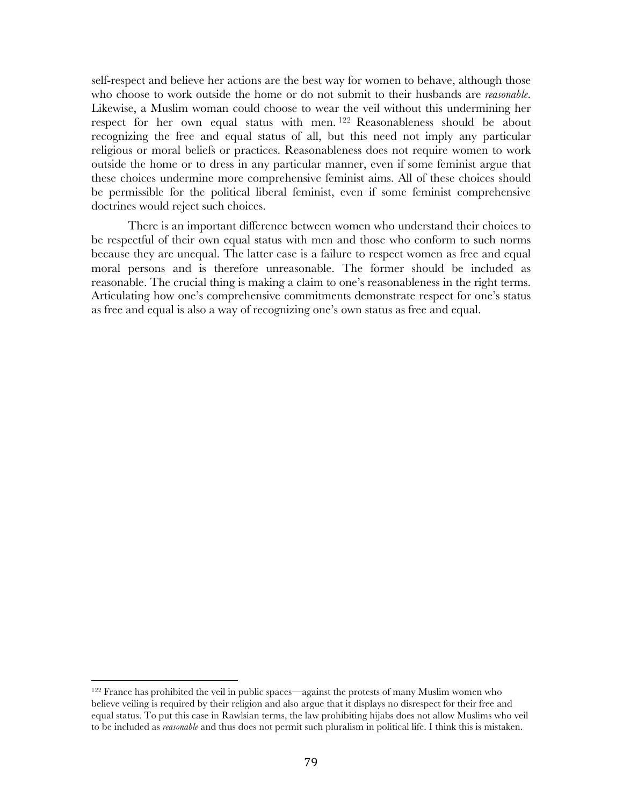self-respect and believe her actions are the best way for women to behave, although those who choose to work outside the home or do not submit to their husbands are *reasonable*. Likewise, a Muslim woman could choose to wear the veil without this undermining her respect for her own equal status with men. <sup>122</sup> Reasonableness should be about recognizing the free and equal status of all, but this need not imply any particular religious or moral beliefs or practices. Reasonableness does not require women to work outside the home or to dress in any particular manner, even if some feminist argue that these choices undermine more comprehensive feminist aims. All of these choices should be permissible for the political liberal feminist, even if some feminist comprehensive doctrines would reject such choices.

There is an important difference between women who understand their choices to be respectful of their own equal status with men and those who conform to such norms because they are unequal. The latter case is a failure to respect women as free and equal moral persons and is therefore unreasonable. The former should be included as reasonable. The crucial thing is making a claim to one's reasonableness in the right terms. Articulating how one's comprehensive commitments demonstrate respect for one's status as free and equal is also a way of recognizing one's own status as free and equal.

<sup>&</sup>lt;sup>122</sup> France has prohibited the veil in public spaces—against the protests of many Muslim women who believe veiling is required by their religion and also argue that it displays no disrespect for their free and equal status. To put this case in Rawlsian terms, the law prohibiting hijabs does not allow Muslims who veil to be included as *reasonable* and thus does not permit such pluralism in political life. I think this is mistaken.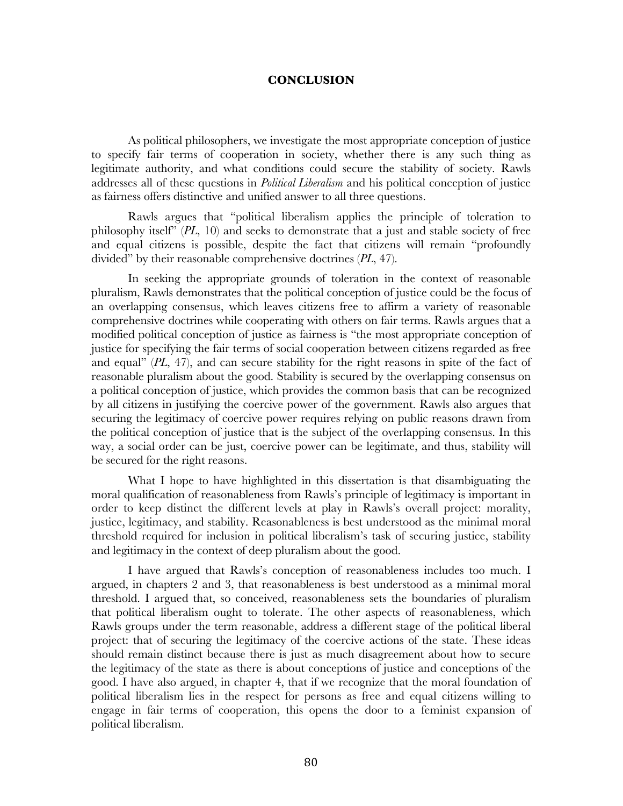#### **CONCLUSION**

As political philosophers, we investigate the most appropriate conception of justice to specify fair terms of cooperation in society, whether there is any such thing as legitimate authority, and what conditions could secure the stability of society. Rawls addresses all of these questions in *Political Liberalism* and his political conception of justice as fairness offers distinctive and unified answer to all three questions.

Rawls argues that "political liberalism applies the principle of toleration to philosophy itself" (*PL*, 10) and seeks to demonstrate that a just and stable society of free and equal citizens is possible, despite the fact that citizens will remain "profoundly divided" by their reasonable comprehensive doctrines (*PL*, 47).

In seeking the appropriate grounds of toleration in the context of reasonable pluralism, Rawls demonstrates that the political conception of justice could be the focus of an overlapping consensus, which leaves citizens free to affirm a variety of reasonable comprehensive doctrines while cooperating with others on fair terms. Rawls argues that a modified political conception of justice as fairness is "the most appropriate conception of justice for specifying the fair terms of social cooperation between citizens regarded as free and equal" (*PL*, 47), and can secure stability for the right reasons in spite of the fact of reasonable pluralism about the good. Stability is secured by the overlapping consensus on a political conception of justice, which provides the common basis that can be recognized by all citizens in justifying the coercive power of the government. Rawls also argues that securing the legitimacy of coercive power requires relying on public reasons drawn from the political conception of justice that is the subject of the overlapping consensus. In this way, a social order can be just, coercive power can be legitimate, and thus, stability will be secured for the right reasons.

What I hope to have highlighted in this dissertation is that disambiguating the moral qualification of reasonableness from Rawls's principle of legitimacy is important in order to keep distinct the different levels at play in Rawls's overall project: morality, justice, legitimacy, and stability. Reasonableness is best understood as the minimal moral threshold required for inclusion in political liberalism's task of securing justice, stability and legitimacy in the context of deep pluralism about the good.

I have argued that Rawls's conception of reasonableness includes too much. I argued, in chapters 2 and 3, that reasonableness is best understood as a minimal moral threshold. I argued that, so conceived, reasonableness sets the boundaries of pluralism that political liberalism ought to tolerate. The other aspects of reasonableness, which Rawls groups under the term reasonable, address a different stage of the political liberal project: that of securing the legitimacy of the coercive actions of the state. These ideas should remain distinct because there is just as much disagreement about how to secure the legitimacy of the state as there is about conceptions of justice and conceptions of the good. I have also argued, in chapter 4, that if we recognize that the moral foundation of political liberalism lies in the respect for persons as free and equal citizens willing to engage in fair terms of cooperation, this opens the door to a feminist expansion of political liberalism.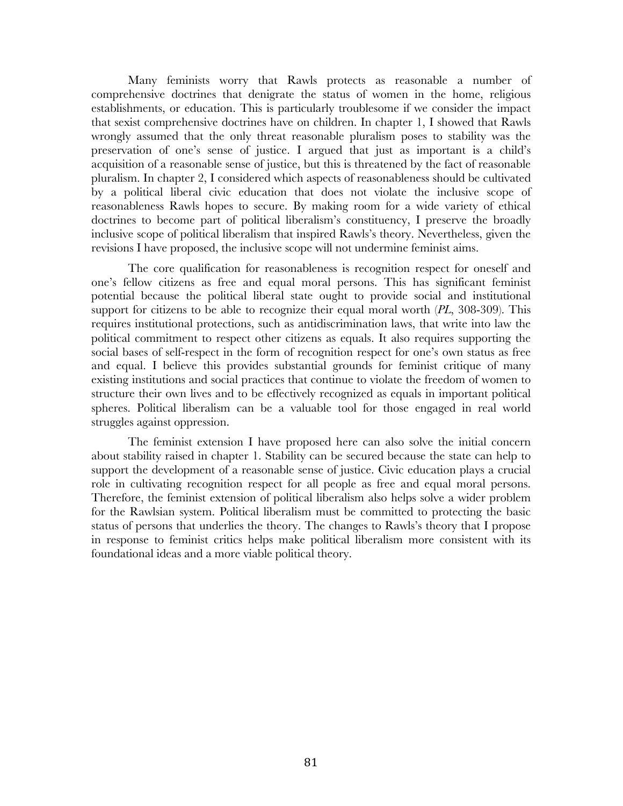Many feminists worry that Rawls protects as reasonable a number of comprehensive doctrines that denigrate the status of women in the home, religious establishments, or education. This is particularly troublesome if we consider the impact that sexist comprehensive doctrines have on children. In chapter 1, I showed that Rawls wrongly assumed that the only threat reasonable pluralism poses to stability was the preservation of one's sense of justice. I argued that just as important is a child's acquisition of a reasonable sense of justice, but this is threatened by the fact of reasonable pluralism. In chapter 2, I considered which aspects of reasonableness should be cultivated by a political liberal civic education that does not violate the inclusive scope of reasonableness Rawls hopes to secure. By making room for a wide variety of ethical doctrines to become part of political liberalism's constituency, I preserve the broadly inclusive scope of political liberalism that inspired Rawls's theory. Nevertheless, given the revisions I have proposed, the inclusive scope will not undermine feminist aims.

The core qualification for reasonableness is recognition respect for oneself and one's fellow citizens as free and equal moral persons. This has significant feminist potential because the political liberal state ought to provide social and institutional support for citizens to be able to recognize their equal moral worth (*PL*, 308-309). This requires institutional protections, such as antidiscrimination laws, that write into law the political commitment to respect other citizens as equals. It also requires supporting the social bases of self-respect in the form of recognition respect for one's own status as free and equal. I believe this provides substantial grounds for feminist critique of many existing institutions and social practices that continue to violate the freedom of women to structure their own lives and to be effectively recognized as equals in important political spheres. Political liberalism can be a valuable tool for those engaged in real world struggles against oppression.

The feminist extension I have proposed here can also solve the initial concern about stability raised in chapter 1. Stability can be secured because the state can help to support the development of a reasonable sense of justice. Civic education plays a crucial role in cultivating recognition respect for all people as free and equal moral persons. Therefore, the feminist extension of political liberalism also helps solve a wider problem for the Rawlsian system. Political liberalism must be committed to protecting the basic status of persons that underlies the theory. The changes to Rawls's theory that I propose in response to feminist critics helps make political liberalism more consistent with its foundational ideas and a more viable political theory.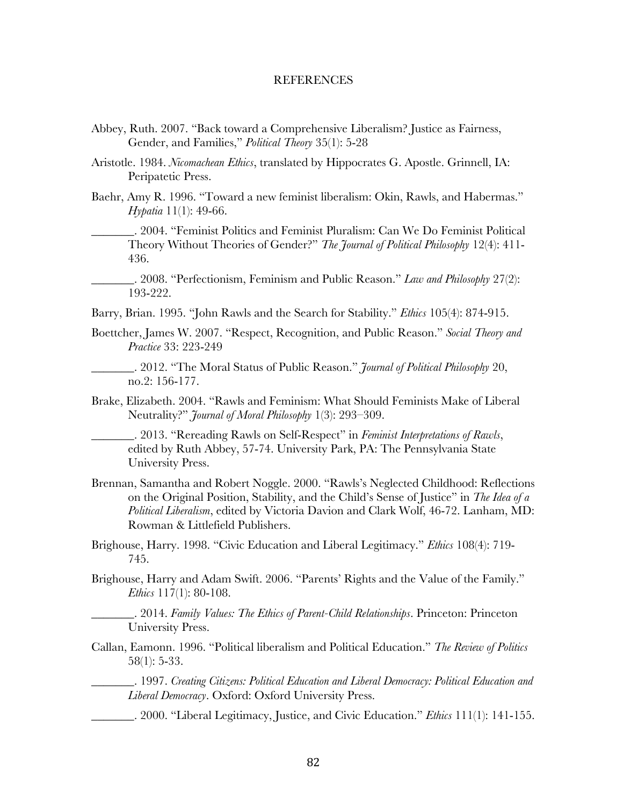#### REFERENCES

- Abbey, Ruth. 2007. "Back toward a Comprehensive Liberalism? Justice as Fairness, Gender, and Families," *Political Theory* 35(1): 5-28
- Aristotle. 1984. *Nicomachean Ethics*, translated by Hippocrates G. Apostle. Grinnell, IA: Peripatetic Press.
- Baehr, Amy R. 1996. "Toward a new feminist liberalism: Okin, Rawls, and Habermas." *Hypatia* 11(1): 49-66.
	- \_\_\_\_\_\_\_. 2004. "Feminist Politics and Feminist Pluralism: Can We Do Feminist Political Theory Without Theories of Gender?" *The Journal of Political Philosophy* 12(4): 411- 436.

\_\_\_\_\_\_\_. 2008. "Perfectionism, Feminism and Public Reason." *Law and Philosophy* 27(2): 193-222.

Barry, Brian. 1995. "John Rawls and the Search for Stability." *Ethics* 105(4): 874-915.

Boettcher, James W. 2007. "Respect, Recognition, and Public Reason." *Social Theory and Practice* 33: 223-249

\_\_\_\_\_\_\_. 2012. "The Moral Status of Public Reason." *Journal of Political Philosophy* 20, no.2: 156-177.

Brake, Elizabeth. 2004. "Rawls and Feminism: What Should Feminists Make of Liberal Neutrality?" *Journal of Moral Philosophy* 1(3): 293–309.

\_\_\_\_\_\_\_. 2013. "Rereading Rawls on Self-Respect" in *Feminist Interpretations of Rawls*, edited by Ruth Abbey, 57-74. University Park, PA: The Pennsylvania State University Press.

- Brennan, Samantha and Robert Noggle. 2000. "Rawls's Neglected Childhood: Reflections on the Original Position, Stability, and the Child's Sense of Justice" in *The Idea of a Political Liberalism*, edited by Victoria Davion and Clark Wolf, 46-72. Lanham, MD: Rowman & Littlefield Publishers.
- Brighouse, Harry. 1998. "Civic Education and Liberal Legitimacy." *Ethics* 108(4): 719- 745.
- Brighouse, Harry and Adam Swift. 2006. "Parents' Rights and the Value of the Family." *Ethics* 117(1): 80-108.

\_\_\_\_\_\_\_. 2014. *Family Values: The Ethics of Parent-Child Relationships*. Princeton: Princeton University Press.

Callan, Eamonn. 1996. "Political liberalism and Political Education." *The Review of Politics* 58(1): 5-33.

\_\_\_\_\_\_\_. 1997. *Creating Citizens: Political Education and Liberal Democracy: Political Education and Liberal Democracy*. Oxford: Oxford University Press.

\_\_\_\_\_\_\_. 2000. "Liberal Legitimacy, Justice, and Civic Education." *Ethics* 111(1): 141-155.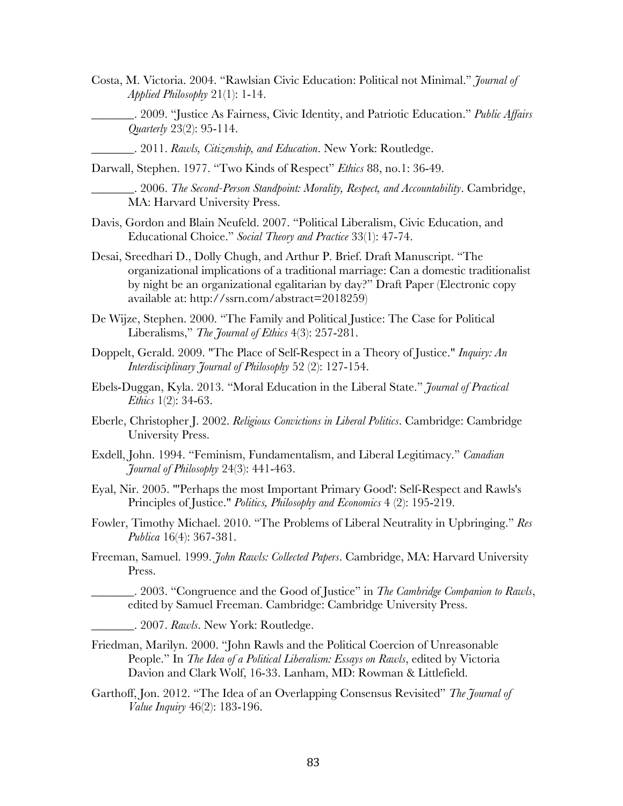- Costa, M. Victoria. 2004. "Rawlsian Civic Education: Political not Minimal." *Journal of Applied Philosophy* 21(1): 1-14.
	- \_\_\_\_\_\_\_. 2009. "Justice As Fairness, Civic Identity, and Patriotic Education." *Public Affairs Quarterly* 23(2): 95-114.
	- \_\_\_\_\_\_\_. 2011. *Rawls, Citizenship, and Education*. New York: Routledge.
- Darwall, Stephen. 1977. "Two Kinds of Respect" *Ethics* 88, no.1: 36-49.

\_\_\_\_\_\_\_. 2006. *The Second-Person Standpoint: Morality, Respect, and Accountability*. Cambridge, MA: Harvard University Press.

- Davis, Gordon and Blain Neufeld. 2007. "Political Liberalism, Civic Education, and Educational Choice." *Social Theory and Practice* 33(1): 47-74.
- Desai, Sreedhari D., Dolly Chugh, and Arthur P. Brief. Draft Manuscript. "The organizational implications of a traditional marriage: Can a domestic traditionalist by night be an organizational egalitarian by day?" Draft Paper (Electronic copy available at: http://ssrn.com/abstract=2018259)
- De Wijze, Stephen. 2000. "The Family and Political Justice: The Case for Political Liberalisms," *The Journal of Ethics* 4(3): 257-281.
- Doppelt, Gerald. 2009. "The Place of Self-Respect in a Theory of Justice." *Inquiry: An Interdisciplinary Journal of Philosophy* 52 (2): 127-154.
- Ebels-Duggan, Kyla. 2013. "Moral Education in the Liberal State." *Journal of Practical Ethics* 1(2): 34-63.
- Eberle, Christopher J. 2002. *Religious Convictions in Liberal Politics*. Cambridge: Cambridge University Press.
- Exdell, John. 1994. "Feminism, Fundamentalism, and Liberal Legitimacy." *Canadian Journal of Philosophy* 24(3): 441-463.
- Eyal, Nir. 2005. "'Perhaps the most Important Primary Good': Self-Respect and Rawls's Principles of Justice." *Politics, Philosophy and Economics* 4 (2): 195-219.
- Fowler, Timothy Michael. 2010. "The Problems of Liberal Neutrality in Upbringing." *Res Publica* 16(4): 367-381.
- Freeman, Samuel. 1999. *John Rawls: Collected Papers*. Cambridge, MA: Harvard University Press.

\_\_\_\_\_\_\_. 2003. "Congruence and the Good of Justice" in *The Cambridge Companion to Rawls*, edited by Samuel Freeman. Cambridge: Cambridge University Press.

\_\_\_\_\_\_\_. 2007. *Rawls*. New York: Routledge.

- Friedman, Marilyn. 2000. "John Rawls and the Political Coercion of Unreasonable People." In *The Idea of a Political Liberalism: Essays on Rawls*, edited by Victoria Davion and Clark Wolf, 16-33. Lanham, MD: Rowman & Littlefield.
- Garthoff, Jon. 2012. "The Idea of an Overlapping Consensus Revisited" *The Journal of Value Inquiry* 46(2): 183-196.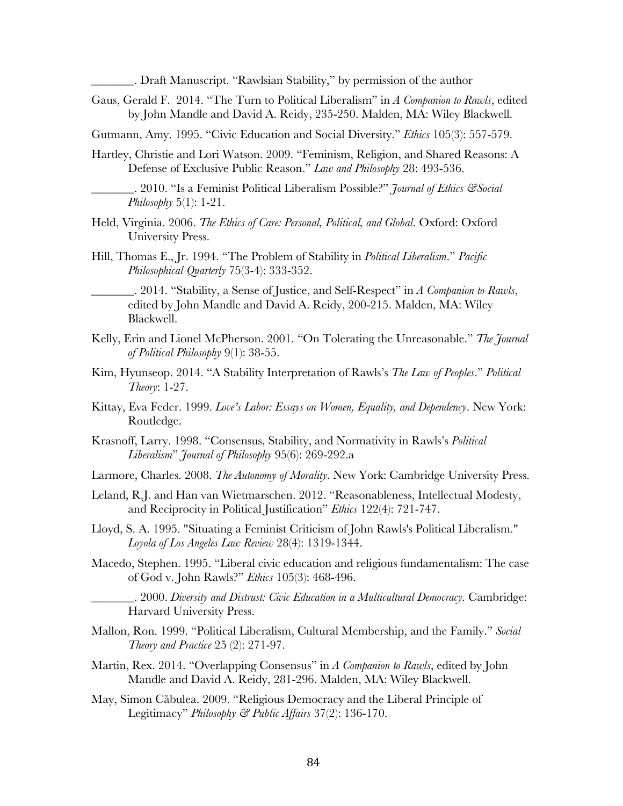\_\_\_\_\_\_\_. Draft Manuscript. "Rawlsian Stability," by permission of the author

- Gaus, Gerald F. 2014. "The Turn to Political Liberalism" in *A Companion to Rawls*, edited by John Mandle and David A. Reidy, 235-250. Malden, MA: Wiley Blackwell.
- Gutmann, Amy. 1995. "Civic Education and Social Diversity." *Ethics* 105(3): 557-579.
- Hartley, Christie and Lori Watson. 2009. "Feminism, Religion, and Shared Reasons: A Defense of Exclusive Public Reason." *Law and Philosophy* 28: 493-536.

\_\_\_\_\_\_\_. 2010. "Is a Feminist Political Liberalism Possible?" *Journal of Ethics &Social Philosophy* 5(1): 1-21.

- Held, Virginia. 2006. *The Ethics of Care: Personal, Political, and Global*. Oxford: Oxford University Press.
- Hill, Thomas E., Jr. 1994. "The Problem of Stability in *Political Liberalism*." *Pacific Philosophical Quarterly* 75(3-4): 333-352.

\_\_\_\_\_\_\_. 2014. "Stability, a Sense of Justice, and Self-Respect" in *A Companion to Rawls*, edited by John Mandle and David A. Reidy, 200-215. Malden, MA: Wiley Blackwell.

- Kelly, Erin and Lionel McPherson. 2001. "On Tolerating the Unreasonable." *The Journal of Political Philosophy* 9(1): 38-55.
- Kim, Hyunseop. 2014. "A Stability Interpretation of Rawls's *The Law of Peoples*." *Political Theory*: 1-27.
- Kittay, Eva Feder. 1999. *Love's Labor: Essays on Women, Equality, and Dependency*. New York: Routledge.
- Krasnoff, Larry. 1998. "Consensus, Stability, and Normativity in Rawls's *Political Liberalism*" *Journal of Philosophy* 95(6): 269-292.a
- Larmore, Charles. 2008. *The Autonomy of Morality*. New York: Cambridge University Press.
- Leland, R.J. and Han van Wietmarschen. 2012. "Reasonableness, Intellectual Modesty, and Reciprocity in Political Justification" *Ethics* 122(4): 721-747.
- Lloyd, S. A. 1995. "Situating a Feminist Criticism of John Rawls's Political Liberalism." *Loyola of Los Angeles Law Review* 28(4): 1319-1344.
- Macedo, Stephen. 1995. "Liberal civic education and religious fundamentalism: The case of God v. John Rawls?" *Ethics* 105(3): 468-496.

\_\_\_\_\_\_\_. 2000. *Diversity and Distrust: Civic Education in a Multicultural Democracy.* Cambridge: Harvard University Press.

- Mallon, Ron. 1999. "Political Liberalism, Cultural Membership, and the Family." *Social Theory and Practice* 25 (2): 271-97.
- Martin, Rex. 2014. "Overlapping Consensus" in *A Companion to Rawls*, edited by John Mandle and David A. Reidy, 281-296. Malden, MA: Wiley Blackwell.
- May, Simon Căbulea. 2009. "Religious Democracy and the Liberal Principle of Legitimacy" *Philosophy & Public Affairs* 37(2): 136-170.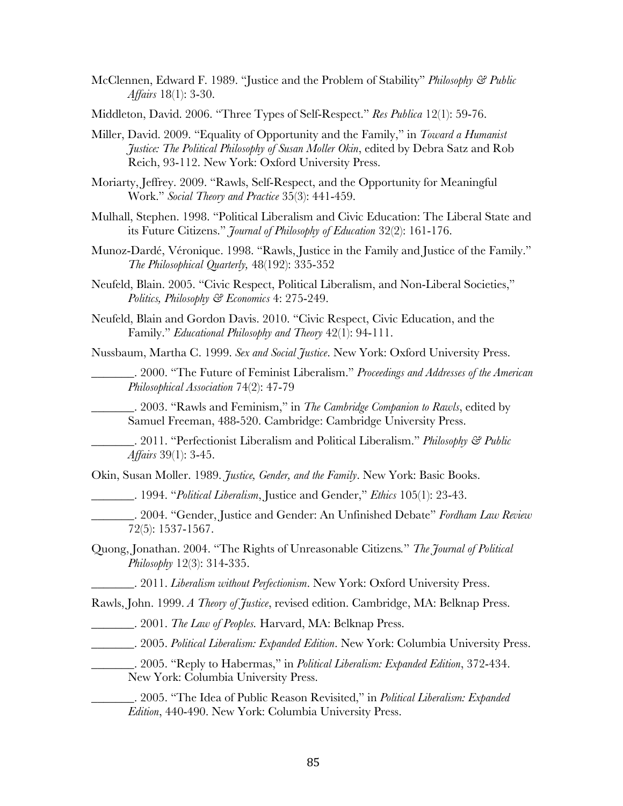- McClennen, Edward F. 1989. "Justice and the Problem of Stability" *Philosophy & Public Affairs* 18(1): 3-30.
- Middleton, David. 2006. "Three Types of Self-Respect." *Res Publica* 12(1): 59-76.
- Miller, David. 2009. "Equality of Opportunity and the Family," in *Toward a Humanist Justice: The Political Philosophy of Susan Moller Okin*, edited by Debra Satz and Rob Reich, 93-112. New York: Oxford University Press.
- Moriarty, Jeffrey. 2009. "Rawls, Self-Respect, and the Opportunity for Meaningful Work." *Social Theory and Practice* 35(3): 441-459.
- Mulhall, Stephen. 1998. "Political Liberalism and Civic Education: The Liberal State and its Future Citizens." *Journal of Philosophy of Education* 32(2): 161-176.
- Munoz-Dardé, Véronique. 1998. "Rawls, Justice in the Family and Justice of the Family." *The Philosophical Quarterly,* 48(192): 335-352
- Neufeld, Blain. 2005. "Civic Respect, Political Liberalism, and Non-Liberal Societies," *Politics, Philosophy & Economics* 4: 275-249.
- Neufeld, Blain and Gordon Davis. 2010. "Civic Respect, Civic Education, and the Family." *Educational Philosophy and Theory* 42(1): 94-111.

Nussbaum, Martha C. 1999. *Sex and Social Justice*. New York: Oxford University Press.

\_\_\_\_\_\_\_. 2000. "The Future of Feminist Liberalism." *Proceedings and Addresses of the American Philosophical Association* 74(2): 47-79

\_\_\_\_\_\_\_. 2003. "Rawls and Feminism," in *The Cambridge Companion to Rawls*, edited by Samuel Freeman, 488-520. Cambridge: Cambridge University Press.

\_\_\_\_\_\_\_. 2011. "Perfectionist Liberalism and Political Liberalism." *Philosophy & Public Affairs* 39(1): 3-45.

Okin, Susan Moller. 1989. *Justice, Gender, and the Family*. New York: Basic Books.

- \_\_\_\_\_\_\_. 1994. "*Political Liberalism*, Justice and Gender," *Ethics* 105(1): 23-43.
- \_\_\_\_\_\_\_. 2004. "Gender, Justice and Gender: An Unfinished Debate" *Fordham Law Review* 72(5): 1537-1567.
- Quong, Jonathan. 2004. "The Rights of Unreasonable Citizens*.*" *The Journal of Political Philosophy* 12(3): 314-335.
- \_\_\_\_\_\_\_. 2011. *Liberalism without Perfectionism*. New York: Oxford University Press.

Rawls, John. 1999. *A Theory of Justice*, revised edition. Cambridge, MA: Belknap Press.

- \_\_\_\_\_\_\_. 2001. *The Law of Peoples.* Harvard, MA: Belknap Press.
- \_\_\_\_\_\_\_. 2005. *Political Liberalism: Expanded Edition*. New York: Columbia University Press.
- \_\_\_\_\_\_\_. 2005. "Reply to Habermas," in *Political Liberalism: Expanded Edition*, 372-434. New York: Columbia University Press.
	- \_\_\_\_\_\_\_. 2005. "The Idea of Public Reason Revisited," in *Political Liberalism: Expanded Edition*, 440-490. New York: Columbia University Press.